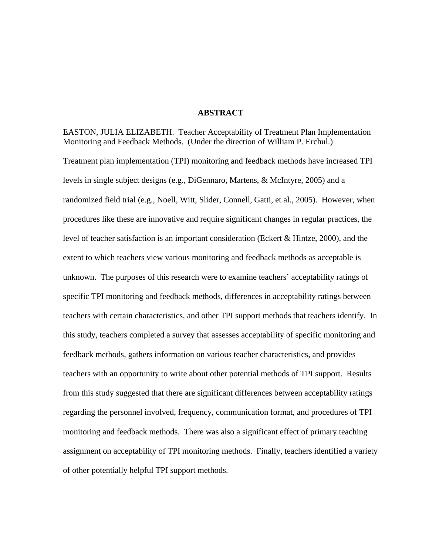### **ABSTRACT**

EASTON, JULIA ELIZABETH. Teacher Acceptability of Treatment Plan Implementation Monitoring and Feedback Methods. (Under the direction of William P. Erchul.) Treatment plan implementation (TPI) monitoring and feedback methods have increased TPI levels in single subject designs (e.g., DiGennaro, Martens, & McIntyre, 2005) and a randomized field trial (e.g., Noell, Witt, Slider, Connell, Gatti, et al., 2005). However, when procedures like these are innovative and require significant changes in regular practices, the level of teacher satisfaction is an important consideration (Eckert & Hintze, 2000), and the extent to which teachers view various monitoring and feedback methods as acceptable is unknown. The purposes of this research were to examine teachers' acceptability ratings of specific TPI monitoring and feedback methods, differences in acceptability ratings between teachers with certain characteristics, and other TPI support methods that teachers identify. In this study, teachers completed a survey that assesses acceptability of specific monitoring and feedback methods, gathers information on various teacher characteristics, and provides teachers with an opportunity to write about other potential methods of TPI support. Results from this study suggested that there are significant differences between acceptability ratings regarding the personnel involved, frequency, communication format, and procedures of TPI monitoring and feedback methods. There was also a significant effect of primary teaching assignment on acceptability of TPI monitoring methods. Finally, teachers identified a variety of other potentially helpful TPI support methods.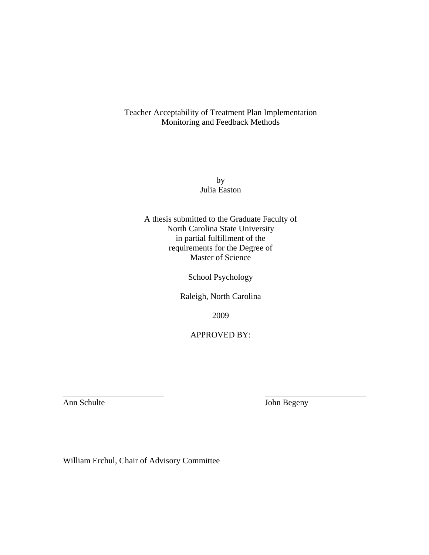Teacher Acceptability of Treatment Plan Implementation Monitoring and Feedback Methods

> by Julia Easton

A thesis submitted to the Graduate Faculty of North Carolina State University in partial fulfillment of the requirements for the Degree of Master of Science

School Psychology

Raleigh, North Carolina

2009

APPROVED BY:

 $\overline{a}$ 

 $\overline{a}$ 

**Ann Schulte** John Begeny

William Erchul, Chair of Advisory Committee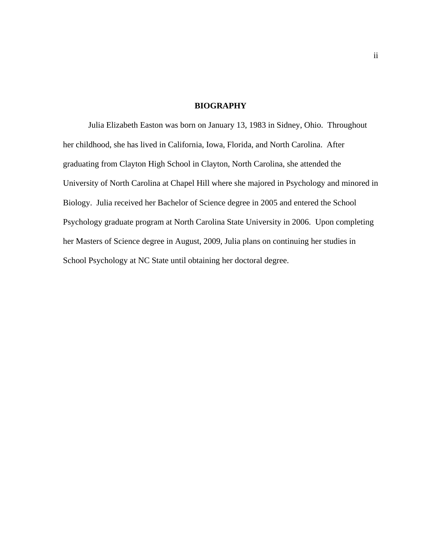# **BIOGRAPHY**

 Julia Elizabeth Easton was born on January 13, 1983 in Sidney, Ohio. Throughout her childhood, she has lived in California, Iowa, Florida, and North Carolina. After graduating from Clayton High School in Clayton, North Carolina, she attended the University of North Carolina at Chapel Hill where she majored in Psychology and minored in Biology. Julia received her Bachelor of Science degree in 2005 and entered the School Psychology graduate program at North Carolina State University in 2006. Upon completing her Masters of Science degree in August, 2009, Julia plans on continuing her studies in School Psychology at NC State until obtaining her doctoral degree.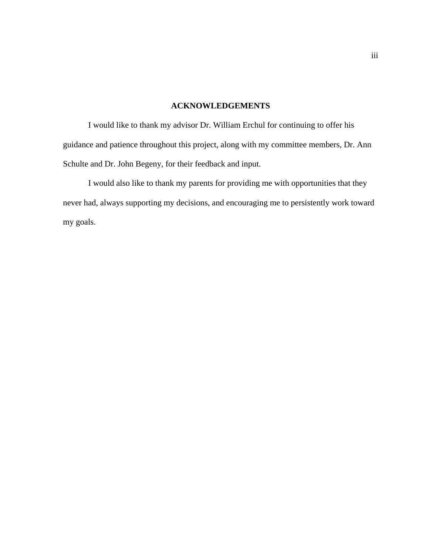# **ACKNOWLEDGEMENTS**

I would like to thank my advisor Dr. William Erchul for continuing to offer his guidance and patience throughout this project, along with my committee members, Dr. Ann Schulte and Dr. John Begeny, for their feedback and input.

 I would also like to thank my parents for providing me with opportunities that they never had, always supporting my decisions, and encouraging me to persistently work toward my goals.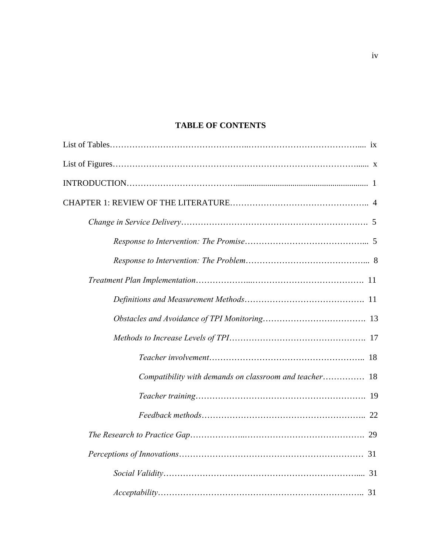# **TABLE OF CONTENTS**

| Compatibility with demands on classroom and teacher 18 |
|--------------------------------------------------------|
|                                                        |
|                                                        |
|                                                        |
|                                                        |
|                                                        |
|                                                        |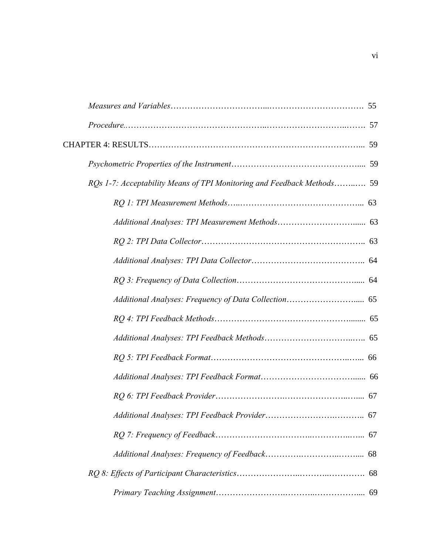| RQs 1-7: Acceptability Means of TPI Monitoring and Feedback Methods 59 |
|------------------------------------------------------------------------|
|                                                                        |
|                                                                        |
|                                                                        |
|                                                                        |
|                                                                        |
|                                                                        |
|                                                                        |
|                                                                        |
|                                                                        |
|                                                                        |
|                                                                        |
|                                                                        |
|                                                                        |
|                                                                        |
|                                                                        |
|                                                                        |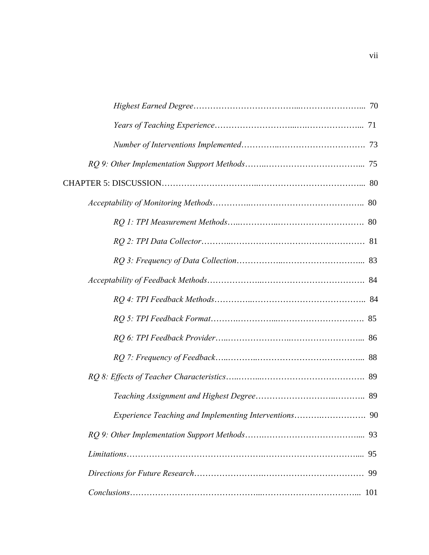| 99 |  |
|----|--|
|    |  |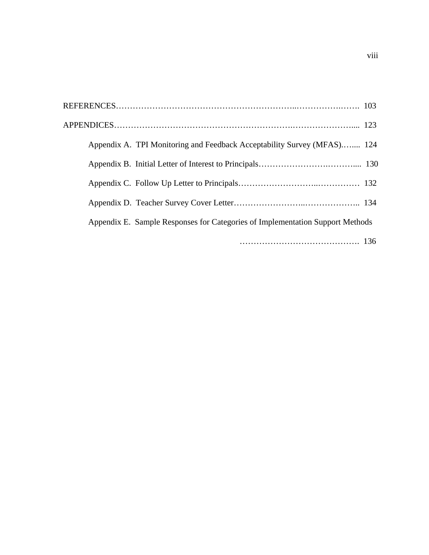| Appendix A. TPI Monitoring and Feedback Acceptability Survey (MFAS) 124       |
|-------------------------------------------------------------------------------|
|                                                                               |
|                                                                               |
|                                                                               |
| Appendix E. Sample Responses for Categories of Implementation Support Methods |
|                                                                               |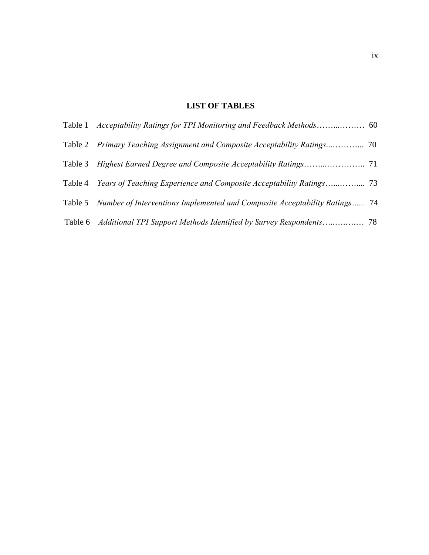# **LIST OF TABLES**

|         | Table 5 Number of Interventions Implemented and Composite Acceptability Ratings 74 |  |
|---------|------------------------------------------------------------------------------------|--|
| Table 6 |                                                                                    |  |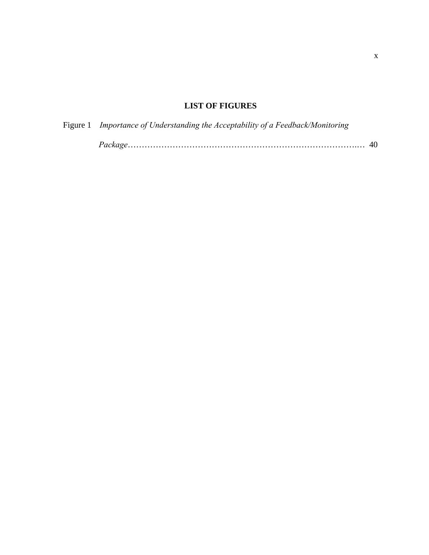# **LIST OF FIGURES**

| Figure 1 Importance of Understanding the Acceptability of a Feedback/Monitoring |  |
|---------------------------------------------------------------------------------|--|
|                                                                                 |  |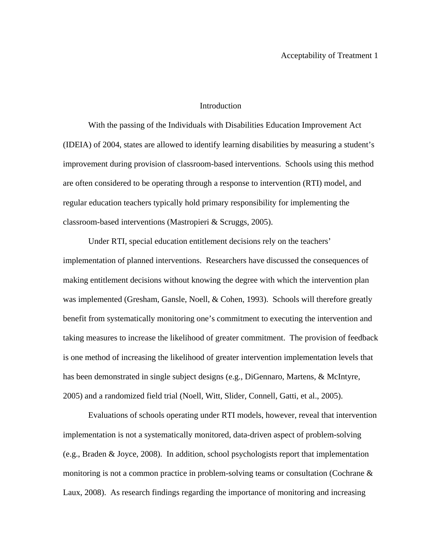## Introduction

 With the passing of the Individuals with Disabilities Education Improvement Act (IDEIA) of 2004, states are allowed to identify learning disabilities by measuring a student's improvement during provision of classroom-based interventions. Schools using this method are often considered to be operating through a response to intervention (RTI) model, and regular education teachers typically hold primary responsibility for implementing the classroom-based interventions (Mastropieri & Scruggs, 2005).

 Under RTI, special education entitlement decisions rely on the teachers' implementation of planned interventions. Researchers have discussed the consequences of making entitlement decisions without knowing the degree with which the intervention plan was implemented (Gresham, Gansle, Noell, & Cohen, 1993). Schools will therefore greatly benefit from systematically monitoring one's commitment to executing the intervention and taking measures to increase the likelihood of greater commitment. The provision of feedback is one method of increasing the likelihood of greater intervention implementation levels that has been demonstrated in single subject designs (e.g., DiGennaro, Martens, & McIntyre, 2005) and a randomized field trial (Noell, Witt, Slider, Connell, Gatti, et al., 2005).

 Evaluations of schools operating under RTI models, however, reveal that intervention implementation is not a systematically monitored, data-driven aspect of problem-solving (e.g., Braden & Joyce, 2008). In addition, school psychologists report that implementation monitoring is not a common practice in problem-solving teams or consultation (Cochrane & Laux, 2008). As research findings regarding the importance of monitoring and increasing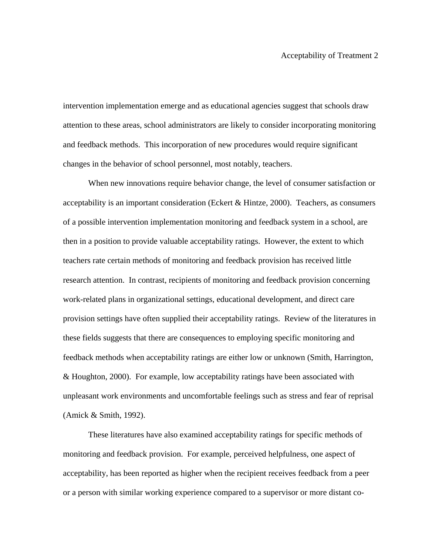intervention implementation emerge and as educational agencies suggest that schools draw attention to these areas, school administrators are likely to consider incorporating monitoring and feedback methods. This incorporation of new procedures would require significant changes in the behavior of school personnel, most notably, teachers.

 When new innovations require behavior change, the level of consumer satisfaction or acceptability is an important consideration (Eckert & Hintze, 2000). Teachers, as consumers of a possible intervention implementation monitoring and feedback system in a school, are then in a position to provide valuable acceptability ratings. However, the extent to which teachers rate certain methods of monitoring and feedback provision has received little research attention. In contrast, recipients of monitoring and feedback provision concerning work-related plans in organizational settings, educational development, and direct care provision settings have often supplied their acceptability ratings. Review of the literatures in these fields suggests that there are consequences to employing specific monitoring and feedback methods when acceptability ratings are either low or unknown (Smith, Harrington, & Houghton, 2000). For example, low acceptability ratings have been associated with unpleasant work environments and uncomfortable feelings such as stress and fear of reprisal (Amick & Smith, 1992).

 These literatures have also examined acceptability ratings for specific methods of monitoring and feedback provision. For example, perceived helpfulness, one aspect of acceptability, has been reported as higher when the recipient receives feedback from a peer or a person with similar working experience compared to a supervisor or more distant co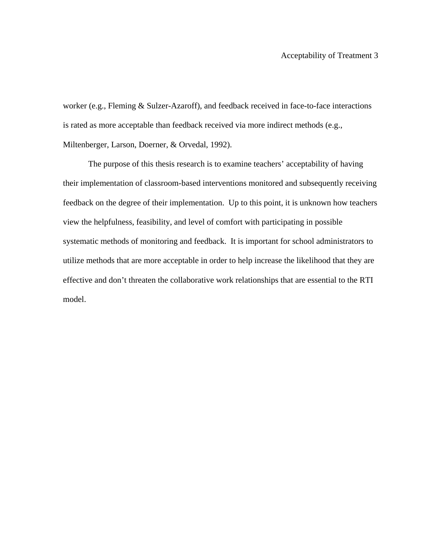worker (e.g., Fleming & Sulzer-Azaroff), and feedback received in face-to-face interactions is rated as more acceptable than feedback received via more indirect methods (e.g., Miltenberger, Larson, Doerner, & Orvedal, 1992).

 The purpose of this thesis research is to examine teachers' acceptability of having their implementation of classroom-based interventions monitored and subsequently receiving feedback on the degree of their implementation. Up to this point, it is unknown how teachers view the helpfulness, feasibility, and level of comfort with participating in possible systematic methods of monitoring and feedback. It is important for school administrators to utilize methods that are more acceptable in order to help increase the likelihood that they are effective and don't threaten the collaborative work relationships that are essential to the RTI model.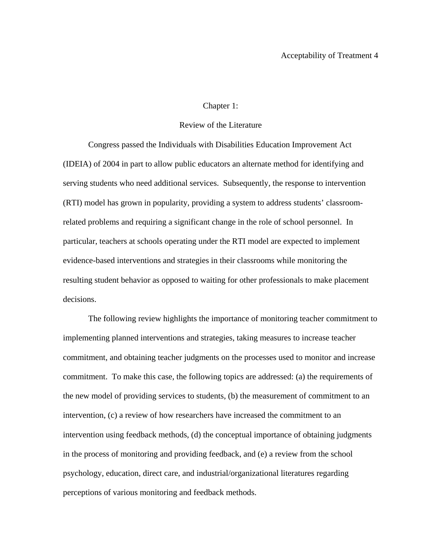# Chapter 1:

### Review of the Literature

Congress passed the Individuals with Disabilities Education Improvement Act (IDEIA) of 2004 in part to allow public educators an alternate method for identifying and serving students who need additional services. Subsequently, the response to intervention (RTI) model has grown in popularity, providing a system to address students' classroomrelated problems and requiring a significant change in the role of school personnel. In particular, teachers at schools operating under the RTI model are expected to implement evidence-based interventions and strategies in their classrooms while monitoring the resulting student behavior as opposed to waiting for other professionals to make placement decisions.

The following review highlights the importance of monitoring teacher commitment to implementing planned interventions and strategies, taking measures to increase teacher commitment, and obtaining teacher judgments on the processes used to monitor and increase commitment. To make this case, the following topics are addressed: (a) the requirements of the new model of providing services to students, (b) the measurement of commitment to an intervention, (c) a review of how researchers have increased the commitment to an intervention using feedback methods, (d) the conceptual importance of obtaining judgments in the process of monitoring and providing feedback, and (e) a review from the school psychology, education, direct care, and industrial/organizational literatures regarding perceptions of various monitoring and feedback methods.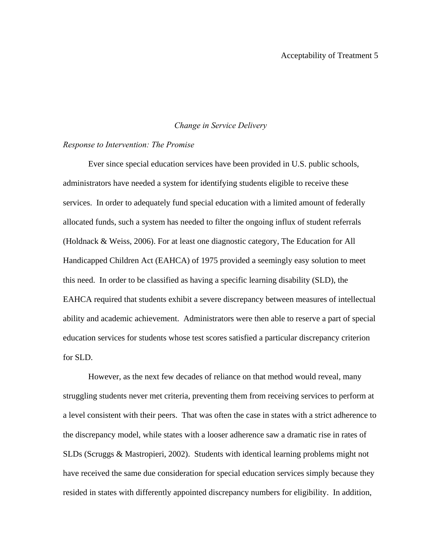#### *Change in Service Delivery*

#### *Response to Intervention: The Promise*

Ever since special education services have been provided in U.S. public schools, administrators have needed a system for identifying students eligible to receive these services. In order to adequately fund special education with a limited amount of federally allocated funds, such a system has needed to filter the ongoing influx of student referrals (Holdnack & Weiss, 2006). For at least one diagnostic category, The Education for All Handicapped Children Act (EAHCA) of 1975 provided a seemingly easy solution to meet this need. In order to be classified as having a specific learning disability (SLD), the EAHCA required that students exhibit a severe discrepancy between measures of intellectual ability and academic achievement. Administrators were then able to reserve a part of special education services for students whose test scores satisfied a particular discrepancy criterion for SLD.

However, as the next few decades of reliance on that method would reveal, many struggling students never met criteria, preventing them from receiving services to perform at a level consistent with their peers. That was often the case in states with a strict adherence to the discrepancy model, while states with a looser adherence saw a dramatic rise in rates of SLDs (Scruggs & Mastropieri, 2002). Students with identical learning problems might not have received the same due consideration for special education services simply because they resided in states with differently appointed discrepancy numbers for eligibility. In addition,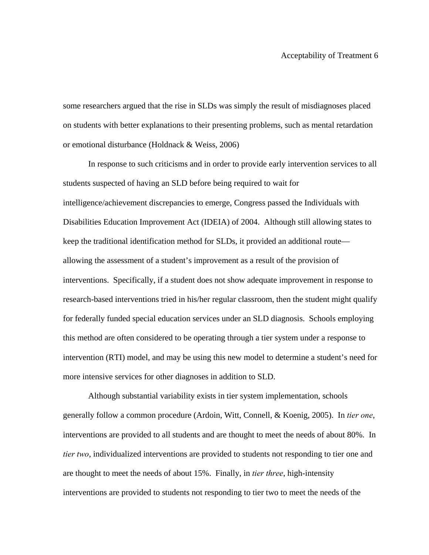some researchers argued that the rise in SLDs was simply the result of misdiagnoses placed on students with better explanations to their presenting problems, such as mental retardation or emotional disturbance (Holdnack & Weiss, 2006)

In response to such criticisms and in order to provide early intervention services to all students suspected of having an SLD before being required to wait for intelligence/achievement discrepancies to emerge, Congress passed the Individuals with Disabilities Education Improvement Act (IDEIA) of 2004. Although still allowing states to keep the traditional identification method for SLDs, it provided an additional route allowing the assessment of a student's improvement as a result of the provision of interventions. Specifically, if a student does not show adequate improvement in response to research-based interventions tried in his/her regular classroom, then the student might qualify for federally funded special education services under an SLD diagnosis. Schools employing this method are often considered to be operating through a tier system under a response to intervention (RTI) model, and may be using this new model to determine a student's need for more intensive services for other diagnoses in addition to SLD.

Although substantial variability exists in tier system implementation, schools generally follow a common procedure (Ardoin, Witt, Connell, & Koenig, 2005). In *tier one*, interventions are provided to all students and are thought to meet the needs of about 80%. In *tier two*, individualized interventions are provided to students not responding to tier one and are thought to meet the needs of about 15%. Finally, in *tier three*, high-intensity interventions are provided to students not responding to tier two to meet the needs of the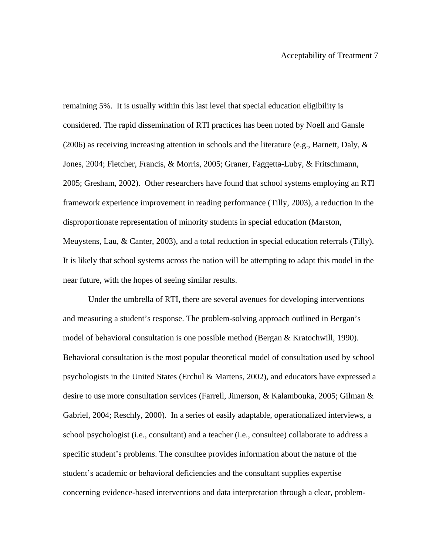remaining 5%. It is usually within this last level that special education eligibility is considered. The rapid dissemination of RTI practices has been noted by Noell and Gansle (2006) as receiving increasing attention in schools and the literature (e.g., Barnett, Daly,  $\&$ Jones, 2004; Fletcher, Francis, & Morris, 2005; Graner, Faggetta-Luby, & Fritschmann, 2005; Gresham, 2002). Other researchers have found that school systems employing an RTI framework experience improvement in reading performance (Tilly, 2003), a reduction in the disproportionate representation of minority students in special education (Marston, Meuystens, Lau, & Canter, 2003), and a total reduction in special education referrals (Tilly). It is likely that school systems across the nation will be attempting to adapt this model in the near future, with the hopes of seeing similar results.

Under the umbrella of RTI, there are several avenues for developing interventions and measuring a student's response. The problem-solving approach outlined in Bergan's model of behavioral consultation is one possible method (Bergan & Kratochwill, 1990). Behavioral consultation is the most popular theoretical model of consultation used by school psychologists in the United States (Erchul & Martens, 2002), and educators have expressed a desire to use more consultation services (Farrell, Jimerson, & Kalambouka, 2005; Gilman & Gabriel, 2004; Reschly, 2000). In a series of easily adaptable, operationalized interviews, a school psychologist (i.e., consultant) and a teacher (i.e., consultee) collaborate to address a specific student's problems. The consultee provides information about the nature of the student's academic or behavioral deficiencies and the consultant supplies expertise concerning evidence-based interventions and data interpretation through a clear, problem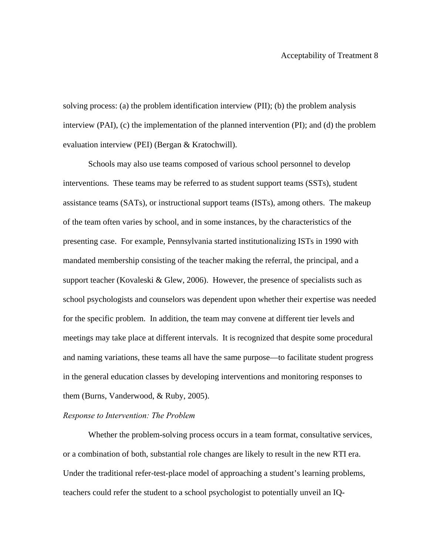solving process: (a) the problem identification interview (PII); (b) the problem analysis interview (PAI), (c) the implementation of the planned intervention (PI); and (d) the problem evaluation interview (PEI) (Bergan & Kratochwill).

Schools may also use teams composed of various school personnel to develop interventions. These teams may be referred to as student support teams (SSTs), student assistance teams (SATs), or instructional support teams (ISTs), among others. The makeup of the team often varies by school, and in some instances, by the characteristics of the presenting case. For example, Pennsylvania started institutionalizing ISTs in 1990 with mandated membership consisting of the teacher making the referral, the principal, and a support teacher (Kovaleski  $\&$  Glew, 2006). However, the presence of specialists such as school psychologists and counselors was dependent upon whether their expertise was needed for the specific problem. In addition, the team may convene at different tier levels and meetings may take place at different intervals. It is recognized that despite some procedural and naming variations, these teams all have the same purpose—to facilitate student progress in the general education classes by developing interventions and monitoring responses to them (Burns, Vanderwood, & Ruby, 2005).

### *Response to Intervention: The Problem*

Whether the problem-solving process occurs in a team format, consultative services, or a combination of both, substantial role changes are likely to result in the new RTI era. Under the traditional refer-test-place model of approaching a student's learning problems, teachers could refer the student to a school psychologist to potentially unveil an IQ-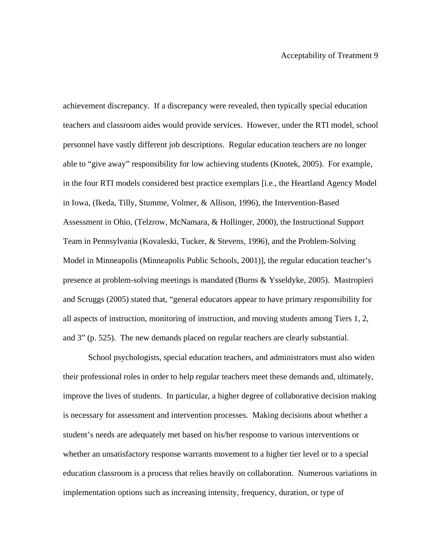achievement discrepancy. If a discrepancy were revealed, then typically special education teachers and classroom aides would provide services. However, under the RTI model, school personnel have vastly different job descriptions. Regular education teachers are no longer able to "give away" responsibility for low achieving students (Knotek, 2005). For example, in the four RTI models considered best practice exemplars [i.e., the Heartland Agency Model in Iowa, (Ikeda, Tilly, Stumme, Volmer, & Allison, 1996), the Intervention-Based Assessment in Ohio, (Telzrow, McNamara, & Hollinger, 2000), the Instructional Support Team in Pennsylvania (Kovaleski, Tucker, & Stevens, 1996), and the Problem-Solving Model in Minneapolis (Minneapolis Public Schools, 2001)], the regular education teacher's presence at problem-solving meetings is mandated (Burns & Ysseldyke, 2005). Mastropieri and Scruggs (2005) stated that, "general educators appear to have primary responsibility for all aspects of instruction, monitoring of instruction, and moving students among Tiers 1, 2, and 3" (p. 525). The new demands placed on regular teachers are clearly substantial.

School psychologists, special education teachers, and administrators must also widen their professional roles in order to help regular teachers meet these demands and, ultimately, improve the lives of students. In particular, a higher degree of collaborative decision making is necessary for assessment and intervention processes. Making decisions about whether a student's needs are adequately met based on his/her response to various interventions or whether an unsatisfactory response warrants movement to a higher tier level or to a special education classroom is a process that relies heavily on collaboration. Numerous variations in implementation options such as increasing intensity, frequency, duration, or type of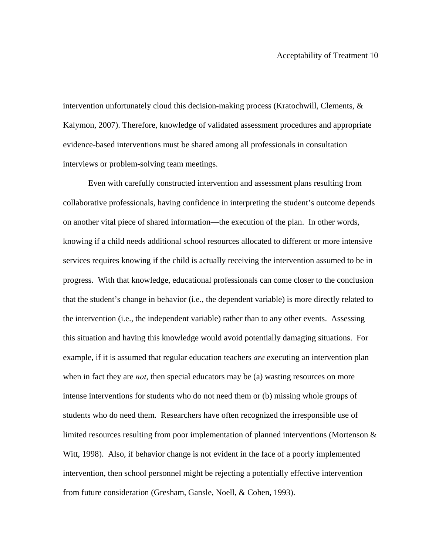intervention unfortunately cloud this decision-making process (Kratochwill, Clements, & Kalymon, 2007). Therefore, knowledge of validated assessment procedures and appropriate evidence-based interventions must be shared among all professionals in consultation interviews or problem-solving team meetings.

Even with carefully constructed intervention and assessment plans resulting from collaborative professionals, having confidence in interpreting the student's outcome depends on another vital piece of shared information—the execution of the plan. In other words, knowing if a child needs additional school resources allocated to different or more intensive services requires knowing if the child is actually receiving the intervention assumed to be in progress. With that knowledge, educational professionals can come closer to the conclusion that the student's change in behavior (i.e., the dependent variable) is more directly related to the intervention (i.e., the independent variable) rather than to any other events. Assessing this situation and having this knowledge would avoid potentially damaging situations. For example, if it is assumed that regular education teachers *are* executing an intervention plan when in fact they are *not*, then special educators may be (a) wasting resources on more intense interventions for students who do not need them or (b) missing whole groups of students who do need them. Researchers have often recognized the irresponsible use of limited resources resulting from poor implementation of planned interventions (Mortenson & Witt, 1998). Also, if behavior change is not evident in the face of a poorly implemented intervention, then school personnel might be rejecting a potentially effective intervention from future consideration (Gresham, Gansle, Noell, & Cohen, 1993).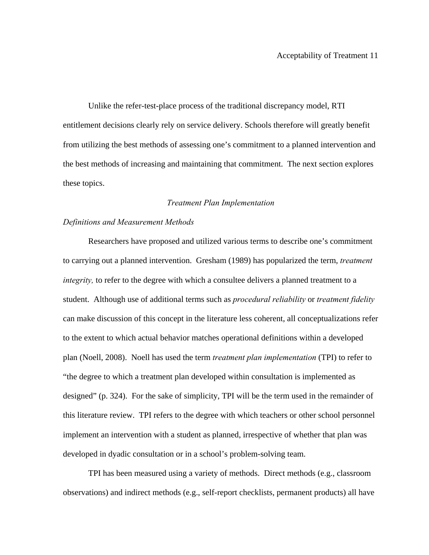Unlike the refer-test-place process of the traditional discrepancy model, RTI entitlement decisions clearly rely on service delivery. Schools therefore will greatly benefit from utilizing the best methods of assessing one's commitment to a planned intervention and the best methods of increasing and maintaining that commitment. The next section explores these topics.

#### *Treatment Plan Implementation*

#### *Definitions and Measurement Methods*

Researchers have proposed and utilized various terms to describe one's commitment to carrying out a planned intervention. Gresham (1989) has popularized the term, *treatment integrity*, to refer to the degree with which a consultee delivers a planned treatment to a student. Although use of additional terms such as *procedural reliability* or *treatment fidelity* can make discussion of this concept in the literature less coherent, all conceptualizations refer to the extent to which actual behavior matches operational definitions within a developed plan (Noell, 2008). Noell has used the term *treatment plan implementation* (TPI) to refer to "the degree to which a treatment plan developed within consultation is implemented as designed" (p. 324). For the sake of simplicity, TPI will be the term used in the remainder of this literature review. TPI refers to the degree with which teachers or other school personnel implement an intervention with a student as planned, irrespective of whether that plan was developed in dyadic consultation or in a school's problem-solving team.

TPI has been measured using a variety of methods. Direct methods (e.g., classroom observations) and indirect methods (e.g., self-report checklists, permanent products) all have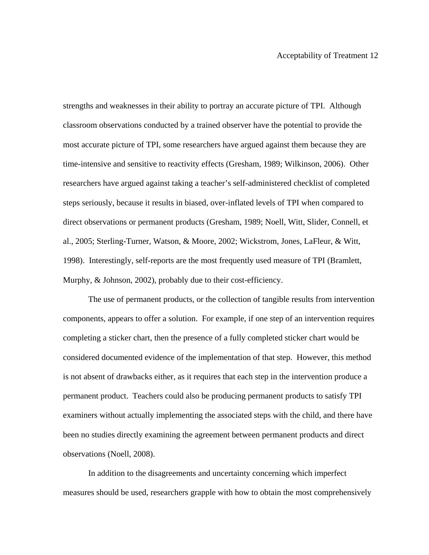strengths and weaknesses in their ability to portray an accurate picture of TPI. Although classroom observations conducted by a trained observer have the potential to provide the most accurate picture of TPI, some researchers have argued against them because they are time-intensive and sensitive to reactivity effects (Gresham, 1989; Wilkinson, 2006). Other researchers have argued against taking a teacher's self-administered checklist of completed steps seriously, because it results in biased, over-inflated levels of TPI when compared to direct observations or permanent products (Gresham, 1989; Noell, Witt, Slider, Connell, et al., 2005; Sterling-Turner, Watson, & Moore, 2002; Wickstrom, Jones, LaFleur, & Witt, 1998). Interestingly, self-reports are the most frequently used measure of TPI (Bramlett, Murphy, & Johnson, 2002), probably due to their cost-efficiency.

The use of permanent products, or the collection of tangible results from intervention components, appears to offer a solution. For example, if one step of an intervention requires completing a sticker chart, then the presence of a fully completed sticker chart would be considered documented evidence of the implementation of that step. However, this method is not absent of drawbacks either, as it requires that each step in the intervention produce a permanent product. Teachers could also be producing permanent products to satisfy TPI examiners without actually implementing the associated steps with the child, and there have been no studies directly examining the agreement between permanent products and direct observations (Noell, 2008).

In addition to the disagreements and uncertainty concerning which imperfect measures should be used, researchers grapple with how to obtain the most comprehensively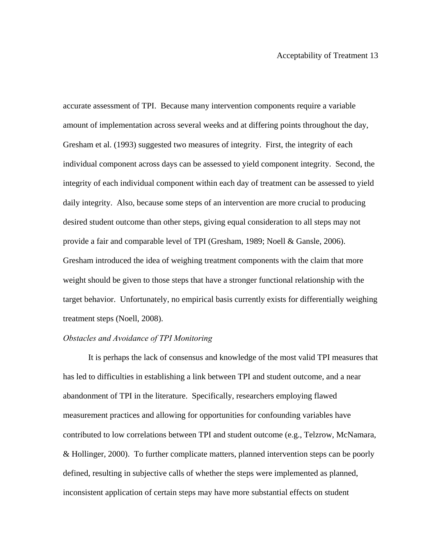accurate assessment of TPI. Because many intervention components require a variable amount of implementation across several weeks and at differing points throughout the day, Gresham et al. (1993) suggested two measures of integrity. First, the integrity of each individual component across days can be assessed to yield component integrity. Second, the integrity of each individual component within each day of treatment can be assessed to yield daily integrity. Also, because some steps of an intervention are more crucial to producing desired student outcome than other steps, giving equal consideration to all steps may not provide a fair and comparable level of TPI (Gresham, 1989; Noell & Gansle, 2006). Gresham introduced the idea of weighing treatment components with the claim that more weight should be given to those steps that have a stronger functional relationship with the target behavior. Unfortunately, no empirical basis currently exists for differentially weighing treatment steps (Noell, 2008).

#### *Obstacles and Avoidance of TPI Monitoring*

It is perhaps the lack of consensus and knowledge of the most valid TPI measures that has led to difficulties in establishing a link between TPI and student outcome, and a near abandonment of TPI in the literature. Specifically, researchers employing flawed measurement practices and allowing for opportunities for confounding variables have contributed to low correlations between TPI and student outcome (e.g., Telzrow, McNamara, & Hollinger, 2000). To further complicate matters, planned intervention steps can be poorly defined, resulting in subjective calls of whether the steps were implemented as planned, inconsistent application of certain steps may have more substantial effects on student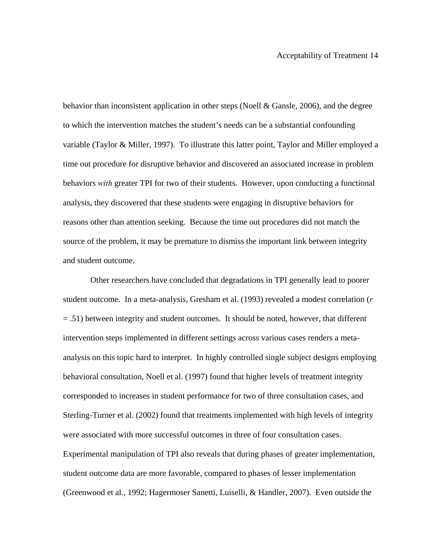behavior than inconsistent application in other steps (Noell & Gansle, 2006), and the degree to which the intervention matches the student's needs can be a substantial confounding variable (Taylor & Miller, 1997). To illustrate this latter point, Taylor and Miller employed a time out procedure for disruptive behavior and discovered an associated increase in problem behaviors *with* greater TPI for two of their students. However, upon conducting a functional analysis, they discovered that these students were engaging in disruptive behaviors for reasons other than attention seeking. Because the time out procedures did not match the source of the problem, it may be premature to dismiss the important link between integrity and student outcome.

 Other researchers have concluded that degradations in TPI generally lead to poorer student outcome. In a meta-analysis, Gresham et al. (1993) revealed a modest correlation (*r* = .51) between integrity and student outcomes. It should be noted, however, that different intervention steps implemented in different settings across various cases renders a metaanalysis on this topic hard to interpret. In highly controlled single subject designs employing behavioral consultation, Noell et al. (1997) found that higher levels of treatment integrity corresponded to increases in student performance for two of three consultation cases, and Sterling-Turner et al. (2002) found that treatments implemented with high levels of integrity were associated with more successful outcomes in three of four consultation cases. Experimental manipulation of TPI also reveals that during phases of greater implementation, student outcome data are more favorable, compared to phases of lesser implementation (Greenwood et al., 1992; Hagermoser Sanetti, Luiselli, & Handler, 2007). Even outside the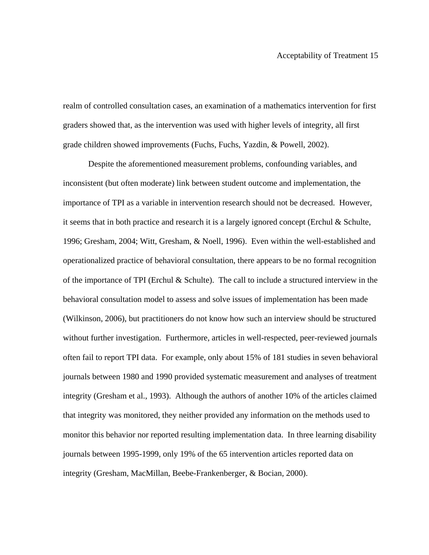realm of controlled consultation cases, an examination of a mathematics intervention for first graders showed that, as the intervention was used with higher levels of integrity, all first grade children showed improvements (Fuchs, Fuchs, Yazdin, & Powell, 2002).

Despite the aforementioned measurement problems, confounding variables, and inconsistent (but often moderate) link between student outcome and implementation, the importance of TPI as a variable in intervention research should not be decreased. However, it seems that in both practice and research it is a largely ignored concept (Erchul  $\&$  Schulte, 1996; Gresham, 2004; Witt, Gresham, & Noell, 1996). Even within the well-established and operationalized practice of behavioral consultation, there appears to be no formal recognition of the importance of TPI (Erchul & Schulte). The call to include a structured interview in the behavioral consultation model to assess and solve issues of implementation has been made (Wilkinson, 2006), but practitioners do not know how such an interview should be structured without further investigation. Furthermore, articles in well-respected, peer-reviewed journals often fail to report TPI data. For example, only about 15% of 181 studies in seven behavioral journals between 1980 and 1990 provided systematic measurement and analyses of treatment integrity (Gresham et al., 1993). Although the authors of another 10% of the articles claimed that integrity was monitored, they neither provided any information on the methods used to monitor this behavior nor reported resulting implementation data. In three learning disability journals between 1995-1999, only 19% of the 65 intervention articles reported data on integrity (Gresham, MacMillan, Beebe-Frankenberger, & Bocian, 2000).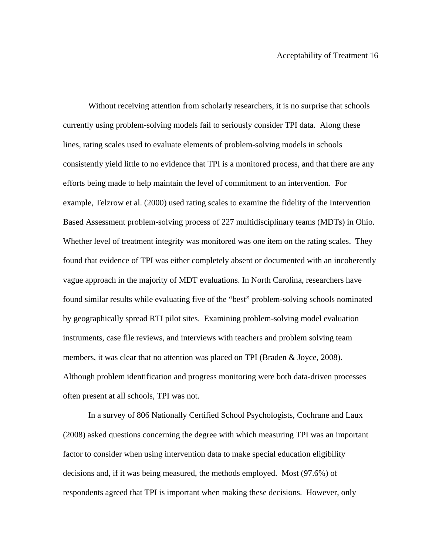Without receiving attention from scholarly researchers, it is no surprise that schools currently using problem-solving models fail to seriously consider TPI data. Along these lines, rating scales used to evaluate elements of problem-solving models in schools consistently yield little to no evidence that TPI is a monitored process, and that there are any efforts being made to help maintain the level of commitment to an intervention. For example, Telzrow et al. (2000) used rating scales to examine the fidelity of the Intervention Based Assessment problem-solving process of 227 multidisciplinary teams (MDTs) in Ohio. Whether level of treatment integrity was monitored was one item on the rating scales. They found that evidence of TPI was either completely absent or documented with an incoherently vague approach in the majority of MDT evaluations. In North Carolina, researchers have found similar results while evaluating five of the "best" problem-solving schools nominated by geographically spread RTI pilot sites. Examining problem-solving model evaluation instruments, case file reviews, and interviews with teachers and problem solving team members, it was clear that no attention was placed on TPI (Braden  $\&$  Joyce, 2008). Although problem identification and progress monitoring were both data-driven processes often present at all schools, TPI was not.

In a survey of 806 Nationally Certified School Psychologists, Cochrane and Laux (2008) asked questions concerning the degree with which measuring TPI was an important factor to consider when using intervention data to make special education eligibility decisions and, if it was being measured, the methods employed. Most (97.6%) of respondents agreed that TPI is important when making these decisions. However, only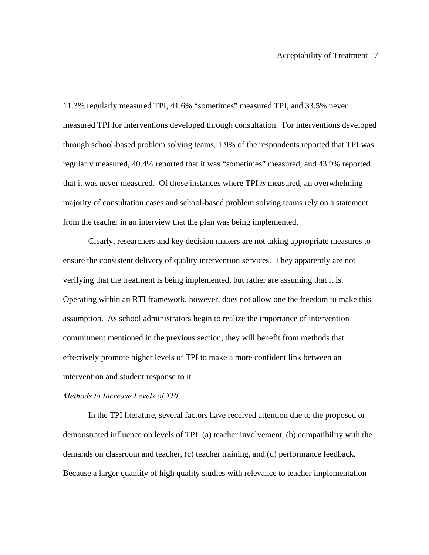11.3% regularly measured TPI, 41.6% "sometimes" measured TPI, and 33.5% never measured TPI for interventions developed through consultation. For interventions developed through school-based problem solving teams, 1.9% of the respondents reported that TPI was regularly measured, 40.4% reported that it was "sometimes" measured, and 43.9% reported that it was never measured. Of those instances where TPI *is* measured, an overwhelming majority of consultation cases and school-based problem solving teams rely on a statement from the teacher in an interview that the plan was being implemented.

Clearly, researchers and key decision makers are not taking appropriate measures to ensure the consistent delivery of quality intervention services. They apparently are not verifying that the treatment is being implemented, but rather are assuming that it is. Operating within an RTI framework, however, does not allow one the freedom to make this assumption. As school administrators begin to realize the importance of intervention commitment mentioned in the previous section, they will benefit from methods that effectively promote higher levels of TPI to make a more confident link between an intervention and student response to it.

#### *Methods to Increase Levels of TPI*

 In the TPI literature, several factors have received attention due to the proposed or demonstrated influence on levels of TPI: (a) teacher involvement, (b) compatibility with the demands on classroom and teacher, (c) teacher training, and (d) performance feedback. Because a larger quantity of high quality studies with relevance to teacher implementation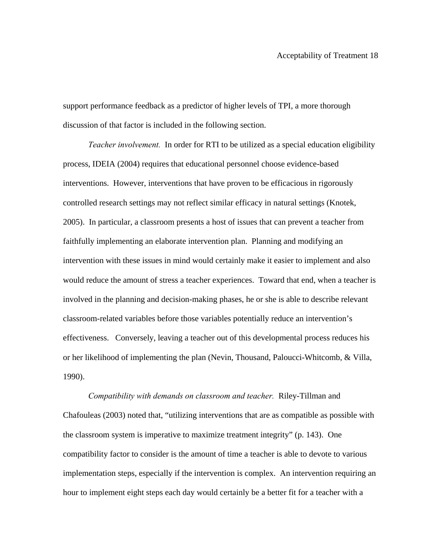support performance feedback as a predictor of higher levels of TPI, a more thorough discussion of that factor is included in the following section.

*Teacher involvement.* In order for RTI to be utilized as a special education eligibility process, IDEIA (2004) requires that educational personnel choose evidence-based interventions. However, interventions that have proven to be efficacious in rigorously controlled research settings may not reflect similar efficacy in natural settings (Knotek, 2005). In particular, a classroom presents a host of issues that can prevent a teacher from faithfully implementing an elaborate intervention plan. Planning and modifying an intervention with these issues in mind would certainly make it easier to implement and also would reduce the amount of stress a teacher experiences. Toward that end, when a teacher is involved in the planning and decision-making phases, he or she is able to describe relevant classroom-related variables before those variables potentially reduce an intervention's effectiveness. Conversely, leaving a teacher out of this developmental process reduces his or her likelihood of implementing the plan (Nevin, Thousand, Paloucci-Whitcomb, & Villa, 1990).

*Compatibility with demands on classroom and teacher.* Riley-Tillman and Chafouleas (2003) noted that, "utilizing interventions that are as compatible as possible with the classroom system is imperative to maximize treatment integrity" (p. 143). One compatibility factor to consider is the amount of time a teacher is able to devote to various implementation steps, especially if the intervention is complex. An intervention requiring an hour to implement eight steps each day would certainly be a better fit for a teacher with a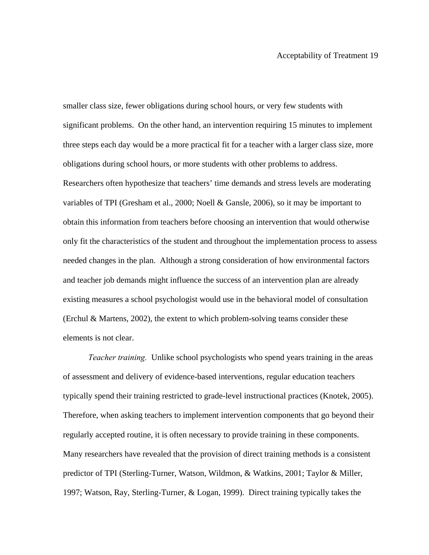smaller class size, fewer obligations during school hours, or very few students with significant problems. On the other hand, an intervention requiring 15 minutes to implement three steps each day would be a more practical fit for a teacher with a larger class size, more obligations during school hours, or more students with other problems to address. Researchers often hypothesize that teachers' time demands and stress levels are moderating variables of TPI (Gresham et al., 2000; Noell & Gansle, 2006), so it may be important to obtain this information from teachers before choosing an intervention that would otherwise only fit the characteristics of the student and throughout the implementation process to assess needed changes in the plan. Although a strong consideration of how environmental factors and teacher job demands might influence the success of an intervention plan are already existing measures a school psychologist would use in the behavioral model of consultation (Erchul & Martens, 2002), the extent to which problem-solving teams consider these elements is not clear.

*Teacher training.* Unlike school psychologists who spend years training in the areas of assessment and delivery of evidence-based interventions, regular education teachers typically spend their training restricted to grade-level instructional practices (Knotek, 2005). Therefore, when asking teachers to implement intervention components that go beyond their regularly accepted routine, it is often necessary to provide training in these components. Many researchers have revealed that the provision of direct training methods is a consistent predictor of TPI (Sterling-Turner, Watson, Wildmon, & Watkins, 2001; Taylor & Miller, 1997; Watson, Ray, Sterling-Turner, & Logan, 1999). Direct training typically takes the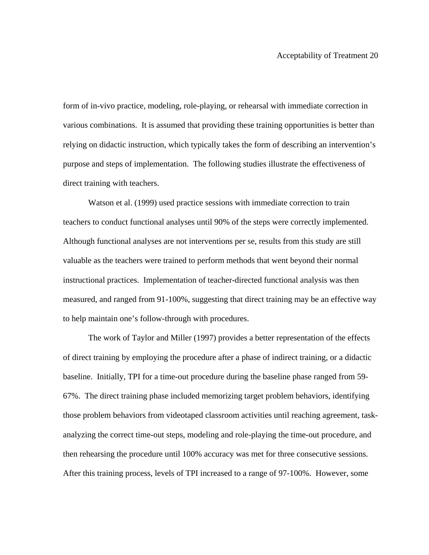form of in-vivo practice, modeling, role-playing, or rehearsal with immediate correction in various combinations. It is assumed that providing these training opportunities is better than relying on didactic instruction, which typically takes the form of describing an intervention's purpose and steps of implementation. The following studies illustrate the effectiveness of direct training with teachers.

Watson et al. (1999) used practice sessions with immediate correction to train teachers to conduct functional analyses until 90% of the steps were correctly implemented. Although functional analyses are not interventions per se, results from this study are still valuable as the teachers were trained to perform methods that went beyond their normal instructional practices. Implementation of teacher-directed functional analysis was then measured, and ranged from 91-100%, suggesting that direct training may be an effective way to help maintain one's follow-through with procedures.

The work of Taylor and Miller (1997) provides a better representation of the effects of direct training by employing the procedure after a phase of indirect training, or a didactic baseline. Initially, TPI for a time-out procedure during the baseline phase ranged from 59- 67%. The direct training phase included memorizing target problem behaviors, identifying those problem behaviors from videotaped classroom activities until reaching agreement, taskanalyzing the correct time-out steps, modeling and role-playing the time-out procedure, and then rehearsing the procedure until 100% accuracy was met for three consecutive sessions. After this training process, levels of TPI increased to a range of 97-100%. However, some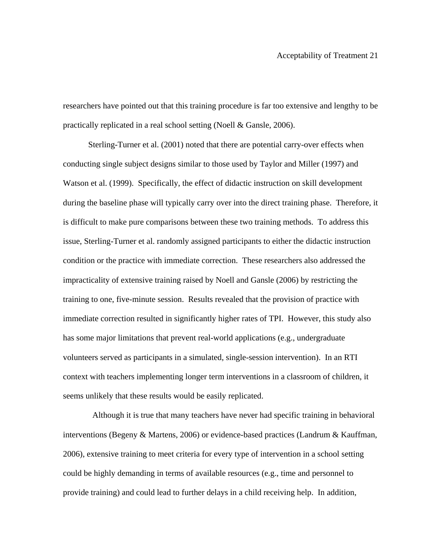researchers have pointed out that this training procedure is far too extensive and lengthy to be practically replicated in a real school setting (Noell & Gansle, 2006).

Sterling-Turner et al. (2001) noted that there are potential carry-over effects when conducting single subject designs similar to those used by Taylor and Miller (1997) and Watson et al. (1999). Specifically, the effect of didactic instruction on skill development during the baseline phase will typically carry over into the direct training phase. Therefore, it is difficult to make pure comparisons between these two training methods. To address this issue, Sterling-Turner et al. randomly assigned participants to either the didactic instruction condition or the practice with immediate correction. These researchers also addressed the impracticality of extensive training raised by Noell and Gansle (2006) by restricting the training to one, five-minute session. Results revealed that the provision of practice with immediate correction resulted in significantly higher rates of TPI. However, this study also has some major limitations that prevent real-world applications (e.g., undergraduate volunteers served as participants in a simulated, single-session intervention). In an RTI context with teachers implementing longer term interventions in a classroom of children, it seems unlikely that these results would be easily replicated.

 Although it is true that many teachers have never had specific training in behavioral interventions (Begeny & Martens, 2006) or evidence-based practices (Landrum & Kauffman, 2006), extensive training to meet criteria for every type of intervention in a school setting could be highly demanding in terms of available resources (e.g., time and personnel to provide training) and could lead to further delays in a child receiving help. In addition,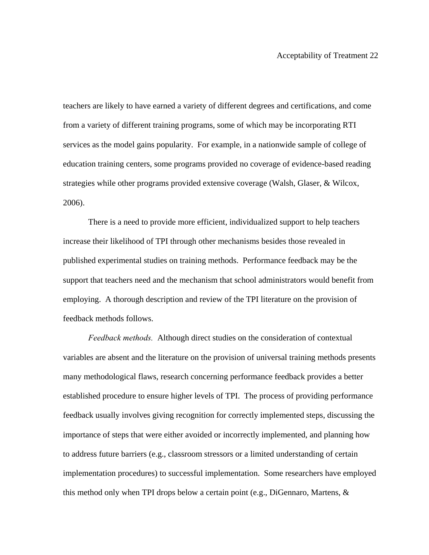teachers are likely to have earned a variety of different degrees and certifications, and come from a variety of different training programs, some of which may be incorporating RTI services as the model gains popularity. For example, in a nationwide sample of college of education training centers, some programs provided no coverage of evidence-based reading strategies while other programs provided extensive coverage (Walsh, Glaser, & Wilcox, 2006).

There is a need to provide more efficient, individualized support to help teachers increase their likelihood of TPI through other mechanisms besides those revealed in published experimental studies on training methods. Performance feedback may be the support that teachers need and the mechanism that school administrators would benefit from employing. A thorough description and review of the TPI literature on the provision of feedback methods follows.

*Feedback methods.* Although direct studies on the consideration of contextual variables are absent and the literature on the provision of universal training methods presents many methodological flaws, research concerning performance feedback provides a better established procedure to ensure higher levels of TPI. The process of providing performance feedback usually involves giving recognition for correctly implemented steps, discussing the importance of steps that were either avoided or incorrectly implemented, and planning how to address future barriers (e.g., classroom stressors or a limited understanding of certain implementation procedures) to successful implementation. Some researchers have employed this method only when TPI drops below a certain point (e.g., DiGennaro, Martens, &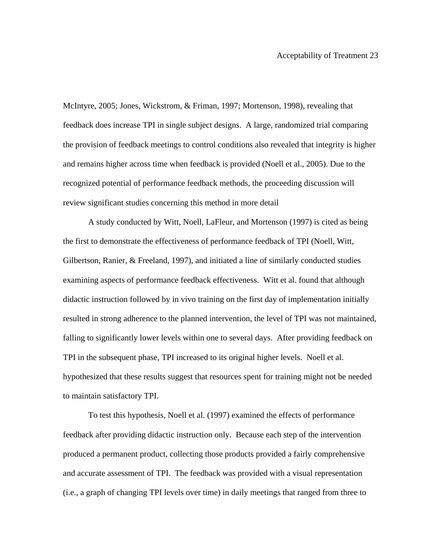McIntyre, 2005; Jones, Wickstrom, & Friman, 1997; Mortenson, 1998), revealing that feedback does increase TPI in single subject designs. A large, randomized trial comparing the provision of feedback meetings to control conditions also revealed that integrity is higher and remains higher across time when feedback is provided (Noell et al., 2005). Due to the recognized potential of performance feedback methods, the proceeding discussion will review significant studies concerning this method in more detail

A study conducted by Witt, Noell, LaFleur, and Mortenson (1997) is cited as being the first to demonstrate the effectiveness of performance feedback of TPI (Noell, Witt, Gilbertson, Ranier, & Freeland, 1997), and initiated a line of similarly conducted studies examining aspects of performance feedback effectiveness. Witt et al. found that although didactic instruction followed by in vivo training on the first day of implementation initially resulted in strong adherence to the planned intervention, the level of TPI was not maintained, falling to significantly lower levels within one to several days. After providing feedback on TPI in the subsequent phase, TPI increased to its original higher levels. Noell et al. hypothesized that these results suggest that resources spent for training might not be needed to maintain satisfactory TPI.

To test this hypothesis, Noell et al. (1997) examined the effects of performance feedback after providing didactic instruction only. Because each step of the intervention produced a permanent product, collecting those products provided a fairly comprehensive and accurate assessment of TPI. The feedback was provided with a visual representation (i.e., a graph of changing TPI levels over time) in daily meetings that ranged from three to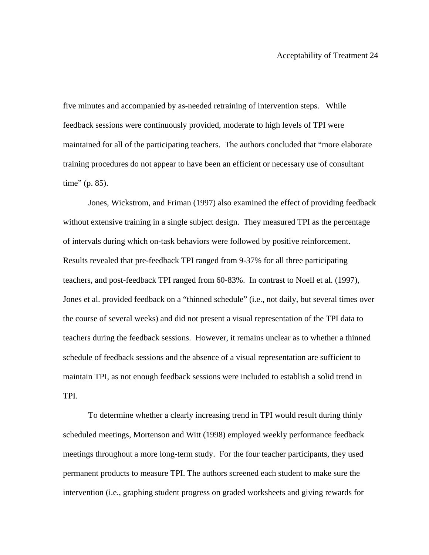five minutes and accompanied by as-needed retraining of intervention steps. While feedback sessions were continuously provided, moderate to high levels of TPI were maintained for all of the participating teachers. The authors concluded that "more elaborate training procedures do not appear to have been an efficient or necessary use of consultant time" (p. 85).

Jones, Wickstrom, and Friman (1997) also examined the effect of providing feedback without extensive training in a single subject design. They measured TPI as the percentage of intervals during which on-task behaviors were followed by positive reinforcement. Results revealed that pre-feedback TPI ranged from 9-37% for all three participating teachers, and post-feedback TPI ranged from 60-83%. In contrast to Noell et al. (1997), Jones et al. provided feedback on a "thinned schedule" (i.e., not daily, but several times over the course of several weeks) and did not present a visual representation of the TPI data to teachers during the feedback sessions. However, it remains unclear as to whether a thinned schedule of feedback sessions and the absence of a visual representation are sufficient to maintain TPI, as not enough feedback sessions were included to establish a solid trend in TPI.

To determine whether a clearly increasing trend in TPI would result during thinly scheduled meetings, Mortenson and Witt (1998) employed weekly performance feedback meetings throughout a more long-term study. For the four teacher participants, they used permanent products to measure TPI. The authors screened each student to make sure the intervention (i.e., graphing student progress on graded worksheets and giving rewards for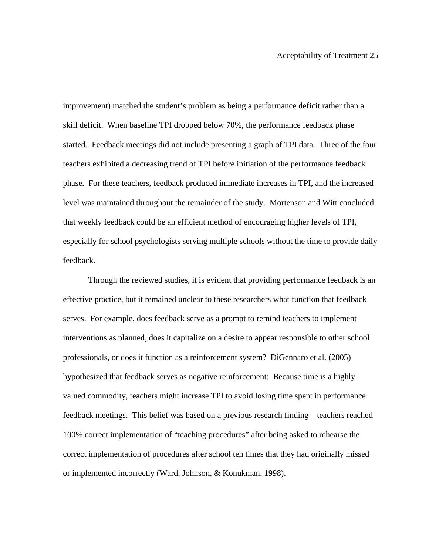improvement) matched the student's problem as being a performance deficit rather than a skill deficit. When baseline TPI dropped below 70%, the performance feedback phase started. Feedback meetings did not include presenting a graph of TPI data. Three of the four teachers exhibited a decreasing trend of TPI before initiation of the performance feedback phase. For these teachers, feedback produced immediate increases in TPI, and the increased level was maintained throughout the remainder of the study. Mortenson and Witt concluded that weekly feedback could be an efficient method of encouraging higher levels of TPI, especially for school psychologists serving multiple schools without the time to provide daily feedback.

 Through the reviewed studies, it is evident that providing performance feedback is an effective practice, but it remained unclear to these researchers what function that feedback serves. For example, does feedback serve as a prompt to remind teachers to implement interventions as planned, does it capitalize on a desire to appear responsible to other school professionals, or does it function as a reinforcement system? DiGennaro et al. (2005) hypothesized that feedback serves as negative reinforcement: Because time is a highly valued commodity, teachers might increase TPI to avoid losing time spent in performance feedback meetings. This belief was based on a previous research finding—teachers reached 100% correct implementation of "teaching procedures" after being asked to rehearse the correct implementation of procedures after school ten times that they had originally missed or implemented incorrectly (Ward, Johnson, & Konukman, 1998).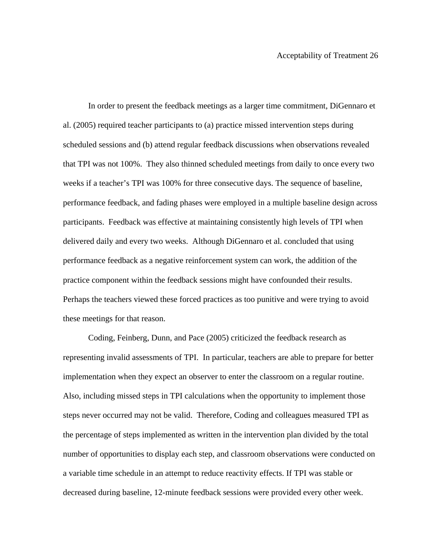In order to present the feedback meetings as a larger time commitment, DiGennaro et al. (2005) required teacher participants to (a) practice missed intervention steps during scheduled sessions and (b) attend regular feedback discussions when observations revealed that TPI was not 100%. They also thinned scheduled meetings from daily to once every two weeks if a teacher's TPI was 100% for three consecutive days. The sequence of baseline, performance feedback, and fading phases were employed in a multiple baseline design across participants. Feedback was effective at maintaining consistently high levels of TPI when delivered daily and every two weeks. Although DiGennaro et al. concluded that using performance feedback as a negative reinforcement system can work, the addition of the practice component within the feedback sessions might have confounded their results. Perhaps the teachers viewed these forced practices as too punitive and were trying to avoid these meetings for that reason.

 Coding, Feinberg, Dunn, and Pace (2005) criticized the feedback research as representing invalid assessments of TPI. In particular, teachers are able to prepare for better implementation when they expect an observer to enter the classroom on a regular routine. Also, including missed steps in TPI calculations when the opportunity to implement those steps never occurred may not be valid. Therefore, Coding and colleagues measured TPI as the percentage of steps implemented as written in the intervention plan divided by the total number of opportunities to display each step, and classroom observations were conducted on a variable time schedule in an attempt to reduce reactivity effects. If TPI was stable or decreased during baseline, 12-minute feedback sessions were provided every other week.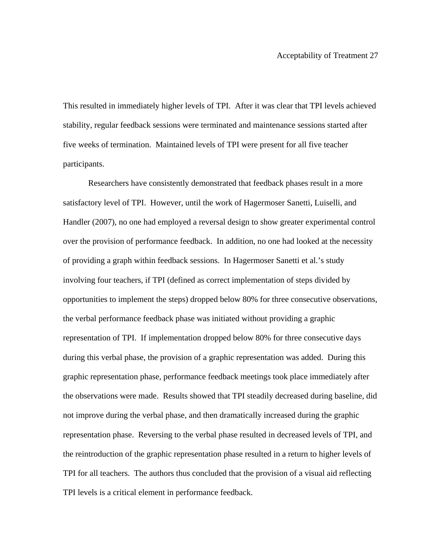This resulted in immediately higher levels of TPI. After it was clear that TPI levels achieved stability, regular feedback sessions were terminated and maintenance sessions started after five weeks of termination. Maintained levels of TPI were present for all five teacher participants.

Researchers have consistently demonstrated that feedback phases result in a more satisfactory level of TPI. However, until the work of Hagermoser Sanetti, Luiselli, and Handler (2007), no one had employed a reversal design to show greater experimental control over the provision of performance feedback. In addition, no one had looked at the necessity of providing a graph within feedback sessions. In Hagermoser Sanetti et al.'s study involving four teachers, if TPI (defined as correct implementation of steps divided by opportunities to implement the steps) dropped below 80% for three consecutive observations, the verbal performance feedback phase was initiated without providing a graphic representation of TPI. If implementation dropped below 80% for three consecutive days during this verbal phase, the provision of a graphic representation was added. During this graphic representation phase, performance feedback meetings took place immediately after the observations were made. Results showed that TPI steadily decreased during baseline, did not improve during the verbal phase, and then dramatically increased during the graphic representation phase. Reversing to the verbal phase resulted in decreased levels of TPI, and the reintroduction of the graphic representation phase resulted in a return to higher levels of TPI for all teachers. The authors thus concluded that the provision of a visual aid reflecting TPI levels is a critical element in performance feedback.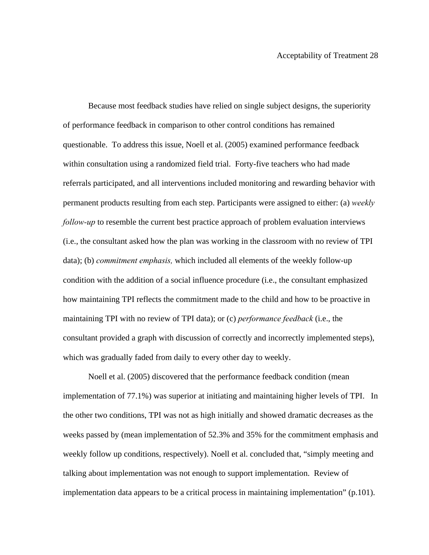Because most feedback studies have relied on single subject designs, the superiority of performance feedback in comparison to other control conditions has remained questionable. To address this issue, Noell et al. (2005) examined performance feedback within consultation using a randomized field trial. Forty-five teachers who had made referrals participated, and all interventions included monitoring and rewarding behavior with permanent products resulting from each step. Participants were assigned to either: (a) *weekly follow-up* to resemble the current best practice approach of problem evaluation interviews (i.e., the consultant asked how the plan was working in the classroom with no review of TPI data); (b) *commitment emphasis,* which included all elements of the weekly follow-up condition with the addition of a social influence procedure (i.e., the consultant emphasized how maintaining TPI reflects the commitment made to the child and how to be proactive in maintaining TPI with no review of TPI data); or (c) *performance feedback* (i.e., the consultant provided a graph with discussion of correctly and incorrectly implemented steps), which was gradually faded from daily to every other day to weekly.

Noell et al. (2005) discovered that the performance feedback condition (mean implementation of 77.1%) was superior at initiating and maintaining higher levels of TPI. In the other two conditions, TPI was not as high initially and showed dramatic decreases as the weeks passed by (mean implementation of 52.3% and 35% for the commitment emphasis and weekly follow up conditions, respectively). Noell et al. concluded that, "simply meeting and talking about implementation was not enough to support implementation. Review of implementation data appears to be a critical process in maintaining implementation" (p.101).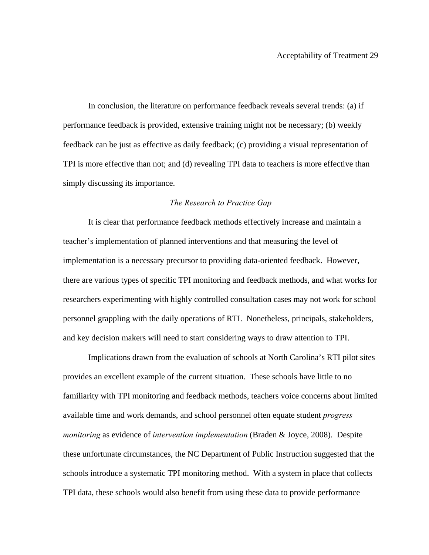In conclusion, the literature on performance feedback reveals several trends: (a) if performance feedback is provided, extensive training might not be necessary; (b) weekly feedback can be just as effective as daily feedback; (c) providing a visual representation of TPI is more effective than not; and (d) revealing TPI data to teachers is more effective than simply discussing its importance.

## *The Research to Practice Gap*

 It is clear that performance feedback methods effectively increase and maintain a teacher's implementation of planned interventions and that measuring the level of implementation is a necessary precursor to providing data-oriented feedback. However, there are various types of specific TPI monitoring and feedback methods, and what works for researchers experimenting with highly controlled consultation cases may not work for school personnel grappling with the daily operations of RTI. Nonetheless, principals, stakeholders, and key decision makers will need to start considering ways to draw attention to TPI.

Implications drawn from the evaluation of schools at North Carolina's RTI pilot sites provides an excellent example of the current situation. These schools have little to no familiarity with TPI monitoring and feedback methods, teachers voice concerns about limited available time and work demands, and school personnel often equate student *progress monitoring* as evidence of *intervention implementation* (Braden & Joyce, 2008). Despite these unfortunate circumstances, the NC Department of Public Instruction suggested that the schools introduce a systematic TPI monitoring method. With a system in place that collects TPI data, these schools would also benefit from using these data to provide performance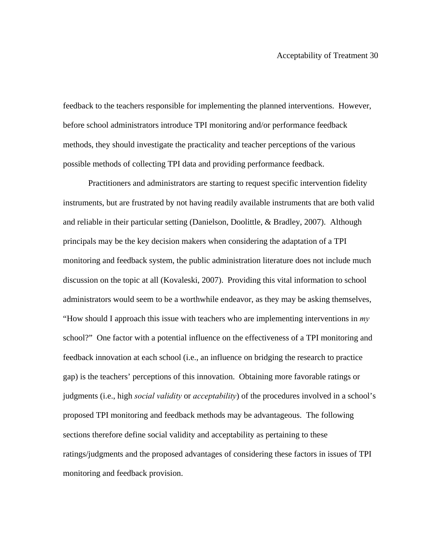feedback to the teachers responsible for implementing the planned interventions. However, before school administrators introduce TPI monitoring and/or performance feedback methods, they should investigate the practicality and teacher perceptions of the various possible methods of collecting TPI data and providing performance feedback.

Practitioners and administrators are starting to request specific intervention fidelity instruments, but are frustrated by not having readily available instruments that are both valid and reliable in their particular setting (Danielson, Doolittle, & Bradley, 2007). Although principals may be the key decision makers when considering the adaptation of a TPI monitoring and feedback system, the public administration literature does not include much discussion on the topic at all (Kovaleski, 2007). Providing this vital information to school administrators would seem to be a worthwhile endeavor, as they may be asking themselves, "How should I approach this issue with teachers who are implementing interventions in *my* school?" One factor with a potential influence on the effectiveness of a TPI monitoring and feedback innovation at each school (i.e., an influence on bridging the research to practice gap) is the teachers' perceptions of this innovation. Obtaining more favorable ratings or judgments (i.e., high *social validity* or *acceptability*) of the procedures involved in a school's proposed TPI monitoring and feedback methods may be advantageous. The following sections therefore define social validity and acceptability as pertaining to these ratings/judgments and the proposed advantages of considering these factors in issues of TPI monitoring and feedback provision.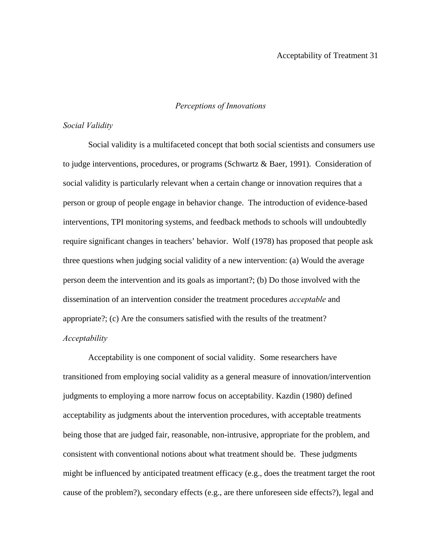## *Perceptions of Innovations*

## *Social Validity*

Social validity is a multifaceted concept that both social scientists and consumers use to judge interventions, procedures, or programs (Schwartz  $\&$  Baer, 1991). Consideration of social validity is particularly relevant when a certain change or innovation requires that a person or group of people engage in behavior change. The introduction of evidence-based interventions, TPI monitoring systems, and feedback methods to schools will undoubtedly require significant changes in teachers' behavior. Wolf (1978) has proposed that people ask three questions when judging social validity of a new intervention: (a) Would the average person deem the intervention and its goals as important?; (b) Do those involved with the dissemination of an intervention consider the treatment procedures *acceptable* and appropriate?; (c) Are the consumers satisfied with the results of the treatment? *Acceptability* 

Acceptability is one component of social validity. Some researchers have transitioned from employing social validity as a general measure of innovation/intervention judgments to employing a more narrow focus on acceptability. Kazdin (1980) defined acceptability as judgments about the intervention procedures, with acceptable treatments being those that are judged fair, reasonable, non-intrusive, appropriate for the problem, and consistent with conventional notions about what treatment should be. These judgments might be influenced by anticipated treatment efficacy (e.g., does the treatment target the root cause of the problem?), secondary effects (e.g., are there unforeseen side effects?), legal and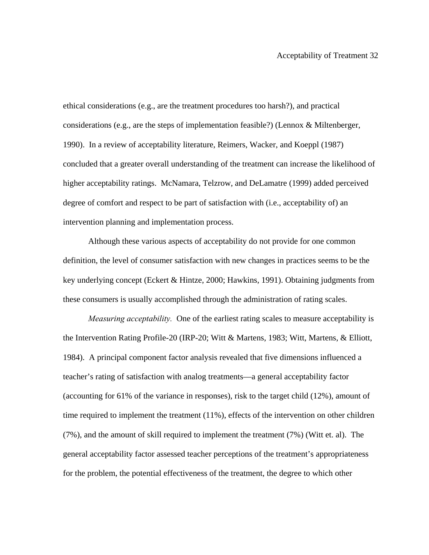ethical considerations (e.g., are the treatment procedures too harsh?), and practical considerations (e.g., are the steps of implementation feasible?) (Lennox  $\&$  Miltenberger, 1990). In a review of acceptability literature, Reimers, Wacker, and Koeppl (1987) concluded that a greater overall understanding of the treatment can increase the likelihood of higher acceptability ratings. McNamara, Telzrow, and DeLamatre (1999) added perceived degree of comfort and respect to be part of satisfaction with (i.e., acceptability of) an intervention planning and implementation process.

Although these various aspects of acceptability do not provide for one common definition, the level of consumer satisfaction with new changes in practices seems to be the key underlying concept (Eckert & Hintze, 2000; Hawkins, 1991). Obtaining judgments from these consumers is usually accomplished through the administration of rating scales.

*Measuring acceptability.* One of the earliest rating scales to measure acceptability is the Intervention Rating Profile-20 (IRP-20; Witt & Martens, 1983; Witt, Martens, & Elliott, 1984). A principal component factor analysis revealed that five dimensions influenced a teacher's rating of satisfaction with analog treatments—a general acceptability factor (accounting for 61% of the variance in responses), risk to the target child (12%), amount of time required to implement the treatment (11%), effects of the intervention on other children (7%), and the amount of skill required to implement the treatment (7%) (Witt et. al). The general acceptability factor assessed teacher perceptions of the treatment's appropriateness for the problem, the potential effectiveness of the treatment, the degree to which other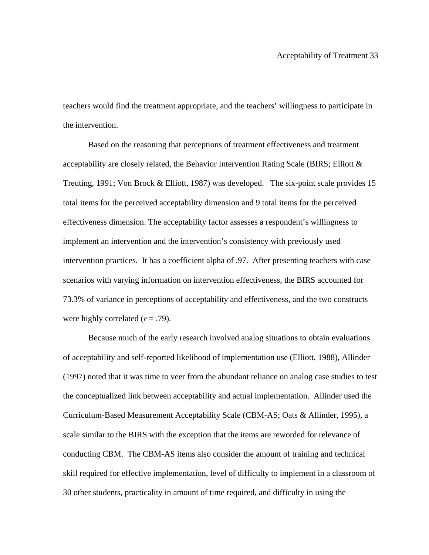teachers would find the treatment appropriate, and the teachers' willingness to participate in the intervention.

Based on the reasoning that perceptions of treatment effectiveness and treatment acceptability are closely related, the Behavior Intervention Rating Scale (BIRS; Elliott  $\&$ Treuting, 1991; Von Brock & Elliott, 1987) was developed. The six-point scale provides 15 total items for the perceived acceptability dimension and 9 total items for the perceived effectiveness dimension. The acceptability factor assesses a respondent's willingness to implement an intervention and the intervention's consistency with previously used intervention practices. It has a coefficient alpha of .97. After presenting teachers with case scenarios with varying information on intervention effectiveness, the BIRS accounted for 73.3% of variance in perceptions of acceptability and effectiveness, and the two constructs were highly correlated  $(r = .79)$ .

Because much of the early research involved analog situations to obtain evaluations of acceptability and self-reported likelihood of implementation use (Elliott, 1988), Allinder (1997) noted that it was time to veer from the abundant reliance on analog case studies to test the conceptualized link between acceptability and actual implementation. Allinder used the Curriculum-Based Measurement Acceptability Scale (CBM-AS; Oats & Allinder, 1995), a scale similar to the BIRS with the exception that the items are reworded for relevance of conducting CBM. The CBM-AS items also consider the amount of training and technical skill required for effective implementation, level of difficulty to implement in a classroom of 30 other students, practicality in amount of time required, and difficulty in using the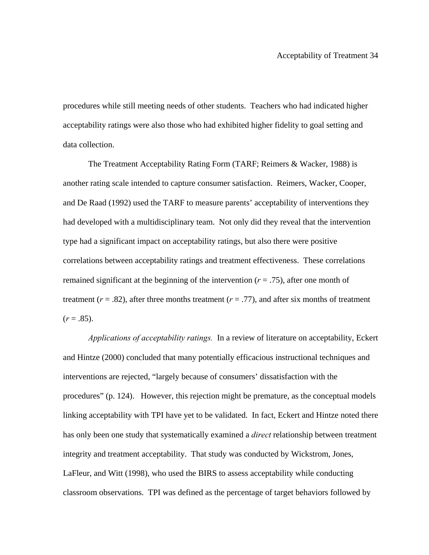procedures while still meeting needs of other students. Teachers who had indicated higher acceptability ratings were also those who had exhibited higher fidelity to goal setting and data collection.

The Treatment Acceptability Rating Form (TARF; Reimers & Wacker, 1988) is another rating scale intended to capture consumer satisfaction. Reimers, Wacker, Cooper, and De Raad (1992) used the TARF to measure parents' acceptability of interventions they had developed with a multidisciplinary team. Not only did they reveal that the intervention type had a significant impact on acceptability ratings, but also there were positive correlations between acceptability ratings and treatment effectiveness. These correlations remained significant at the beginning of the intervention  $(r = .75)$ , after one month of treatment ( $r = .82$ ), after three months treatment ( $r = .77$ ), and after six months of treatment  $(r=.85)$ .

*Applications of acceptability ratings.* In a review of literature on acceptability, Eckert and Hintze (2000) concluded that many potentially efficacious instructional techniques and interventions are rejected, "largely because of consumers' dissatisfaction with the procedures" (p. 124). However, this rejection might be premature, as the conceptual models linking acceptability with TPI have yet to be validated. In fact, Eckert and Hintze noted there has only been one study that systematically examined a *direct* relationship between treatment integrity and treatment acceptability. That study was conducted by Wickstrom, Jones, LaFleur, and Witt (1998), who used the BIRS to assess acceptability while conducting classroom observations. TPI was defined as the percentage of target behaviors followed by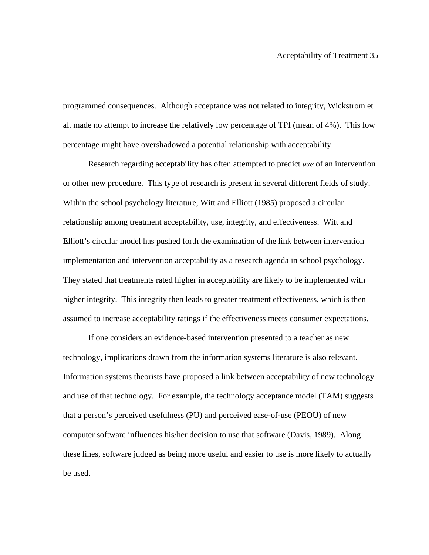programmed consequences. Although acceptance was not related to integrity, Wickstrom et al. made no attempt to increase the relatively low percentage of TPI (mean of 4%). This low percentage might have overshadowed a potential relationship with acceptability.

Research regarding acceptability has often attempted to predict *use* of an intervention or other new procedure. This type of research is present in several different fields of study. Within the school psychology literature, Witt and Elliott (1985) proposed a circular relationship among treatment acceptability, use, integrity, and effectiveness. Witt and Elliott's circular model has pushed forth the examination of the link between intervention implementation and intervention acceptability as a research agenda in school psychology. They stated that treatments rated higher in acceptability are likely to be implemented with higher integrity. This integrity then leads to greater treatment effectiveness, which is then assumed to increase acceptability ratings if the effectiveness meets consumer expectations.

If one considers an evidence-based intervention presented to a teacher as new technology, implications drawn from the information systems literature is also relevant. Information systems theorists have proposed a link between acceptability of new technology and use of that technology. For example, the technology acceptance model (TAM) suggests that a person's perceived usefulness (PU) and perceived ease-of-use (PEOU) of new computer software influences his/her decision to use that software (Davis, 1989). Along these lines, software judged as being more useful and easier to use is more likely to actually be used.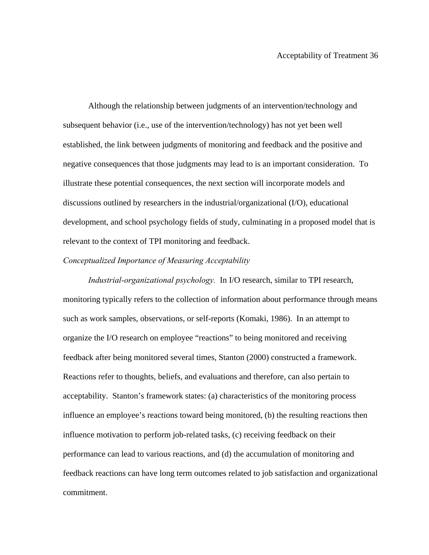Although the relationship between judgments of an intervention/technology and subsequent behavior (i.e., use of the intervention/technology) has not yet been well established, the link between judgments of monitoring and feedback and the positive and negative consequences that those judgments may lead to is an important consideration. To illustrate these potential consequences, the next section will incorporate models and discussions outlined by researchers in the industrial/organizational (I/O), educational development, and school psychology fields of study, culminating in a proposed model that is relevant to the context of TPI monitoring and feedback.

#### *Conceptualized Importance of Measuring Acceptability*

*Industrial-organizational psychology.* In I/O research, similar to TPI research, monitoring typically refers to the collection of information about performance through means such as work samples, observations, or self-reports (Komaki, 1986). In an attempt to organize the I/O research on employee "reactions" to being monitored and receiving feedback after being monitored several times, Stanton (2000) constructed a framework. Reactions refer to thoughts, beliefs, and evaluations and therefore, can also pertain to acceptability. Stanton's framework states: (a) characteristics of the monitoring process influence an employee's reactions toward being monitored, (b) the resulting reactions then influence motivation to perform job-related tasks, (c) receiving feedback on their performance can lead to various reactions, and (d) the accumulation of monitoring and feedback reactions can have long term outcomes related to job satisfaction and organizational commitment.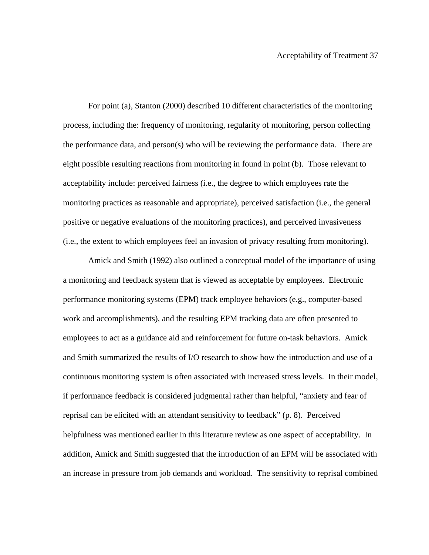For point (a), Stanton (2000) described 10 different characteristics of the monitoring process, including the: frequency of monitoring, regularity of monitoring, person collecting the performance data, and person(s) who will be reviewing the performance data. There are eight possible resulting reactions from monitoring in found in point (b). Those relevant to acceptability include: perceived fairness (i.e., the degree to which employees rate the monitoring practices as reasonable and appropriate), perceived satisfaction (i.e., the general positive or negative evaluations of the monitoring practices), and perceived invasiveness (i.e., the extent to which employees feel an invasion of privacy resulting from monitoring).

Amick and Smith (1992) also outlined a conceptual model of the importance of using a monitoring and feedback system that is viewed as acceptable by employees. Electronic performance monitoring systems (EPM) track employee behaviors (e.g., computer-based work and accomplishments), and the resulting EPM tracking data are often presented to employees to act as a guidance aid and reinforcement for future on-task behaviors. Amick and Smith summarized the results of I/O research to show how the introduction and use of a continuous monitoring system is often associated with increased stress levels. In their model, if performance feedback is considered judgmental rather than helpful, "anxiety and fear of reprisal can be elicited with an attendant sensitivity to feedback" (p. 8). Perceived helpfulness was mentioned earlier in this literature review as one aspect of acceptability. In addition, Amick and Smith suggested that the introduction of an EPM will be associated with an increase in pressure from job demands and workload. The sensitivity to reprisal combined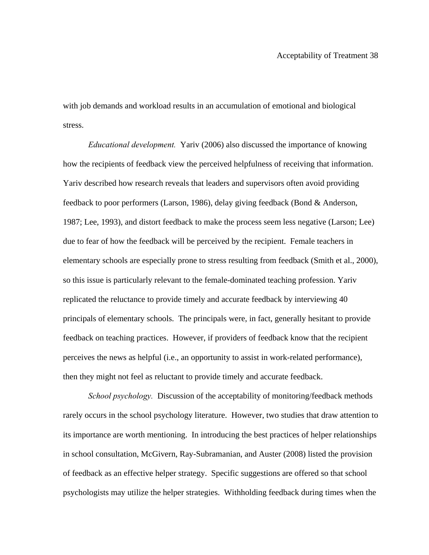with job demands and workload results in an accumulation of emotional and biological stress.

*Educational development.* Yariv (2006) also discussed the importance of knowing how the recipients of feedback view the perceived helpfulness of receiving that information. Yariv described how research reveals that leaders and supervisors often avoid providing feedback to poor performers (Larson, 1986), delay giving feedback (Bond & Anderson, 1987; Lee, 1993), and distort feedback to make the process seem less negative (Larson; Lee) due to fear of how the feedback will be perceived by the recipient. Female teachers in elementary schools are especially prone to stress resulting from feedback (Smith et al., 2000), so this issue is particularly relevant to the female-dominated teaching profession. Yariv replicated the reluctance to provide timely and accurate feedback by interviewing 40 principals of elementary schools. The principals were, in fact, generally hesitant to provide feedback on teaching practices. However, if providers of feedback know that the recipient perceives the news as helpful (i.e., an opportunity to assist in work-related performance), then they might not feel as reluctant to provide timely and accurate feedback.

*School psychology.* Discussion of the acceptability of monitoring/feedback methods rarely occurs in the school psychology literature. However, two studies that draw attention to its importance are worth mentioning. In introducing the best practices of helper relationships in school consultation, McGivern, Ray-Subramanian, and Auster (2008) listed the provision of feedback as an effective helper strategy. Specific suggestions are offered so that school psychologists may utilize the helper strategies. Withholding feedback during times when the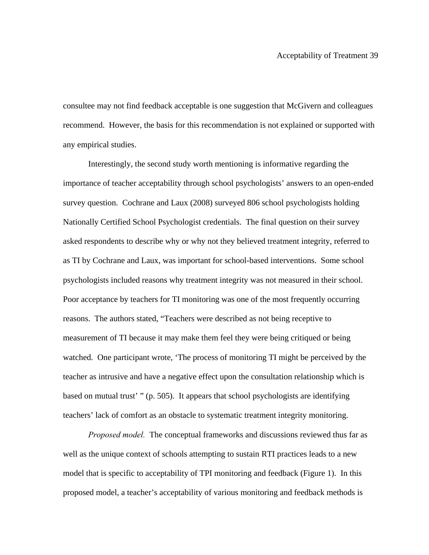consultee may not find feedback acceptable is one suggestion that McGivern and colleagues recommend. However, the basis for this recommendation is not explained or supported with any empirical studies.

Interestingly, the second study worth mentioning is informative regarding the importance of teacher acceptability through school psychologists' answers to an open-ended survey question. Cochrane and Laux (2008) surveyed 806 school psychologists holding Nationally Certified School Psychologist credentials. The final question on their survey asked respondents to describe why or why not they believed treatment integrity, referred to as TI by Cochrane and Laux, was important for school-based interventions. Some school psychologists included reasons why treatment integrity was not measured in their school. Poor acceptance by teachers for TI monitoring was one of the most frequently occurring reasons. The authors stated, "Teachers were described as not being receptive to measurement of TI because it may make them feel they were being critiqued or being watched. One participant wrote, 'The process of monitoring TI might be perceived by the teacher as intrusive and have a negative effect upon the consultation relationship which is based on mutual trust' " (p. 505). It appears that school psychologists are identifying teachers' lack of comfort as an obstacle to systematic treatment integrity monitoring.

*Proposed model.* The conceptual frameworks and discussions reviewed thus far as well as the unique context of schools attempting to sustain RTI practices leads to a new model that is specific to acceptability of TPI monitoring and feedback (Figure 1). In this proposed model, a teacher's acceptability of various monitoring and feedback methods is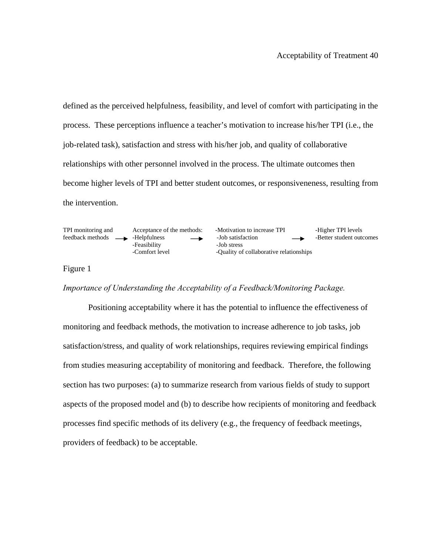defined as the perceived helpfulness, feasibility, and level of comfort with participating in the process. These perceptions influence a teacher's motivation to increase his/her TPI (i.e., the job-related task), satisfaction and stress with his/her job, and quality of collaborative relationships with other personnel involved in the process. The ultimate outcomes then become higher levels of TPI and better student outcomes, or responsiveneness, resulting from the intervention.

-Feasibility<br>-Comfort level

TPI monitoring and Acceptance of the methods: -Motivation to increase TPI -Higher TPI levels<br>feedback methods - -Helpfulness - -Job satisfaction - -Better student outc feedback methods  $\longrightarrow$  -Helpfulness 
-Job satisfaction
-Better student outcomes
-Feasibility
-Job stress
-Job stress
-Job stress
-Job stress
-Job stress
-Job stress
-Job stress
-Job stress
-Job stress
-Job stress
-Job stre -Quality of collaborative relationships

#### Figure 1

## *Importance of Understanding the Acceptability of a Feedback/Monitoring Package.*

Positioning acceptability where it has the potential to influence the effectiveness of monitoring and feedback methods, the motivation to increase adherence to job tasks, job satisfaction/stress, and quality of work relationships, requires reviewing empirical findings from studies measuring acceptability of monitoring and feedback. Therefore, the following section has two purposes: (a) to summarize research from various fields of study to support aspects of the proposed model and (b) to describe how recipients of monitoring and feedback processes find specific methods of its delivery (e.g., the frequency of feedback meetings, providers of feedback) to be acceptable.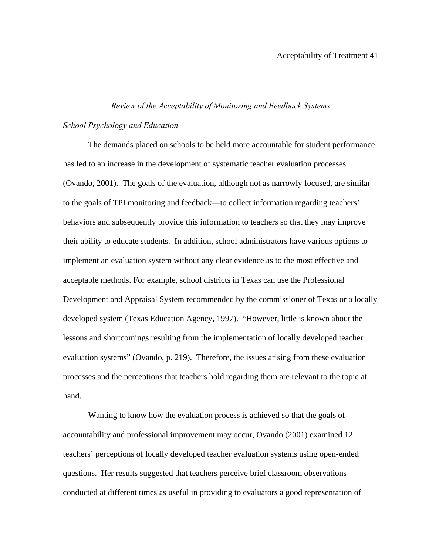# *Review of the Acceptability of Monitoring and Feedback Systems*

# *School Psychology and Education*

The demands placed on schools to be held more accountable for student performance has led to an increase in the development of systematic teacher evaluation processes (Ovando, 2001). The goals of the evaluation, although not as narrowly focused, are similar to the goals of TPI monitoring and feedback—to collect information regarding teachers' behaviors and subsequently provide this information to teachers so that they may improve their ability to educate students. In addition, school administrators have various options to implement an evaluation system without any clear evidence as to the most effective and acceptable methods. For example, school districts in Texas can use the Professional Development and Appraisal System recommended by the commissioner of Texas or a locally developed system (Texas Education Agency, 1997). "However, little is known about the lessons and shortcomings resulting from the implementation of locally developed teacher evaluation systems" (Ovando, p. 219). Therefore, the issues arising from these evaluation processes and the perceptions that teachers hold regarding them are relevant to the topic at hand.

 Wanting to know how the evaluation process is achieved so that the goals of accountability and professional improvement may occur, Ovando (2001) examined 12 teachers' perceptions of locally developed teacher evaluation systems using open-ended questions. Her results suggested that teachers perceive brief classroom observations conducted at different times as useful in providing to evaluators a good representation of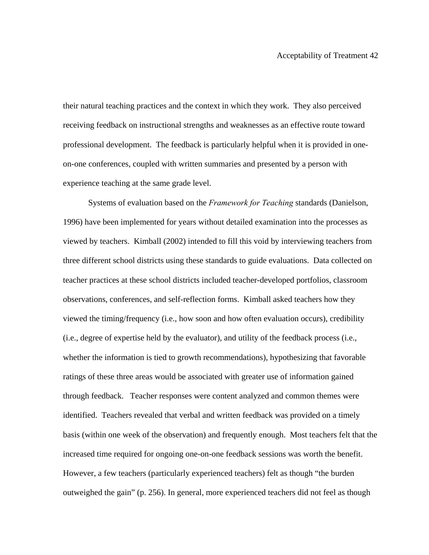their natural teaching practices and the context in which they work. They also perceived receiving feedback on instructional strengths and weaknesses as an effective route toward professional development. The feedback is particularly helpful when it is provided in oneon-one conferences, coupled with written summaries and presented by a person with experience teaching at the same grade level.

Systems of evaluation based on the *Framework for Teaching* standards (Danielson, 1996) have been implemented for years without detailed examination into the processes as viewed by teachers. Kimball (2002) intended to fill this void by interviewing teachers from three different school districts using these standards to guide evaluations. Data collected on teacher practices at these school districts included teacher-developed portfolios, classroom observations, conferences, and self-reflection forms. Kimball asked teachers how they viewed the timing/frequency (i.e., how soon and how often evaluation occurs), credibility (i.e., degree of expertise held by the evaluator), and utility of the feedback process (i.e., whether the information is tied to growth recommendations), hypothesizing that favorable ratings of these three areas would be associated with greater use of information gained through feedback. Teacher responses were content analyzed and common themes were identified. Teachers revealed that verbal and written feedback was provided on a timely basis (within one week of the observation) and frequently enough. Most teachers felt that the increased time required for ongoing one-on-one feedback sessions was worth the benefit. However, a few teachers (particularly experienced teachers) felt as though "the burden outweighed the gain" (p. 256). In general, more experienced teachers did not feel as though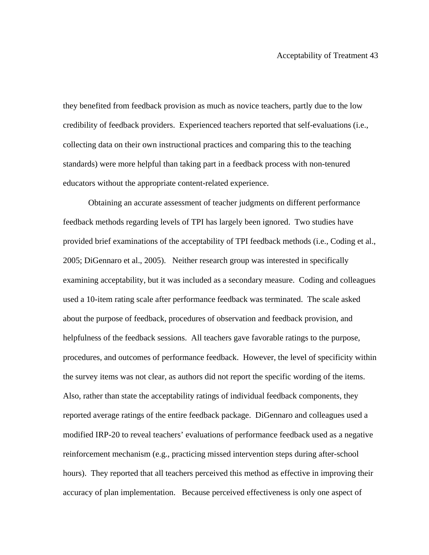they benefited from feedback provision as much as novice teachers, partly due to the low credibility of feedback providers. Experienced teachers reported that self-evaluations (i.e., collecting data on their own instructional practices and comparing this to the teaching standards) were more helpful than taking part in a feedback process with non-tenured educators without the appropriate content-related experience.

Obtaining an accurate assessment of teacher judgments on different performance feedback methods regarding levels of TPI has largely been ignored. Two studies have provided brief examinations of the acceptability of TPI feedback methods (i.e., Coding et al., 2005; DiGennaro et al., 2005). Neither research group was interested in specifically examining acceptability, but it was included as a secondary measure. Coding and colleagues used a 10-item rating scale after performance feedback was terminated. The scale asked about the purpose of feedback, procedures of observation and feedback provision, and helpfulness of the feedback sessions. All teachers gave favorable ratings to the purpose, procedures, and outcomes of performance feedback. However, the level of specificity within the survey items was not clear, as authors did not report the specific wording of the items. Also, rather than state the acceptability ratings of individual feedback components, they reported average ratings of the entire feedback package. DiGennaro and colleagues used a modified IRP-20 to reveal teachers' evaluations of performance feedback used as a negative reinforcement mechanism (e.g., practicing missed intervention steps during after-school hours). They reported that all teachers perceived this method as effective in improving their accuracy of plan implementation. Because perceived effectiveness is only one aspect of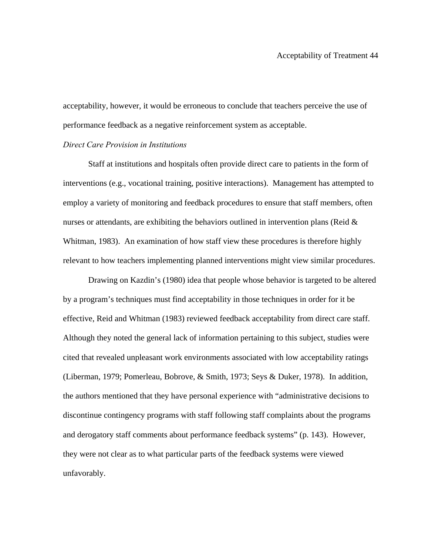acceptability, however, it would be erroneous to conclude that teachers perceive the use of performance feedback as a negative reinforcement system as acceptable.

#### *Direct Care Provision in Institutions*

 Staff at institutions and hospitals often provide direct care to patients in the form of interventions (e.g., vocational training, positive interactions). Management has attempted to employ a variety of monitoring and feedback procedures to ensure that staff members, often nurses or attendants, are exhibiting the behaviors outlined in intervention plans (Reid  $\&$ Whitman, 1983). An examination of how staff view these procedures is therefore highly relevant to how teachers implementing planned interventions might view similar procedures.

 Drawing on Kazdin's (1980) idea that people whose behavior is targeted to be altered by a program's techniques must find acceptability in those techniques in order for it be effective, Reid and Whitman (1983) reviewed feedback acceptability from direct care staff. Although they noted the general lack of information pertaining to this subject, studies were cited that revealed unpleasant work environments associated with low acceptability ratings (Liberman, 1979; Pomerleau, Bobrove, & Smith, 1973; Seys & Duker, 1978). In addition, the authors mentioned that they have personal experience with "administrative decisions to discontinue contingency programs with staff following staff complaints about the programs and derogatory staff comments about performance feedback systems" (p. 143). However, they were not clear as to what particular parts of the feedback systems were viewed unfavorably.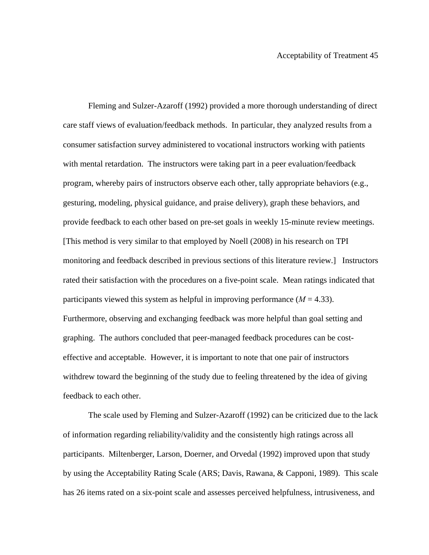Fleming and Sulzer-Azaroff (1992) provided a more thorough understanding of direct care staff views of evaluation/feedback methods. In particular, they analyzed results from a consumer satisfaction survey administered to vocational instructors working with patients with mental retardation. The instructors were taking part in a peer evaluation/feedback program, whereby pairs of instructors observe each other, tally appropriate behaviors (e.g., gesturing, modeling, physical guidance, and praise delivery), graph these behaviors, and provide feedback to each other based on pre-set goals in weekly 15-minute review meetings. [This method is very similar to that employed by Noell (2008) in his research on TPI monitoring and feedback described in previous sections of this literature review.] Instructors rated their satisfaction with the procedures on a five-point scale. Mean ratings indicated that participants viewed this system as helpful in improving performance  $(M = 4.33)$ . Furthermore, observing and exchanging feedback was more helpful than goal setting and graphing. The authors concluded that peer-managed feedback procedures can be costeffective and acceptable. However, it is important to note that one pair of instructors withdrew toward the beginning of the study due to feeling threatened by the idea of giving feedback to each other.

 The scale used by Fleming and Sulzer-Azaroff (1992) can be criticized due to the lack of information regarding reliability/validity and the consistently high ratings across all participants. Miltenberger, Larson, Doerner, and Orvedal (1992) improved upon that study by using the Acceptability Rating Scale (ARS; Davis, Rawana, & Capponi, 1989). This scale has 26 items rated on a six-point scale and assesses perceived helpfulness, intrusiveness, and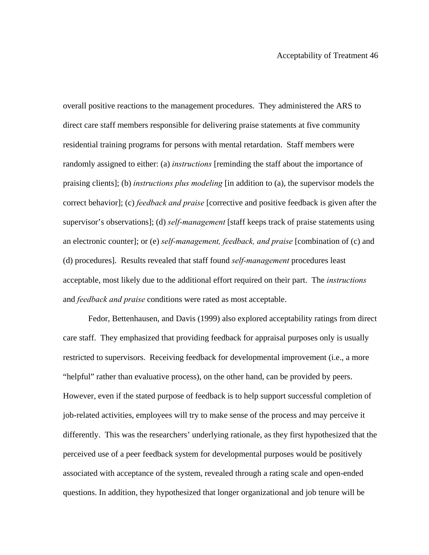overall positive reactions to the management procedures. They administered the ARS to direct care staff members responsible for delivering praise statements at five community residential training programs for persons with mental retardation. Staff members were randomly assigned to either: (a) *instructions* [reminding the staff about the importance of praising clients]; (b) *instructions plus modeling* [in addition to (a), the supervisor models the correct behavior]; (c) *feedback and praise* [corrective and positive feedback is given after the supervisor's observations]; (d) *self-management* [staff keeps track of praise statements using an electronic counter]; or (e) *self-management, feedback, and praise* [combination of (c) and (d) procedures]. Results revealed that staff found *self-management* procedures least acceptable, most likely due to the additional effort required on their part. The *instructions* and *feedback and praise* conditions were rated as most acceptable.

 Fedor, Bettenhausen, and Davis (1999) also explored acceptability ratings from direct care staff. They emphasized that providing feedback for appraisal purposes only is usually restricted to supervisors. Receiving feedback for developmental improvement (i.e., a more "helpful" rather than evaluative process), on the other hand, can be provided by peers. However, even if the stated purpose of feedback is to help support successful completion of job-related activities, employees will try to make sense of the process and may perceive it differently. This was the researchers' underlying rationale, as they first hypothesized that the perceived use of a peer feedback system for developmental purposes would be positively associated with acceptance of the system, revealed through a rating scale and open-ended questions. In addition, they hypothesized that longer organizational and job tenure will be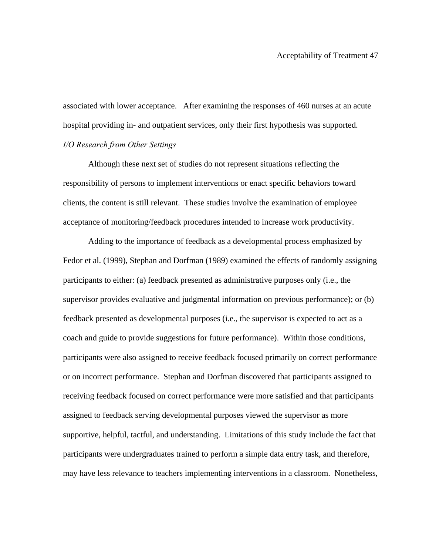associated with lower acceptance. After examining the responses of 460 nurses at an acute hospital providing in- and outpatient services, only their first hypothesis was supported. *I/O Research from Other Settings* 

Although these next set of studies do not represent situations reflecting the responsibility of persons to implement interventions or enact specific behaviors toward clients, the content is still relevant. These studies involve the examination of employee acceptance of monitoring/feedback procedures intended to increase work productivity.

Adding to the importance of feedback as a developmental process emphasized by Fedor et al. (1999), Stephan and Dorfman (1989) examined the effects of randomly assigning participants to either: (a) feedback presented as administrative purposes only (i.e., the supervisor provides evaluative and judgmental information on previous performance); or (b) feedback presented as developmental purposes (i.e., the supervisor is expected to act as a coach and guide to provide suggestions for future performance). Within those conditions, participants were also assigned to receive feedback focused primarily on correct performance or on incorrect performance. Stephan and Dorfman discovered that participants assigned to receiving feedback focused on correct performance were more satisfied and that participants assigned to feedback serving developmental purposes viewed the supervisor as more supportive, helpful, tactful, and understanding. Limitations of this study include the fact that participants were undergraduates trained to perform a simple data entry task, and therefore, may have less relevance to teachers implementing interventions in a classroom. Nonetheless,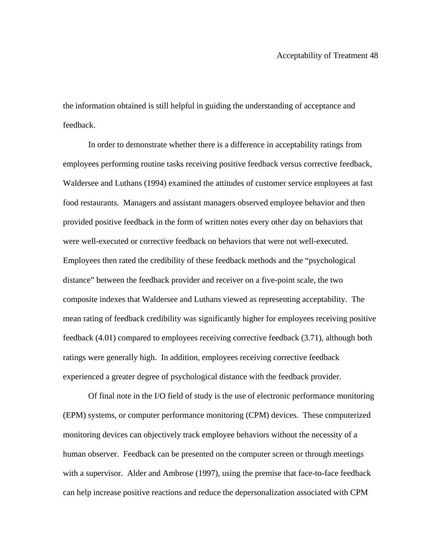the information obtained is still helpful in guiding the understanding of acceptance and feedback.

In order to demonstrate whether there is a difference in acceptability ratings from employees performing routine tasks receiving positive feedback versus corrective feedback, Waldersee and Luthans (1994) examined the attitudes of customer service employees at fast food restaurants. Managers and assistant managers observed employee behavior and then provided positive feedback in the form of written notes every other day on behaviors that were well-executed or corrective feedback on behaviors that were not well-executed. Employees then rated the credibility of these feedback methods and the "psychological distance" between the feedback provider and receiver on a five-point scale, the two composite indexes that Waldersee and Luthans viewed as representing acceptability. The mean rating of feedback credibility was significantly higher for employees receiving positive feedback (4.01) compared to employees receiving corrective feedback (3.71), although both ratings were generally high. In addition, employees receiving corrective feedback experienced a greater degree of psychological distance with the feedback provider.

Of final note in the I/O field of study is the use of electronic performance monitoring (EPM) systems, or computer performance monitoring (CPM) devices. These computerized monitoring devices can objectively track employee behaviors without the necessity of a human observer. Feedback can be presented on the computer screen or through meetings with a supervisor. Alder and Ambrose (1997), using the premise that face-to-face feedback can help increase positive reactions and reduce the depersonalization associated with CPM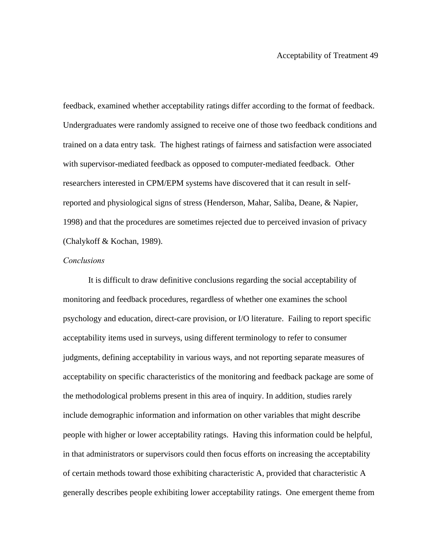feedback, examined whether acceptability ratings differ according to the format of feedback. Undergraduates were randomly assigned to receive one of those two feedback conditions and trained on a data entry task. The highest ratings of fairness and satisfaction were associated with supervisor-mediated feedback as opposed to computer-mediated feedback. Other researchers interested in CPM/EPM systems have discovered that it can result in selfreported and physiological signs of stress (Henderson, Mahar, Saliba, Deane, & Napier, 1998) and that the procedures are sometimes rejected due to perceived invasion of privacy (Chalykoff & Kochan, 1989).

## *Conclusions*

It is difficult to draw definitive conclusions regarding the social acceptability of monitoring and feedback procedures, regardless of whether one examines the school psychology and education, direct-care provision, or I/O literature. Failing to report specific acceptability items used in surveys, using different terminology to refer to consumer judgments, defining acceptability in various ways, and not reporting separate measures of acceptability on specific characteristics of the monitoring and feedback package are some of the methodological problems present in this area of inquiry. In addition, studies rarely include demographic information and information on other variables that might describe people with higher or lower acceptability ratings. Having this information could be helpful, in that administrators or supervisors could then focus efforts on increasing the acceptability of certain methods toward those exhibiting characteristic A, provided that characteristic A generally describes people exhibiting lower acceptability ratings. One emergent theme from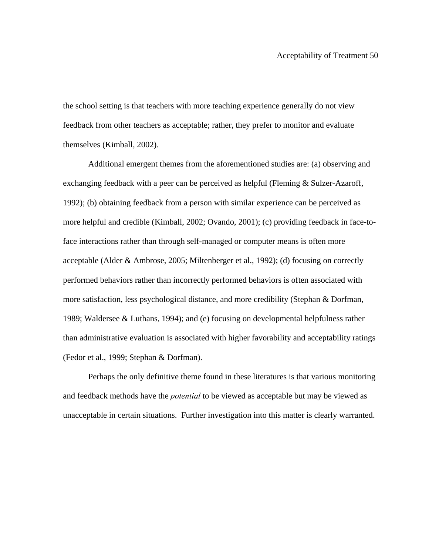the school setting is that teachers with more teaching experience generally do not view feedback from other teachers as acceptable; rather, they prefer to monitor and evaluate themselves (Kimball, 2002).

Additional emergent themes from the aforementioned studies are: (a) observing and exchanging feedback with a peer can be perceived as helpful (Fleming & Sulzer-Azaroff, 1992); (b) obtaining feedback from a person with similar experience can be perceived as more helpful and credible (Kimball, 2002; Ovando, 2001); (c) providing feedback in face-toface interactions rather than through self-managed or computer means is often more acceptable (Alder & Ambrose, 2005; Miltenberger et al., 1992); (d) focusing on correctly performed behaviors rather than incorrectly performed behaviors is often associated with more satisfaction, less psychological distance, and more credibility (Stephan & Dorfman, 1989; Waldersee & Luthans, 1994); and (e) focusing on developmental helpfulness rather than administrative evaluation is associated with higher favorability and acceptability ratings (Fedor et al., 1999; Stephan & Dorfman).

Perhaps the only definitive theme found in these literatures is that various monitoring and feedback methods have the *potential* to be viewed as acceptable but may be viewed as unacceptable in certain situations. Further investigation into this matter is clearly warranted.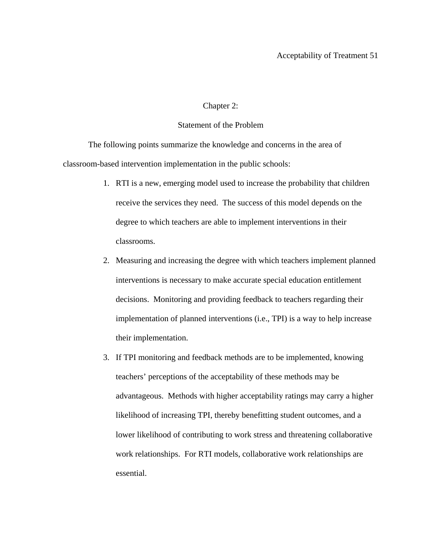## Chapter 2:

# Statement of the Problem

The following points summarize the knowledge and concerns in the area of classroom-based intervention implementation in the public schools:

- 1. RTI is a new, emerging model used to increase the probability that children receive the services they need. The success of this model depends on the degree to which teachers are able to implement interventions in their classrooms.
- 2. Measuring and increasing the degree with which teachers implement planned interventions is necessary to make accurate special education entitlement decisions. Monitoring and providing feedback to teachers regarding their implementation of planned interventions (i.e., TPI) is a way to help increase their implementation.
- 3. If TPI monitoring and feedback methods are to be implemented, knowing teachers' perceptions of the acceptability of these methods may be advantageous. Methods with higher acceptability ratings may carry a higher likelihood of increasing TPI, thereby benefitting student outcomes, and a lower likelihood of contributing to work stress and threatening collaborative work relationships. For RTI models, collaborative work relationships are essential.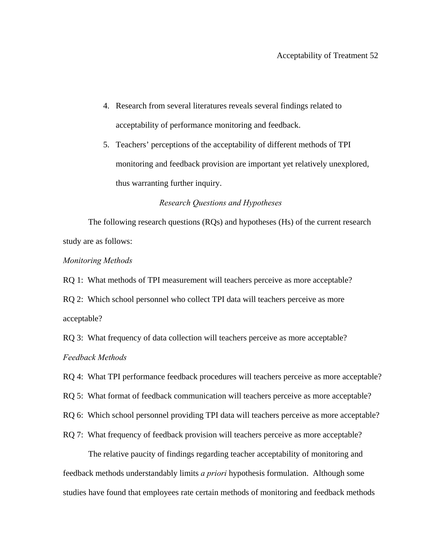- 4. Research from several literatures reveals several findings related to acceptability of performance monitoring and feedback.
- 5. Teachers' perceptions of the acceptability of different methods of TPI monitoring and feedback provision are important yet relatively unexplored, thus warranting further inquiry.

## *Research Questions and Hypotheses*

 The following research questions (RQs) and hypotheses (Hs) of the current research study are as follows:

#### *Monitoring Methods*

RQ 1: What methods of TPI measurement will teachers perceive as more acceptable?

RQ 2: Which school personnel who collect TPI data will teachers perceive as more acceptable?

RQ 3: What frequency of data collection will teachers perceive as more acceptable? *Feedback Methods* 

RQ 4: What TPI performance feedback procedures will teachers perceive as more acceptable?

RQ 5: What format of feedback communication will teachers perceive as more acceptable?

RQ 6: Which school personnel providing TPI data will teachers perceive as more acceptable?

RQ 7: What frequency of feedback provision will teachers perceive as more acceptable?

 The relative paucity of findings regarding teacher acceptability of monitoring and feedback methods understandably limits *a priori* hypothesis formulation. Although some studies have found that employees rate certain methods of monitoring and feedback methods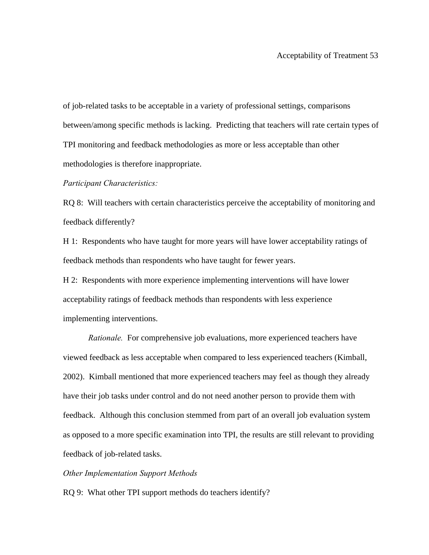of job-related tasks to be acceptable in a variety of professional settings, comparisons between/among specific methods is lacking. Predicting that teachers will rate certain types of TPI monitoring and feedback methodologies as more or less acceptable than other methodologies is therefore inappropriate.

*Participant Characteristics:* 

RQ 8: Will teachers with certain characteristics perceive the acceptability of monitoring and feedback differently?

H 1: Respondents who have taught for more years will have lower acceptability ratings of feedback methods than respondents who have taught for fewer years.

H 2: Respondents with more experience implementing interventions will have lower acceptability ratings of feedback methods than respondents with less experience implementing interventions.

 *Rationale.* For comprehensive job evaluations, more experienced teachers have viewed feedback as less acceptable when compared to less experienced teachers (Kimball, 2002). Kimball mentioned that more experienced teachers may feel as though they already have their job tasks under control and do not need another person to provide them with feedback. Although this conclusion stemmed from part of an overall job evaluation system as opposed to a more specific examination into TPI, the results are still relevant to providing feedback of job-related tasks.

### *Other Implementation Support Methods*

RQ 9: What other TPI support methods do teachers identify?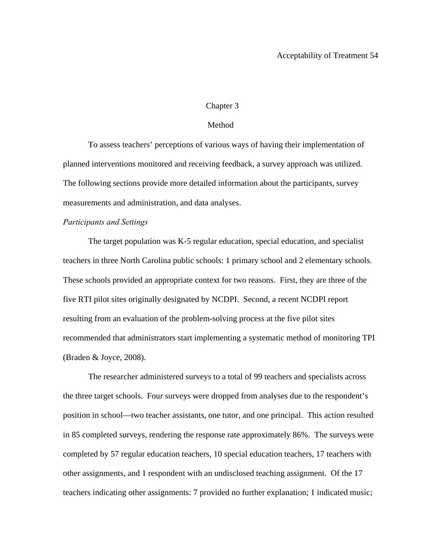## Chapter 3

## Method

 To assess teachers' perceptions of various ways of having their implementation of planned interventions monitored and receiving feedback, a survey approach was utilized. The following sections provide more detailed information about the participants, survey measurements and administration, and data analyses.

#### *Participants and Settings*

The target population was K-5 regular education, special education, and specialist teachers in three North Carolina public schools: 1 primary school and 2 elementary schools. These schools provided an appropriate context for two reasons. First, they are three of the five RTI pilot sites originally designated by NCDPI. Second, a recent NCDPI report resulting from an evaluation of the problem-solving process at the five pilot sites recommended that administrators start implementing a systematic method of monitoring TPI (Braden & Joyce, 2008).

The researcher administered surveys to a total of 99 teachers and specialists across the three target schools. Four surveys were dropped from analyses due to the respondent's position in school—two teacher assistants, one tutor, and one principal. This action resulted in 85 completed surveys, rendering the response rate approximately 86%. The surveys were completed by 57 regular education teachers, 10 special education teachers, 17 teachers with other assignments, and 1 respondent with an undisclosed teaching assignment. Of the 17 teachers indicating other assignments: 7 provided no further explanation; 1 indicated music;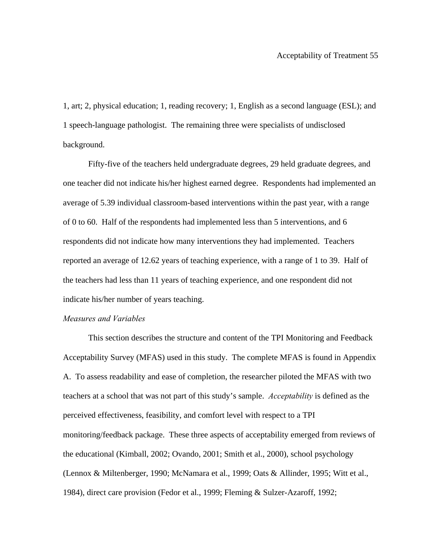1, art; 2, physical education; 1, reading recovery; 1, English as a second language (ESL); and 1 speech-language pathologist. The remaining three were specialists of undisclosed background.

 Fifty-five of the teachers held undergraduate degrees, 29 held graduate degrees, and one teacher did not indicate his/her highest earned degree. Respondents had implemented an average of 5.39 individual classroom-based interventions within the past year, with a range of 0 to 60. Half of the respondents had implemented less than 5 interventions, and 6 respondents did not indicate how many interventions they had implemented. Teachers reported an average of 12.62 years of teaching experience, with a range of 1 to 39. Half of the teachers had less than 11 years of teaching experience, and one respondent did not indicate his/her number of years teaching.

## *Measures and Variables*

This section describes the structure and content of the TPI Monitoring and Feedback Acceptability Survey (MFAS) used in this study. The complete MFAS is found in Appendix A. To assess readability and ease of completion, the researcher piloted the MFAS with two teachers at a school that was not part of this study's sample. *Acceptability* is defined as the perceived effectiveness, feasibility, and comfort level with respect to a TPI monitoring/feedback package. These three aspects of acceptability emerged from reviews of the educational (Kimball, 2002; Ovando, 2001; Smith et al., 2000), school psychology (Lennox & Miltenberger, 1990; McNamara et al., 1999; Oats & Allinder, 1995; Witt et al., 1984), direct care provision (Fedor et al., 1999; Fleming & Sulzer-Azaroff, 1992;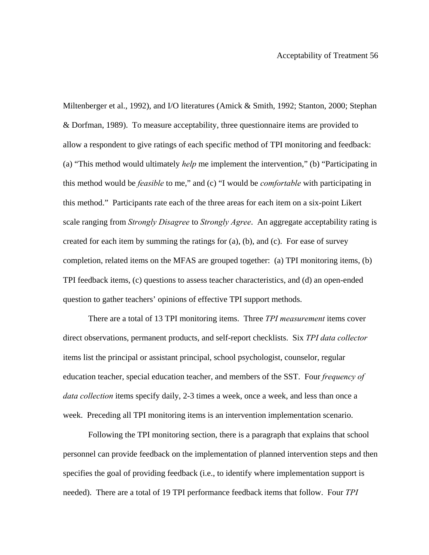Miltenberger et al., 1992), and I/O literatures (Amick & Smith, 1992; Stanton, 2000; Stephan & Dorfman, 1989). To measure acceptability, three questionnaire items are provided to allow a respondent to give ratings of each specific method of TPI monitoring and feedback: (a) "This method would ultimately *help* me implement the intervention," (b) "Participating in this method would be *feasible* to me," and (c) "I would be *comfortable* with participating in this method." Participants rate each of the three areas for each item on a six-point Likert scale ranging from *Strongly Disagree* to *Strongly Agree*. An aggregate acceptability rating is created for each item by summing the ratings for (a), (b), and (c). For ease of survey completion, related items on the MFAS are grouped together: (a) TPI monitoring items, (b) TPI feedback items, (c) questions to assess teacher characteristics, and (d) an open-ended question to gather teachers' opinions of effective TPI support methods.

 There are a total of 13 TPI monitoring items. Three *TPI measurement* items cover direct observations, permanent products, and self-report checklists. Six *TPI data collector* items list the principal or assistant principal, school psychologist, counselor, regular education teacher, special education teacher, and members of the SST. Four *frequency of data collection* items specify daily, 2-3 times a week, once a week, and less than once a week. Preceding all TPI monitoring items is an intervention implementation scenario.

 Following the TPI monitoring section, there is a paragraph that explains that school personnel can provide feedback on the implementation of planned intervention steps and then specifies the goal of providing feedback (i.e., to identify where implementation support is needed). There are a total of 19 TPI performance feedback items that follow. Four *TPI*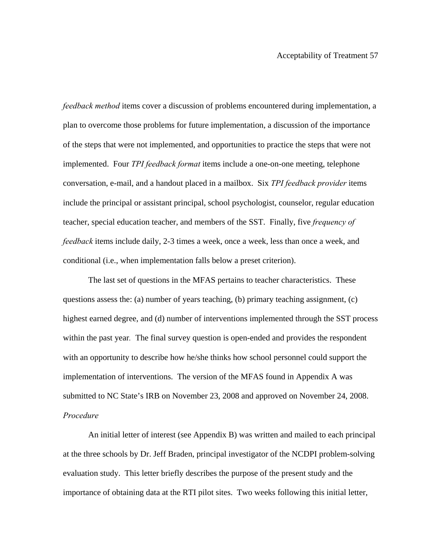*feedback method* items cover a discussion of problems encountered during implementation, a plan to overcome those problems for future implementation, a discussion of the importance of the steps that were not implemented, and opportunities to practice the steps that were not implemented. Four *TPI feedback format* items include a one-on-one meeting, telephone conversation, e-mail, and a handout placed in a mailbox. Six *TPI feedback provider* items include the principal or assistant principal, school psychologist, counselor, regular education teacher, special education teacher, and members of the SST. Finally, five *frequency of feedback* items include daily, 2-3 times a week, once a week, less than once a week, and conditional (i.e., when implementation falls below a preset criterion).

 The last set of questions in the MFAS pertains to teacher characteristics. These questions assess the: (a) number of years teaching, (b) primary teaching assignment, (c) highest earned degree, and (d) number of interventions implemented through the SST process within the past year*.* The final survey question is open-ended and provides the respondent with an opportunity to describe how he/she thinks how school personnel could support the implementation of interventions. The version of the MFAS found in Appendix A was submitted to NC State's IRB on November 23, 2008 and approved on November 24, 2008. *Procedure*

An initial letter of interest (see Appendix B) was written and mailed to each principal at the three schools by Dr. Jeff Braden, principal investigator of the NCDPI problem-solving evaluation study. This letter briefly describes the purpose of the present study and the importance of obtaining data at the RTI pilot sites. Two weeks following this initial letter,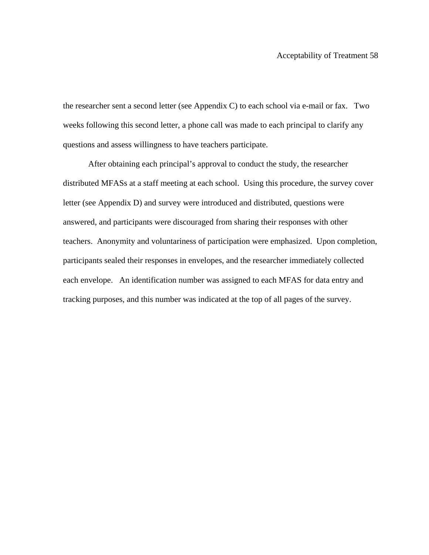the researcher sent a second letter (see Appendix C) to each school via e-mail or fax. Two weeks following this second letter, a phone call was made to each principal to clarify any questions and assess willingness to have teachers participate.

After obtaining each principal's approval to conduct the study, the researcher distributed MFASs at a staff meeting at each school. Using this procedure, the survey cover letter (see Appendix D) and survey were introduced and distributed, questions were answered, and participants were discouraged from sharing their responses with other teachers. Anonymity and voluntariness of participation were emphasized. Upon completion, participants sealed their responses in envelopes, and the researcher immediately collected each envelope. An identification number was assigned to each MFAS for data entry and tracking purposes, and this number was indicated at the top of all pages of the survey.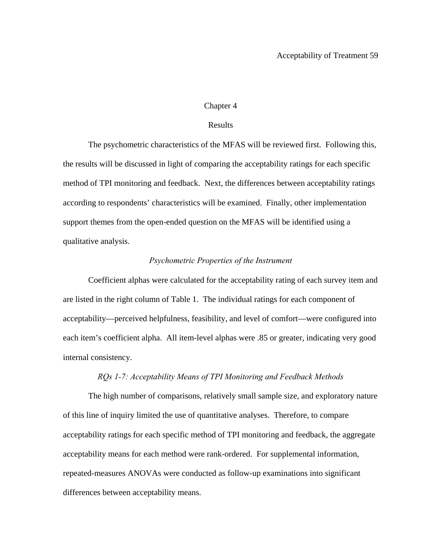## Chapter 4

## Results

The psychometric characteristics of the MFAS will be reviewed first. Following this, the results will be discussed in light of comparing the acceptability ratings for each specific method of TPI monitoring and feedback. Next, the differences between acceptability ratings according to respondents' characteristics will be examined. Finally, other implementation support themes from the open-ended question on the MFAS will be identified using a qualitative analysis.

#### *Psychometric Properties of the Instrument*

Coefficient alphas were calculated for the acceptability rating of each survey item and are listed in the right column of Table 1. The individual ratings for each component of acceptability—perceived helpfulness, feasibility, and level of comfort—were configured into each item's coefficient alpha. All item-level alphas were .85 or greater, indicating very good internal consistency.

## *RQs 1-7: Acceptability Means of TPI Monitoring and Feedback Methods*

The high number of comparisons, relatively small sample size, and exploratory nature of this line of inquiry limited the use of quantitative analyses. Therefore, to compare acceptability ratings for each specific method of TPI monitoring and feedback, the aggregate acceptability means for each method were rank-ordered. For supplemental information, repeated-measures ANOVAs were conducted as follow-up examinations into significant differences between acceptability means.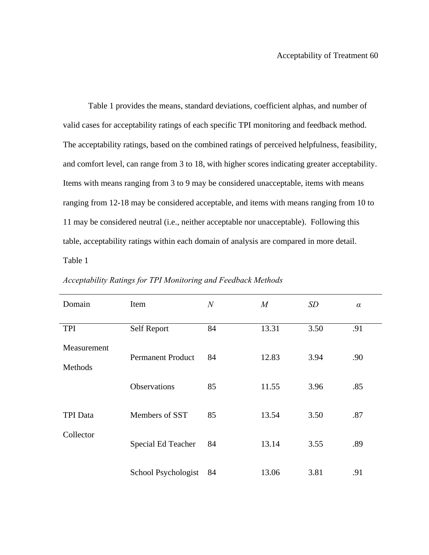Table 1 provides the means, standard deviations, coefficient alphas, and number of valid cases for acceptability ratings of each specific TPI monitoring and feedback method. The acceptability ratings, based on the combined ratings of perceived helpfulness, feasibility, and comfort level, can range from 3 to 18, with higher scores indicating greater acceptability. Items with means ranging from 3 to 9 may be considered unacceptable, items with means ranging from 12-18 may be considered acceptable, and items with means ranging from 10 to 11 may be considered neutral (i.e., neither acceptable nor unacceptable). Following this table, acceptability ratings within each domain of analysis are compared in more detail. Table 1

| Domain                       | Item                     | $\overline{N}$ | $\boldsymbol{M}$ | SD   | $\alpha$ |
|------------------------------|--------------------------|----------------|------------------|------|----------|
| <b>TPI</b>                   | Self Report              | 84             | 13.31            | 3.50 | .91      |
| Measurement<br>Methods       | <b>Permanent Product</b> | 84             | 12.83            | 3.94 | .90      |
|                              | <b>Observations</b>      | 85             | 11.55            | 3.96 | .85      |
| <b>TPI</b> Data<br>Collector | Members of SST           | 85             | 13.54            | 3.50 | .87      |
|                              | Special Ed Teacher       | 84             | 13.14            | 3.55 | .89      |
|                              | School Psychologist      | 84             | 13.06            | 3.81 | .91      |

*Acceptability Ratings for TPI Monitoring and Feedback Methods*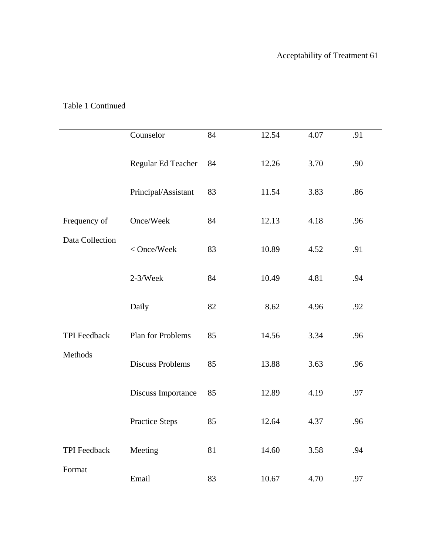| Frequency of<br>Data Collection<br><b>TPI</b> Feedback<br>Methods | Counselor               | 84 | 12.54 | 4.07 | .91 |
|-------------------------------------------------------------------|-------------------------|----|-------|------|-----|
|                                                                   | Regular Ed Teacher      | 84 | 12.26 | 3.70 | .90 |
|                                                                   | Principal/Assistant     | 83 | 11.54 | 3.83 | .86 |
|                                                                   | Once/Week               | 84 | 12.13 | 4.18 | .96 |
|                                                                   | < Once/Week             | 83 | 10.89 | 4.52 | .91 |
|                                                                   | $2-3/Week$              | 84 | 10.49 | 4.81 | .94 |
|                                                                   | Daily                   | 82 | 8.62  | 4.96 | .92 |
|                                                                   | Plan for Problems       | 85 | 14.56 | 3.34 | .96 |
|                                                                   | <b>Discuss Problems</b> | 85 | 13.88 | 3.63 | .96 |
|                                                                   | Discuss Importance      | 85 | 12.89 | 4.19 | .97 |
|                                                                   | <b>Practice Steps</b>   | 85 | 12.64 | 4.37 | .96 |
| TPI Feedback<br>Format                                            | Meeting                 | 81 | 14.60 | 3.58 | .94 |
|                                                                   | Email                   | 83 | 10.67 | 4.70 | .97 |

# Table 1 Continued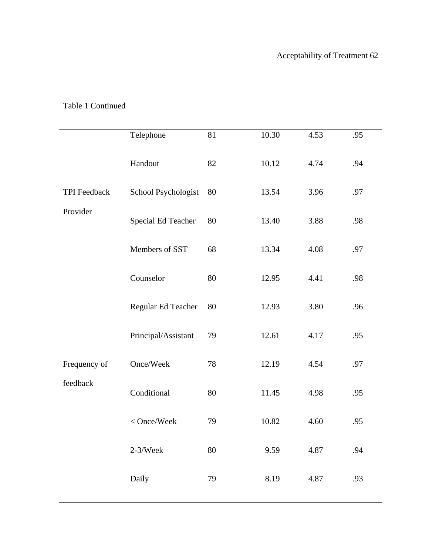|              | Telephone           | 81 | 10.30 | 4.53 | .95 |
|--------------|---------------------|----|-------|------|-----|
| TPI Feedback | Handout             | 82 | 10.12 | 4.74 | .94 |
|              | School Psychologist | 80 | 13.54 | 3.96 | .97 |
| Provider     | Special Ed Teacher  | 80 | 13.40 | 3.88 | .98 |
|              | Members of SST      | 68 | 13.34 | 4.08 | .97 |
|              | Counselor           | 80 | 12.95 | 4.41 | .98 |
|              | Regular Ed Teacher  | 80 | 12.93 | 3.80 | .96 |
|              | Principal/Assistant | 79 | 12.61 | 4.17 | .95 |
| Frequency of | Once/Week           | 78 | 12.19 | 4.54 | .97 |
| feedback     | Conditional         | 80 | 11.45 | 4.98 | .95 |
|              | < Once/Week         | 79 | 10.82 | 4.60 | .95 |
|              | $2-3/Week$          | 80 | 9.59  | 4.87 | .94 |
|              | Daily               | 79 | 8.19  | 4.87 | .93 |

# Table 1 Continued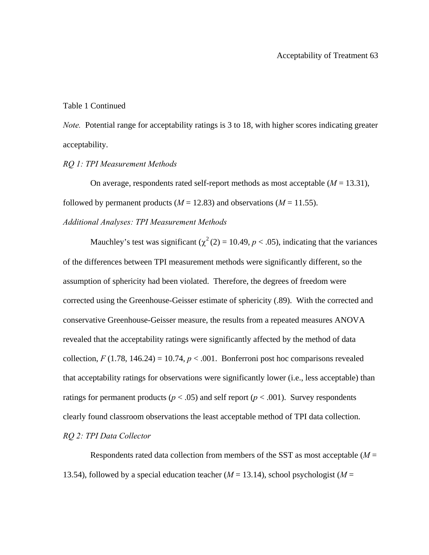Table 1 Continued

*Note.* Potential range for acceptability ratings is 3 to 18, with higher scores indicating greater acceptability.

*RQ 1: TPI Measurement Methods* 

On average, respondents rated self-report methods as most acceptable (*M* = 13.31), followed by permanent products ( $M = 12.83$ ) and observations ( $M = 11.55$ ).

*Additional Analyses: TPI Measurement Methods* 

Mauchley's test was significant ( $\chi^2$  (2) = 10.49, *p* < .05), indicating that the variances of the differences between TPI measurement methods were significantly different, so the assumption of sphericity had been violated. Therefore, the degrees of freedom were corrected using the Greenhouse-Geisser estimate of sphericity (.89). With the corrected and conservative Greenhouse-Geisser measure, the results from a repeated measures ANOVA revealed that the acceptability ratings were significantly affected by the method of data collection,  $F(1.78, 146.24) = 10.74$ ,  $p < .001$ . Bonferroni post hoc comparisons revealed that acceptability ratings for observations were significantly lower (i.e., less acceptable) than ratings for permanent products ( $p < .05$ ) and self report ( $p < .001$ ). Survey respondents clearly found classroom observations the least acceptable method of TPI data collection. *RQ 2: TPI Data Collector* 

Respondents rated data collection from members of the SST as most acceptable (*M* = 13.54), followed by a special education teacher  $(M = 13.14)$ , school psychologist  $(M =$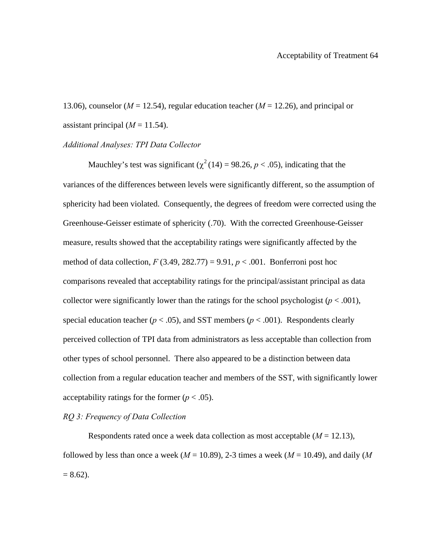13.06), counselor (*M* = 12.54), regular education teacher (*M* = 12.26), and principal or assistant principal  $(M = 11.54)$ .

## *Additional Analyses: TPI Data Collector*

Mauchley's test was significant ( $\chi^2$  (14) = 98.26, *p* < .05), indicating that the variances of the differences between levels were significantly different, so the assumption of sphericity had been violated. Consequently, the degrees of freedom were corrected using the Greenhouse-Geisser estimate of sphericity (.70). With the corrected Greenhouse-Geisser measure, results showed that the acceptability ratings were significantly affected by the method of data collection,  $F(3.49, 282.77) = 9.91$ ,  $p < .001$ . Bonferroni post hoc comparisons revealed that acceptability ratings for the principal/assistant principal as data collector were significantly lower than the ratings for the school psychologist  $(p < .001)$ , special education teacher ( $p < .05$ ), and SST members ( $p < .001$ ). Respondents clearly perceived collection of TPI data from administrators as less acceptable than collection from other types of school personnel. There also appeared to be a distinction between data collection from a regular education teacher and members of the SST, with significantly lower acceptability ratings for the former  $(p < .05)$ .

## *RQ 3: Frequency of Data Collection*

Respondents rated once a week data collection as most acceptable  $(M = 12.13)$ , followed by less than once a week ( $M = 10.89$ ), 2-3 times a week ( $M = 10.49$ ), and daily (M  $= 8.62$ ).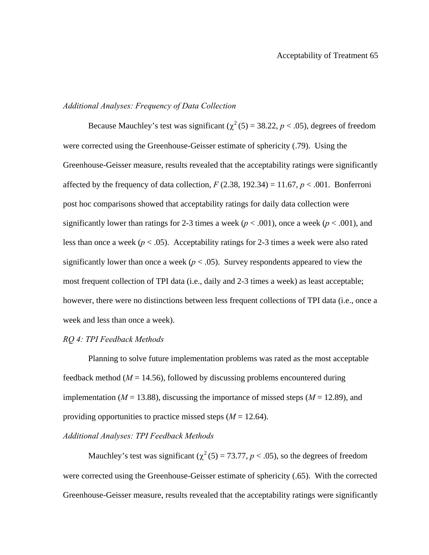## *Additional Analyses: Frequency of Data Collection*

Because Mauchley's test was significant ( $\chi^2$  (5) = 38.22, *p* < .05), degrees of freedom were corrected using the Greenhouse-Geisser estimate of sphericity (.79). Using the Greenhouse-Geisser measure, results revealed that the acceptability ratings were significantly affected by the frequency of data collection,  $F(2.38, 192.34) = 11.67$ ,  $p < .001$ . Bonferroni post hoc comparisons showed that acceptability ratings for daily data collection were significantly lower than ratings for 2-3 times a week ( $p < .001$ ), once a week ( $p < .001$ ), and less than once a week ( $p < .05$ ). Acceptability ratings for 2-3 times a week were also rated significantly lower than once a week ( $p < .05$ ). Survey respondents appeared to view the most frequent collection of TPI data (i.e., daily and 2-3 times a week) as least acceptable; however, there were no distinctions between less frequent collections of TPI data (i.e., once a week and less than once a week).

## *RQ 4: TPI Feedback Methods*

Planning to solve future implementation problems was rated as the most acceptable feedback method ( $M = 14.56$ ), followed by discussing problems encountered during implementation ( $M = 13.88$ ), discussing the importance of missed steps ( $M = 12.89$ ), and providing opportunities to practice missed steps  $(M = 12.64)$ .

## *Additional Analyses: TPI Feedback Methods*

Mauchley's test was significant ( $\chi^2$  (5) = 73.77, *p* < .05), so the degrees of freedom were corrected using the Greenhouse-Geisser estimate of sphericity (.65). With the corrected Greenhouse-Geisser measure, results revealed that the acceptability ratings were significantly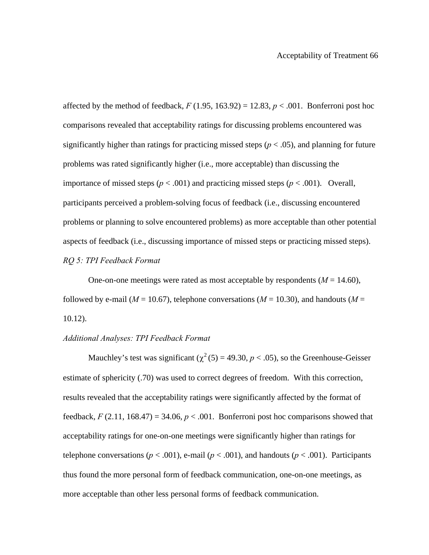affected by the method of feedback,  $F(1.95, 163.92) = 12.83, p < .001$ . Bonferroni post hoc comparisons revealed that acceptability ratings for discussing problems encountered was significantly higher than ratings for practicing missed steps ( $p < .05$ ), and planning for future problems was rated significantly higher (i.e., more acceptable) than discussing the importance of missed steps ( $p < .001$ ) and practicing missed steps ( $p < .001$ ). Overall, participants perceived a problem-solving focus of feedback (i.e., discussing encountered problems or planning to solve encountered problems) as more acceptable than other potential aspects of feedback (i.e., discussing importance of missed steps or practicing missed steps). *RQ 5: TPI Feedback Format* 

One-on-one meetings were rated as most acceptable by respondents  $(M = 14.60)$ , followed by e-mail ( $M = 10.67$ ), telephone conversations ( $M = 10.30$ ), and handouts ( $M =$ 10.12).

## *Additional Analyses: TPI Feedback Format*

Mauchley's test was significant ( $\chi^2$  (5) = 49.30, *p* < .05), so the Greenhouse-Geisser estimate of sphericity (.70) was used to correct degrees of freedom. With this correction, results revealed that the acceptability ratings were significantly affected by the format of feedback,  $F(2.11, 168.47) = 34.06$ ,  $p < .001$ . Bonferroni post hoc comparisons showed that acceptability ratings for one-on-one meetings were significantly higher than ratings for telephone conversations ( $p < .001$ ), e-mail ( $p < .001$ ), and handouts ( $p < .001$ ). Participants thus found the more personal form of feedback communication, one-on-one meetings, as more acceptable than other less personal forms of feedback communication.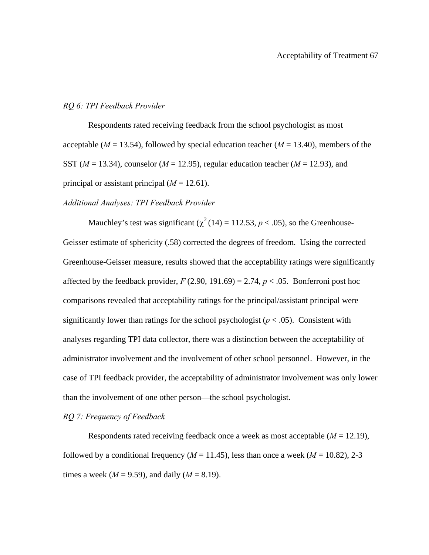## *RQ 6: TPI Feedback Provider*

Respondents rated receiving feedback from the school psychologist as most acceptable ( $M = 13.54$ ), followed by special education teacher ( $M = 13.40$ ), members of the SST (*M* = 13.34), counselor (*M* = 12.95), regular education teacher (*M* = 12.93), and principal or assistant principal  $(M = 12.61)$ .

## *Additional Analyses: TPI Feedback Provider*

Mauchley's test was significant ( $\chi^2$  (14) = 112.53, *p* < .05), so the Greenhouse-Geisser estimate of sphericity (.58) corrected the degrees of freedom. Using the corrected Greenhouse-Geisser measure, results showed that the acceptability ratings were significantly affected by the feedback provider,  $F(2.90, 191.69) = 2.74$ ,  $p < .05$ . Bonferroni post hoc comparisons revealed that acceptability ratings for the principal/assistant principal were significantly lower than ratings for the school psychologist  $(p < .05)$ . Consistent with analyses regarding TPI data collector, there was a distinction between the acceptability of administrator involvement and the involvement of other school personnel. However, in the case of TPI feedback provider, the acceptability of administrator involvement was only lower than the involvement of one other person—the school psychologist.

## *RQ 7: Frequency of Feedback*

Respondents rated receiving feedback once a week as most acceptable (*M* = 12.19), followed by a conditional frequency ( $M = 11.45$ ), less than once a week ( $M = 10.82$ ), 2-3 times a week ( $M = 9.59$ ), and daily ( $M = 8.19$ ).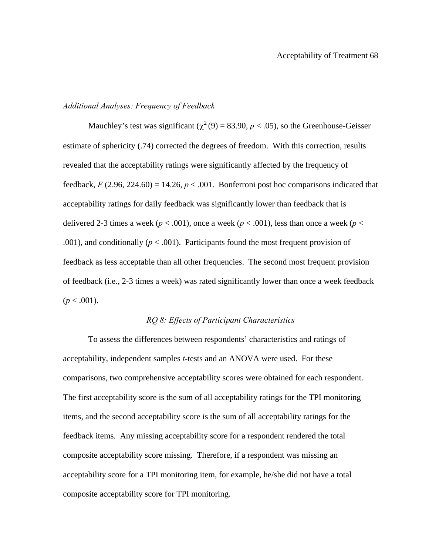## *Additional Analyses: Frequency of Feedback*

Mauchley's test was significant ( $\chi^2$  (9) = 83.90, *p* < .05), so the Greenhouse-Geisser estimate of sphericity (.74) corrected the degrees of freedom. With this correction, results revealed that the acceptability ratings were significantly affected by the frequency of feedback,  $F(2.96, 224.60) = 14.26$ ,  $p < .001$ . Bonferroni post hoc comparisons indicated that acceptability ratings for daily feedback was significantly lower than feedback that is delivered 2-3 times a week ( $p < .001$ ), once a week ( $p < .001$ ), less than once a week ( $p <$ .001), and conditionally  $(p < .001)$ . Participants found the most frequent provision of feedback as less acceptable than all other frequencies. The second most frequent provision of feedback (i.e., 2-3 times a week) was rated significantly lower than once a week feedback  $(p < .001)$ .

## *RQ 8: Effects of Participant Characteristics*

To assess the differences between respondents' characteristics and ratings of acceptability, independent samples *t-*tests and an ANOVA were used. For these comparisons, two comprehensive acceptability scores were obtained for each respondent. The first acceptability score is the sum of all acceptability ratings for the TPI monitoring items, and the second acceptability score is the sum of all acceptability ratings for the feedback items. Any missing acceptability score for a respondent rendered the total composite acceptability score missing. Therefore, if a respondent was missing an acceptability score for a TPI monitoring item, for example, he/she did not have a total composite acceptability score for TPI monitoring.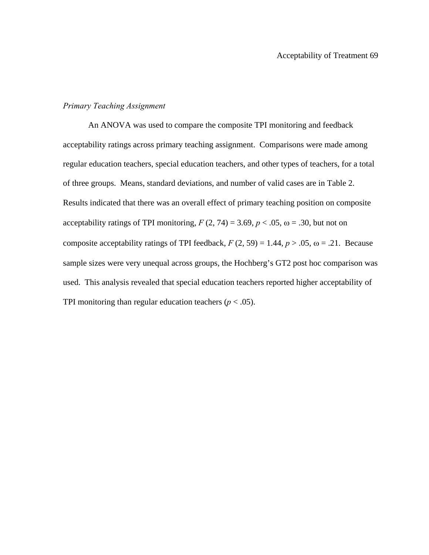## *Primary Teaching Assignment*

An ANOVA was used to compare the composite TPI monitoring and feedback acceptability ratings across primary teaching assignment. Comparisons were made among regular education teachers, special education teachers, and other types of teachers, for a total of three groups. Means, standard deviations, and number of valid cases are in Table 2. Results indicated that there was an overall effect of primary teaching position on composite acceptability ratings of TPI monitoring,  $F(2, 74) = 3.69$ ,  $p < .05$ ,  $\omega = .30$ , but not on composite acceptability ratings of TPI feedback,  $F(2, 59) = 1.44$ ,  $p > .05$ ,  $\omega = .21$ . Because sample sizes were very unequal across groups, the Hochberg's GT2 post hoc comparison was used. This analysis revealed that special education teachers reported higher acceptability of TPI monitoring than regular education teachers  $(p < .05)$ .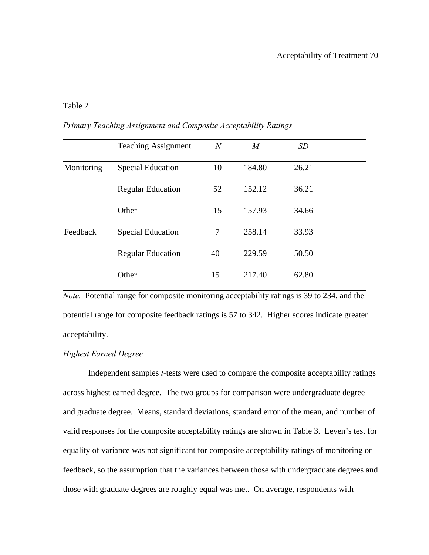## Acceptability of Treatment 70

## Table 2

*Primary Teaching Assignment and Composite Acceptability Ratings* 

|            | <b>Teaching Assignment</b> | $\overline{N}$ | $\boldsymbol{M}$ | SD    |  |
|------------|----------------------------|----------------|------------------|-------|--|
| Monitoring | <b>Special Education</b>   | 10             | 184.80           | 26.21 |  |
|            | <b>Regular Education</b>   | 52             | 152.12           | 36.21 |  |
|            | Other                      | 15             | 157.93           | 34.66 |  |
| Feedback   | <b>Special Education</b>   | 7              | 258.14           | 33.93 |  |
|            | <b>Regular Education</b>   | 40             | 229.59           | 50.50 |  |
|            | Other                      | 15             | 217.40           | 62.80 |  |

*Note.* Potential range for composite monitoring acceptability ratings is 39 to 234, and the potential range for composite feedback ratings is 57 to 342. Higher scores indicate greater acceptability.

### *Highest Earned Degree*

Independent samples *t-*tests were used to compare the composite acceptability ratings across highest earned degree. The two groups for comparison were undergraduate degree and graduate degree. Means, standard deviations, standard error of the mean, and number of valid responses for the composite acceptability ratings are shown in Table 3. Leven's test for equality of variance was not significant for composite acceptability ratings of monitoring or feedback, so the assumption that the variances between those with undergraduate degrees and those with graduate degrees are roughly equal was met. On average, respondents with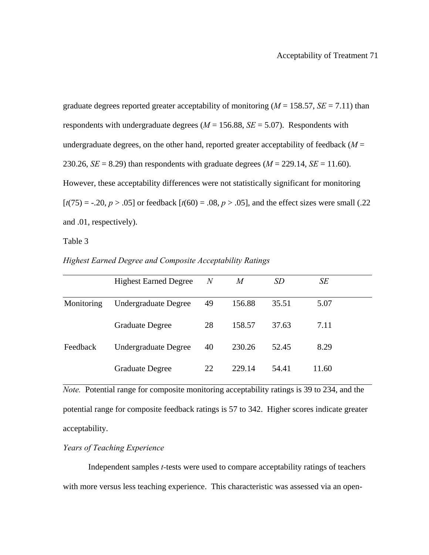graduate degrees reported greater acceptability of monitoring ( $M = 158.57$ ,  $SE = 7.11$ ) than respondents with undergraduate degrees  $(M = 156.88, SE = 5.07)$ . Respondents with undergraduate degrees, on the other hand, reported greater acceptability of feedback  $(M =$ 230.26, *SE* = 8.29) than respondents with graduate degrees ( $M = 229.14$ , *SE* = 11.60). However, these acceptability differences were not statistically significant for monitoring  $[t(75) = -.20, p > .05]$  or feedback  $[t(60) = .08, p > .05]$ , and the effect sizes were small (.22) and .01, respectively).

Table 3

|            | <b>Highest Earned Degree</b> | $\overline{N}$ | M      | SD    | SE    |  |
|------------|------------------------------|----------------|--------|-------|-------|--|
| Monitoring | Undergraduate Degree         | 49             | 156.88 | 35.51 | 5.07  |  |
|            | <b>Graduate Degree</b>       | 28             | 158.57 | 37.63 | 7.11  |  |
| Feedback   | <b>Undergraduate Degree</b>  | 40             | 230.26 | 52.45 | 8.29  |  |
|            | <b>Graduate Degree</b>       | 22             | 229.14 | 54.41 | 11.60 |  |

*Highest Earned Degree and Composite Acceptability Ratings* 

*Note.* Potential range for composite monitoring acceptability ratings is 39 to 234, and the potential range for composite feedback ratings is 57 to 342. Higher scores indicate greater acceptability.

## *Years of Teaching Experience*

Independent samples *t-*tests were used to compare acceptability ratings of teachers with more versus less teaching experience. This characteristic was assessed via an open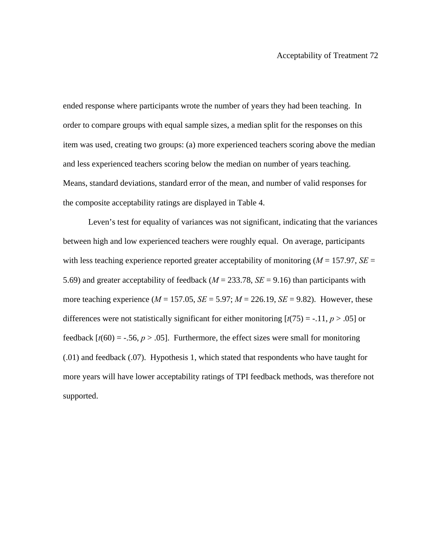ended response where participants wrote the number of years they had been teaching. In order to compare groups with equal sample sizes, a median split for the responses on this item was used, creating two groups: (a) more experienced teachers scoring above the median and less experienced teachers scoring below the median on number of years teaching. Means, standard deviations, standard error of the mean, and number of valid responses for the composite acceptability ratings are displayed in Table 4.

Leven's test for equality of variances was not significant, indicating that the variances between high and low experienced teachers were roughly equal. On average, participants with less teaching experience reported greater acceptability of monitoring (*M* = 157.97, *SE* = 5.69) and greater acceptability of feedback (*M* = 233.78, *SE* = 9.16) than participants with more teaching experience  $(M = 157.05, SE = 5.97; M = 226.19, SE = 9.82)$ . However, these differences were not statistically significant for either monitoring  $[t(75) = -0.11, p > 0.05]$  or feedback  $[t(60) = -.56, p > .05]$ . Furthermore, the effect sizes were small for monitoring (.01) and feedback (.07). Hypothesis 1, which stated that respondents who have taught for more years will have lower acceptability ratings of TPI feedback methods, was therefore not supported.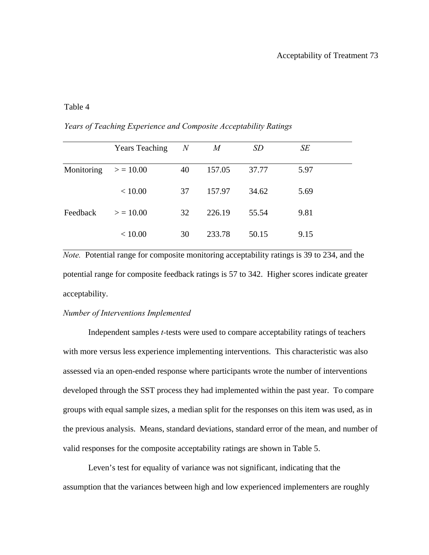## Acceptability of Treatment 73

## Table 4

| Years of Teaching Experience and Composite Acceptability Ratings |  |
|------------------------------------------------------------------|--|
|------------------------------------------------------------------|--|

|                        | <b>Years Teaching</b> | $\boldsymbol{N}$ | M      | <i>SD</i> | SE   |  |
|------------------------|-----------------------|------------------|--------|-----------|------|--|
| Monitoring $> = 10.00$ |                       | 40               | 157.05 | 37.77     | 5.97 |  |
|                        | < 10.00               | 37               | 157.97 | 34.62     | 5.69 |  |
| Feedback               | > 10.00               | 32               | 226.19 | 55.54     | 9.81 |  |
|                        | < 10.00               | 30               | 233.78 | 50.15     | 9.15 |  |

*Note.* Potential range for composite monitoring acceptability ratings is 39 to 234, and the potential range for composite feedback ratings is 57 to 342. Higher scores indicate greater acceptability.

#### *Number of Interventions Implemented*

Independent samples *t-*tests were used to compare acceptability ratings of teachers with more versus less experience implementing interventions. This characteristic was also assessed via an open-ended response where participants wrote the number of interventions developed through the SST process they had implemented within the past year. To compare groups with equal sample sizes, a median split for the responses on this item was used, as in the previous analysis. Means, standard deviations, standard error of the mean, and number of valid responses for the composite acceptability ratings are shown in Table 5.

Leven's test for equality of variance was not significant, indicating that the assumption that the variances between high and low experienced implementers are roughly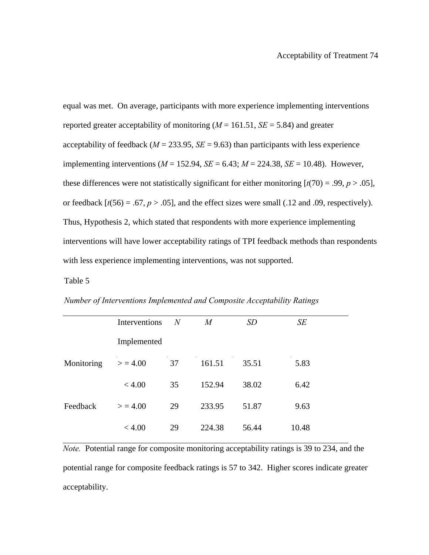equal was met. On average, participants with more experience implementing interventions reported greater acceptability of monitoring  $(M = 161.51, SE = 5.84)$  and greater acceptability of feedback ( $M = 233.95$ ,  $SE = 9.63$ ) than participants with less experience implementing interventions ( $M = 152.94$ ,  $SE = 6.43$ ;  $M = 224.38$ ,  $SE = 10.48$ ). However, these differences were not statistically significant for either monitoring  $[t(70) = .99, p > .05]$ , or feedback  $[t(56) = .67, p > .05]$ , and the effect sizes were small (.12 and .09, respectively). Thus, Hypothesis 2, which stated that respondents with more experience implementing interventions will have lower acceptability ratings of TPI feedback methods than respondents with less experience implementing interventions, was not supported.

#### Table 5

*Number of Interventions Implemented and Composite Acceptability Ratings* 

|            | Interventions | N  | M      | <i>SD</i> | SE    |
|------------|---------------|----|--------|-----------|-------|
|            | Implemented   |    |        |           |       |
| Monitoring | > 4.00        | 37 | 161.51 | 35.51     | 5.83  |
|            | < 4.00        | 35 | 152.94 | 38.02     | 6.42  |
| Feedback   | > 4.00        | 29 | 233.95 | 51.87     | 9.63  |
|            | < 4.00        | 29 | 224.38 | 56.44     | 10.48 |

*Note.* Potential range for composite monitoring acceptability ratings is 39 to 234, and the potential range for composite feedback ratings is 57 to 342. Higher scores indicate greater acceptability.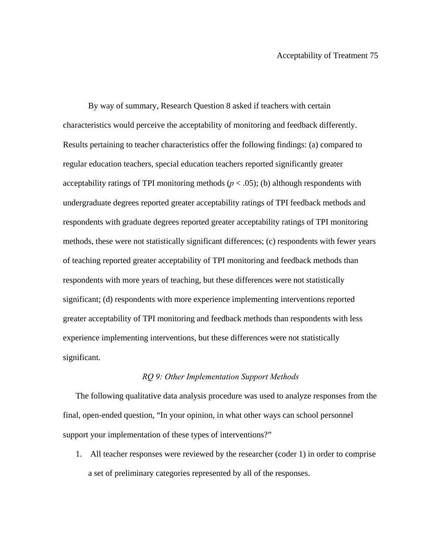By way of summary, Research Question 8 asked if teachers with certain characteristics would perceive the acceptability of monitoring and feedback differently. Results pertaining to teacher characteristics offer the following findings: (a) compared to regular education teachers, special education teachers reported significantly greater acceptability ratings of TPI monitoring methods  $(p < .05)$ ; (b) although respondents with undergraduate degrees reported greater acceptability ratings of TPI feedback methods and respondents with graduate degrees reported greater acceptability ratings of TPI monitoring methods, these were not statistically significant differences; (c) respondents with fewer years of teaching reported greater acceptability of TPI monitoring and feedback methods than respondents with more years of teaching, but these differences were not statistically significant; (d) respondents with more experience implementing interventions reported greater acceptability of TPI monitoring and feedback methods than respondents with less experience implementing interventions, but these differences were not statistically significant.

#### *RQ 9: Other Implementation Support Methods*

The following qualitative data analysis procedure was used to analyze responses from the final, open-ended question, "In your opinion, in what other ways can school personnel support your implementation of these types of interventions?"

1. All teacher responses were reviewed by the researcher (coder 1) in order to comprise a set of preliminary categories represented by all of the responses.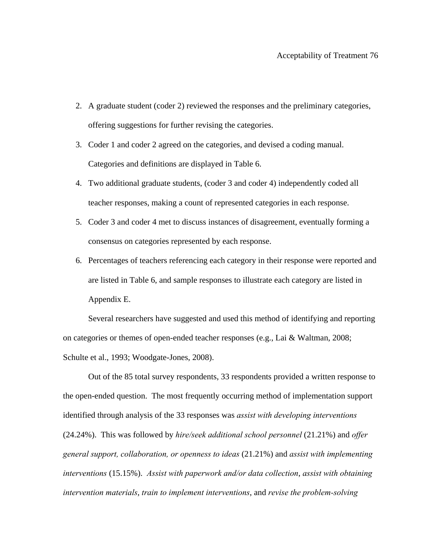- 2. A graduate student (coder 2) reviewed the responses and the preliminary categories, offering suggestions for further revising the categories.
- 3. Coder 1 and coder 2 agreed on the categories, and devised a coding manual. Categories and definitions are displayed in Table 6.
- 4. Two additional graduate students, (coder 3 and coder 4) independently coded all teacher responses, making a count of represented categories in each response.
- 5. Coder 3 and coder 4 met to discuss instances of disagreement, eventually forming a consensus on categories represented by each response.
- 6. Percentages of teachers referencing each category in their response were reported and are listed in Table 6, and sample responses to illustrate each category are listed in Appendix E.

Several researchers have suggested and used this method of identifying and reporting on categories or themes of open-ended teacher responses (e.g., Lai & Waltman, 2008; Schulte et al., 1993; Woodgate-Jones, 2008).

Out of the 85 total survey respondents, 33 respondents provided a written response to the open-ended question. The most frequently occurring method of implementation support identified through analysis of the 33 responses was *assist with developing interventions* (24.24%). This was followed by *hire/seek additional school personnel* (21.21%) and *offer general support, collaboration, or openness to ideas* (21.21%) and *assist with implementing interventions* (15.15%). *Assist with paperwork and/or data collection*, *assist with obtaining intervention materials*, *train to implement interventions*, and *revise the problem-solving*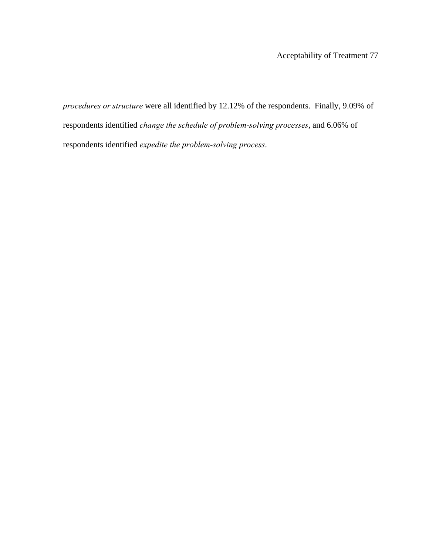*procedures or structure* were all identified by 12.12% of the respondents. Finally, 9.09% of respondents identified *change the schedule of problem-solving processes*, and 6.06% of respondents identified *expedite the problem-solving process*.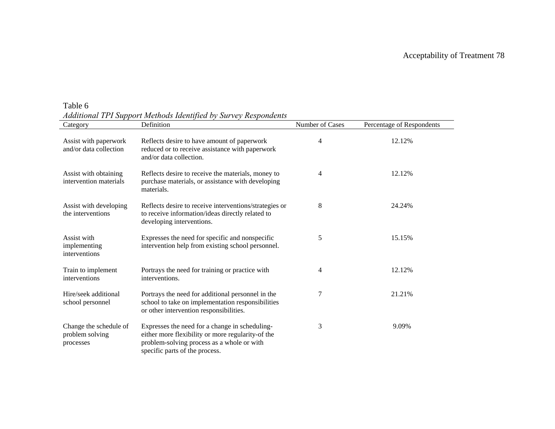$\equiv$ 

| Table 6 |                                                                 |  |  |  |
|---------|-----------------------------------------------------------------|--|--|--|
|         | Additional TPI Support Methods Identified by Survey Respondents |  |  |  |

| Category                                               | Definition                                                                                                                                                                          | Number of Cases | Percentage of Respondents |
|--------------------------------------------------------|-------------------------------------------------------------------------------------------------------------------------------------------------------------------------------------|-----------------|---------------------------|
| Assist with paperwork<br>and/or data collection        | Reflects desire to have amount of paperwork<br>reduced or to receive assistance with paperwork<br>and/or data collection.                                                           | 4               | 12.12%                    |
| Assist with obtaining<br>intervention materials        | Reflects desire to receive the materials, money to<br>purchase materials, or assistance with developing<br>materials.                                                               | 4               | 12.12%                    |
| Assist with developing<br>the interventions            | Reflects desire to receive interventions/strategies or<br>to receive information/ideas directly related to<br>developing interventions.                                             | 8               | 24.24%                    |
| Assist with<br>implementing<br>interventions           | Expresses the need for specific and nonspecific<br>intervention help from existing school personnel.                                                                                | 5               | 15.15%                    |
| Train to implement<br>interventions                    | Portrays the need for training or practice with<br>interventions.                                                                                                                   | 4               | 12.12%                    |
| Hire/seek additional<br>school personnel               | Portrays the need for additional personnel in the<br>school to take on implementation responsibilities<br>or other intervention responsibilities.                                   | 7               | 21.21%                    |
| Change the schedule of<br>problem solving<br>processes | Expresses the need for a change in scheduling-<br>either more flexibility or more regularity-of the<br>problem-solving process as a whole or with<br>specific parts of the process. | 3               | 9.09%                     |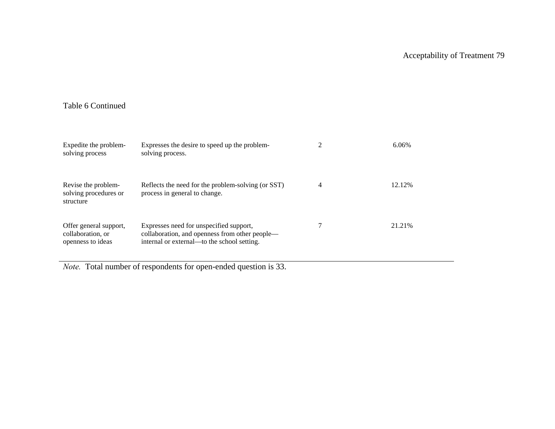## Table 6 Continued

| Expedite the problem-<br>solving process                         | Expresses the desire to speed up the problem-<br>solving process.                                                                        |                | 6.06%   |
|------------------------------------------------------------------|------------------------------------------------------------------------------------------------------------------------------------------|----------------|---------|
| Revise the problem-<br>solving procedures or<br>structure        | Reflects the need for the problem-solving (or SST)<br>process in general to change.                                                      | $\overline{4}$ | 12.12%  |
| Offer general support,<br>collaboration, or<br>openness to ideas | Expresses need for unspecified support,<br>collaboration, and openness from other people—<br>internal or external—to the school setting. |                | 21.21\% |

*Note.* Total number of respondents for open-ended question is 33.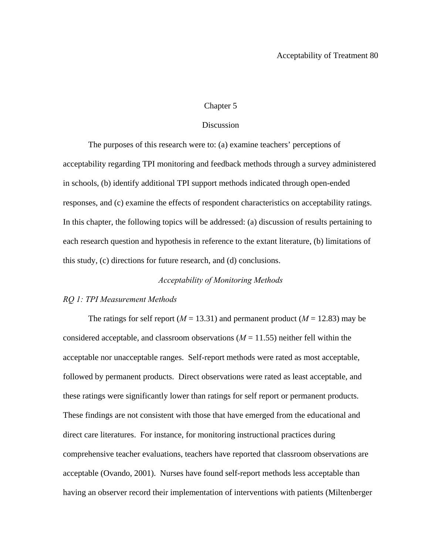## Chapter 5

## Discussion

 The purposes of this research were to: (a) examine teachers' perceptions of acceptability regarding TPI monitoring and feedback methods through a survey administered in schools, (b) identify additional TPI support methods indicated through open-ended responses, and (c) examine the effects of respondent characteristics on acceptability ratings. In this chapter, the following topics will be addressed: (a) discussion of results pertaining to each research question and hypothesis in reference to the extant literature, (b) limitations of this study, (c) directions for future research, and (d) conclusions.

## *Acceptability of Monitoring Methods*

#### *RQ 1: TPI Measurement Methods*

The ratings for self report ( $M = 13.31$ ) and permanent product ( $M = 12.83$ ) may be considered acceptable, and classroom observations  $(M = 11.55)$  neither fell within the acceptable nor unacceptable ranges. Self-report methods were rated as most acceptable, followed by permanent products. Direct observations were rated as least acceptable, and these ratings were significantly lower than ratings for self report or permanent products. These findings are not consistent with those that have emerged from the educational and direct care literatures. For instance, for monitoring instructional practices during comprehensive teacher evaluations, teachers have reported that classroom observations are acceptable (Ovando, 2001). Nurses have found self-report methods less acceptable than having an observer record their implementation of interventions with patients (Miltenberger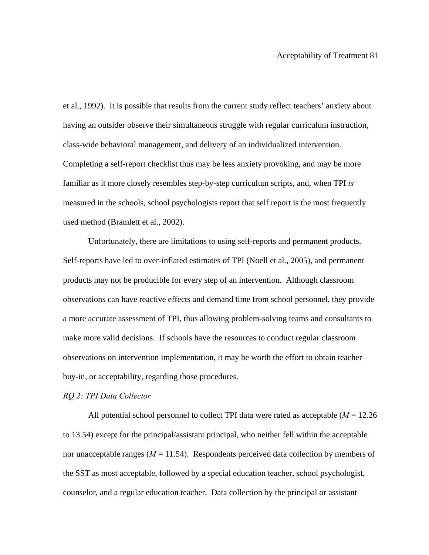et al., 1992). It is possible that results from the current study reflect teachers' anxiety about having an outsider observe their simultaneous struggle with regular curriculum instruction, class-wide behavioral management, and delivery of an individualized intervention. Completing a self-report checklist thus may be less anxiety provoking, and may be more familiar as it more closely resembles step-by-step curriculum scripts, and, when TPI *is* measured in the schools, school psychologists report that self report is the most frequently used method (Bramlett et al., 2002).

Unfortunately, there are limitations to using self-reports and permanent products. Self-reports have led to over-inflated estimates of TPI (Noell et al., 2005), and permanent products may not be producible for every step of an intervention. Although classroom observations can have reactive effects and demand time from school personnel, they provide a more accurate assessment of TPI, thus allowing problem-solving teams and consultants to make more valid decisions. If schools have the resources to conduct regular classroom observations on intervention implementation, it may be worth the effort to obtain teacher buy-in, or acceptability, regarding those procedures.

#### *RQ 2: TPI Data Collector*

All potential school personnel to collect TPI data were rated as acceptable (*M* = 12.26 to 13.54) except for the principal/assistant principal, who neither fell within the acceptable nor unacceptable ranges  $(M = 11.54)$ . Respondents perceived data collection by members of the SST as most acceptable, followed by a special education teacher, school psychologist, counselor, and a regular education teacher. Data collection by the principal or assistant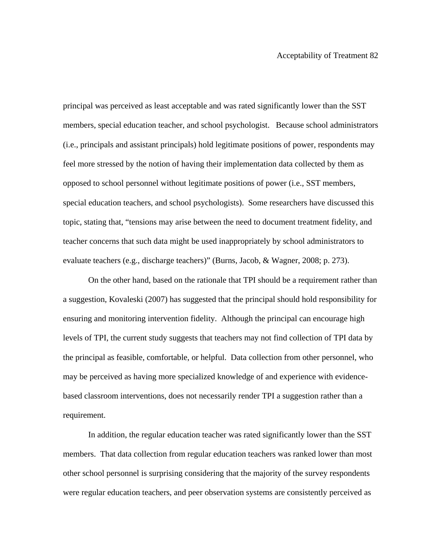principal was perceived as least acceptable and was rated significantly lower than the SST members, special education teacher, and school psychologist. Because school administrators (i.e., principals and assistant principals) hold legitimate positions of power, respondents may feel more stressed by the notion of having their implementation data collected by them as opposed to school personnel without legitimate positions of power (i.e., SST members, special education teachers, and school psychologists). Some researchers have discussed this topic, stating that, "tensions may arise between the need to document treatment fidelity, and teacher concerns that such data might be used inappropriately by school administrators to evaluate teachers (e.g., discharge teachers)" (Burns, Jacob, & Wagner, 2008; p. 273).

On the other hand, based on the rationale that TPI should be a requirement rather than a suggestion, Kovaleski (2007) has suggested that the principal should hold responsibility for ensuring and monitoring intervention fidelity. Although the principal can encourage high levels of TPI, the current study suggests that teachers may not find collection of TPI data by the principal as feasible, comfortable, or helpful. Data collection from other personnel, who may be perceived as having more specialized knowledge of and experience with evidencebased classroom interventions, does not necessarily render TPI a suggestion rather than a requirement.

In addition, the regular education teacher was rated significantly lower than the SST members. That data collection from regular education teachers was ranked lower than most other school personnel is surprising considering that the majority of the survey respondents were regular education teachers, and peer observation systems are consistently perceived as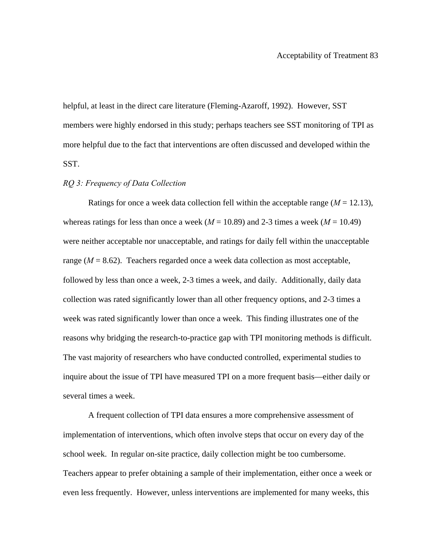helpful, at least in the direct care literature (Fleming-Azaroff, 1992). However, SST members were highly endorsed in this study; perhaps teachers see SST monitoring of TPI as more helpful due to the fact that interventions are often discussed and developed within the SST.

#### *RQ 3: Frequency of Data Collection*

Ratings for once a week data collection fell within the acceptable range  $(M = 12.13)$ , whereas ratings for less than once a week ( $M = 10.89$ ) and 2-3 times a week ( $M = 10.49$ ) were neither acceptable nor unacceptable, and ratings for daily fell within the unacceptable range  $(M = 8.62)$ . Teachers regarded once a week data collection as most acceptable, followed by less than once a week, 2-3 times a week, and daily. Additionally, daily data collection was rated significantly lower than all other frequency options, and 2-3 times a week was rated significantly lower than once a week. This finding illustrates one of the reasons why bridging the research-to-practice gap with TPI monitoring methods is difficult. The vast majority of researchers who have conducted controlled, experimental studies to inquire about the issue of TPI have measured TPI on a more frequent basis—either daily or several times a week.

A frequent collection of TPI data ensures a more comprehensive assessment of implementation of interventions, which often involve steps that occur on every day of the school week. In regular on-site practice, daily collection might be too cumbersome. Teachers appear to prefer obtaining a sample of their implementation, either once a week or even less frequently. However, unless interventions are implemented for many weeks, this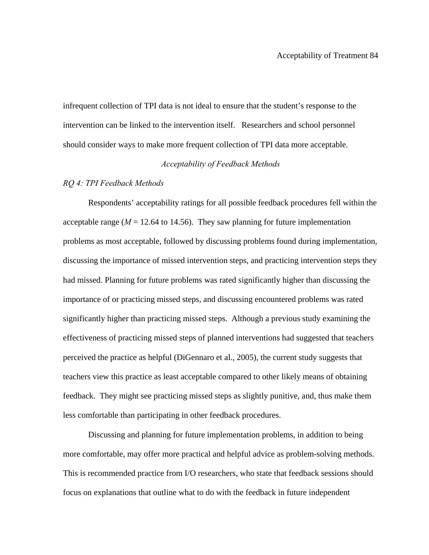infrequent collection of TPI data is not ideal to ensure that the student's response to the intervention can be linked to the intervention itself. Researchers and school personnel should consider ways to make more frequent collection of TPI data more acceptable.

## *Acceptability of Feedback Methods*

#### *RQ 4: TPI Feedback Methods*

Respondents' acceptability ratings for all possible feedback procedures fell within the acceptable range ( $M = 12.64$  to 14.56). They saw planning for future implementation problems as most acceptable, followed by discussing problems found during implementation, discussing the importance of missed intervention steps, and practicing intervention steps they had missed. Planning for future problems was rated significantly higher than discussing the importance of or practicing missed steps, and discussing encountered problems was rated significantly higher than practicing missed steps.Although a previous study examining the effectiveness of practicing missed steps of planned interventions had suggested that teachers perceived the practice as helpful (DiGennaro et al., 2005), the current study suggests that teachers view this practice as least acceptable compared to other likely means of obtaining feedback. They might see practicing missed steps as slightly punitive, and, thus make them less comfortable than participating in other feedback procedures.

Discussing and planning for future implementation problems, in addition to being more comfortable, may offer more practical and helpful advice as problem-solving methods. This is recommended practice from I/O researchers, who state that feedback sessions should focus on explanations that outline what to do with the feedback in future independent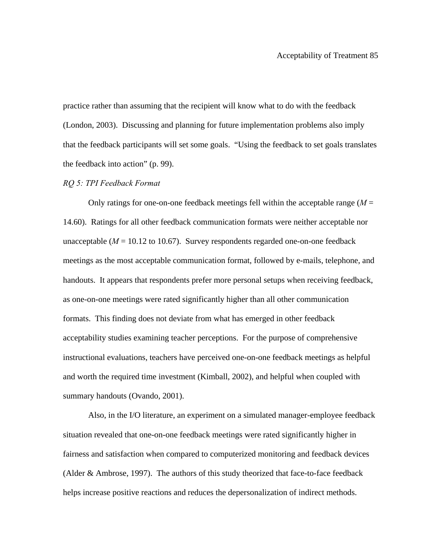practice rather than assuming that the recipient will know what to do with the feedback (London, 2003). Discussing and planning for future implementation problems also imply that the feedback participants will set some goals. "Using the feedback to set goals translates the feedback into action" (p. 99).

#### *RQ 5: TPI Feedback Format*

Only ratings for one-on-one feedback meetings fell within the acceptable range  $(M =$ 14.60). Ratings for all other feedback communication formats were neither acceptable nor unacceptable  $(M = 10.12$  to 10.67). Survey respondents regarded one-on-one feedback meetings as the most acceptable communication format, followed by e-mails, telephone, and handouts.It appears that respondents prefer more personal setups when receiving feedback, as one-on-one meetings were rated significantly higher than all other communication formats. This finding does not deviate from what has emerged in other feedback acceptability studies examining teacher perceptions. For the purpose of comprehensive instructional evaluations, teachers have perceived one-on-one feedback meetings as helpful and worth the required time investment (Kimball, 2002), and helpful when coupled with summary handouts (Ovando, 2001).

Also, in the I/O literature, an experiment on a simulated manager-employee feedback situation revealed that one-on-one feedback meetings were rated significantly higher in fairness and satisfaction when compared to computerized monitoring and feedback devices (Alder & Ambrose, 1997). The authors of this study theorized that face-to-face feedback helps increase positive reactions and reduces the depersonalization of indirect methods.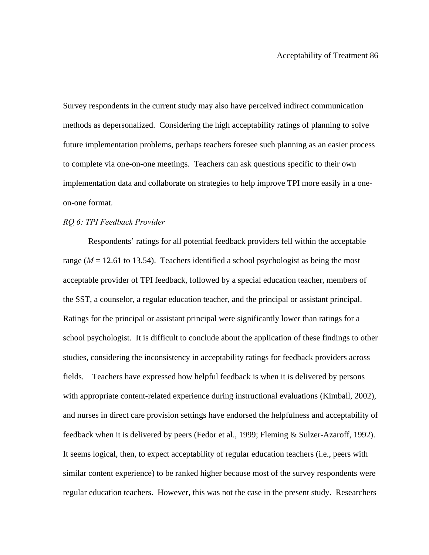Survey respondents in the current study may also have perceived indirect communication methods as depersonalized. Considering the high acceptability ratings of planning to solve future implementation problems, perhaps teachers foresee such planning as an easier process to complete via one-on-one meetings. Teachers can ask questions specific to their own implementation data and collaborate on strategies to help improve TPI more easily in a oneon-one format.

## *RQ 6: TPI Feedback Provider*

Respondents' ratings for all potential feedback providers fell within the acceptable range  $(M = 12.61$  to 13.54). Teachers identified a school psychologist as being the most acceptable provider of TPI feedback, followed by a special education teacher, members of the SST, a counselor, a regular education teacher, and the principal or assistant principal. Ratings for the principal or assistant principal were significantly lower than ratings for a school psychologist. It is difficult to conclude about the application of these findings to other studies, considering the inconsistency in acceptability ratings for feedback providers across fields. Teachers have expressed how helpful feedback is when it is delivered by persons with appropriate content-related experience during instructional evaluations (Kimball, 2002), and nurses in direct care provision settings have endorsed the helpfulness and acceptability of feedback when it is delivered by peers (Fedor et al., 1999; Fleming & Sulzer-Azaroff, 1992). It seems logical, then, to expect acceptability of regular education teachers (i.e., peers with similar content experience) to be ranked higher because most of the survey respondents were regular education teachers. However, this was not the case in the present study. Researchers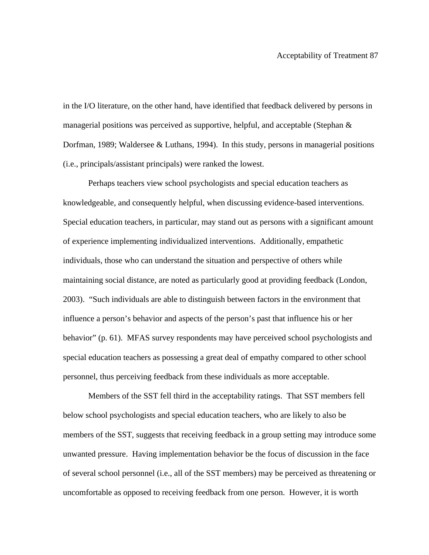in the I/O literature, on the other hand, have identified that feedback delivered by persons in managerial positions was perceived as supportive, helpful, and acceptable (Stephan  $\&$ Dorfman, 1989; Waldersee & Luthans, 1994). In this study, persons in managerial positions (i.e., principals/assistant principals) were ranked the lowest.

 Perhaps teachers view school psychologists and special education teachers as knowledgeable, and consequently helpful, when discussing evidence-based interventions. Special education teachers, in particular, may stand out as persons with a significant amount of experience implementing individualized interventions. Additionally, empathetic individuals, those who can understand the situation and perspective of others while maintaining social distance, are noted as particularly good at providing feedback (London, 2003). "Such individuals are able to distinguish between factors in the environment that influence a person's behavior and aspects of the person's past that influence his or her behavior" (p. 61). MFAS survey respondents may have perceived school psychologists and special education teachers as possessing a great deal of empathy compared to other school personnel, thus perceiving feedback from these individuals as more acceptable.

Members of the SST fell third in the acceptability ratings. That SST members fell below school psychologists and special education teachers, who are likely to also be members of the SST, suggests that receiving feedback in a group setting may introduce some unwanted pressure. Having implementation behavior be the focus of discussion in the face of several school personnel (i.e., all of the SST members) may be perceived as threatening or uncomfortable as opposed to receiving feedback from one person. However, it is worth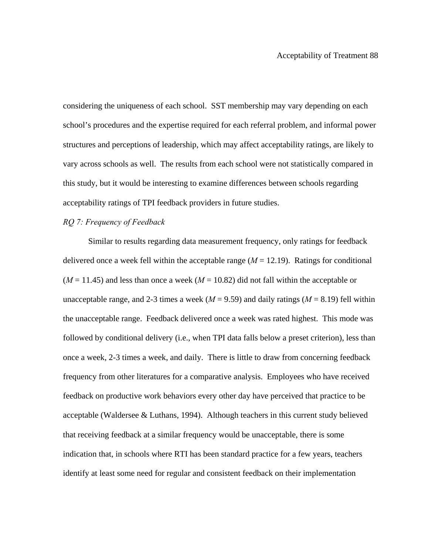considering the uniqueness of each school. SST membership may vary depending on each school's procedures and the expertise required for each referral problem, and informal power structures and perceptions of leadership, which may affect acceptability ratings, are likely to vary across schools as well. The results from each school were not statistically compared in this study, but it would be interesting to examine differences between schools regarding acceptability ratings of TPI feedback providers in future studies.

## *RQ 7: Frequency of Feedback*

Similar to results regarding data measurement frequency, only ratings for feedback delivered once a week fell within the acceptable range  $(M = 12.19)$ . Ratings for conditional  $(M = 11.45)$  and less than once a week  $(M = 10.82)$  did not fall within the acceptable or unacceptable range, and 2-3 times a week ( $M = 9.59$ ) and daily ratings ( $M = 8.19$ ) fell within the unacceptable range. Feedback delivered once a week was rated highest. This mode was followed by conditional delivery (i.e., when TPI data falls below a preset criterion), less than once a week, 2-3 times a week, and daily. There is little to draw from concerning feedback frequency from other literatures for a comparative analysis. Employees who have received feedback on productive work behaviors every other day have perceived that practice to be acceptable (Waldersee & Luthans, 1994). Although teachers in this current study believed that receiving feedback at a similar frequency would be unacceptable, there is some indication that, in schools where RTI has been standard practice for a few years, teachers identify at least some need for regular and consistent feedback on their implementation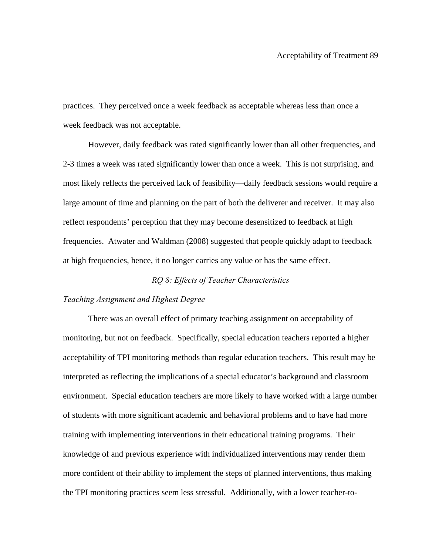practices. They perceived once a week feedback as acceptable whereas less than once a week feedback was not acceptable.

However, daily feedback was rated significantly lower than all other frequencies, and 2-3 times a week was rated significantly lower than once a week. This is not surprising, and most likely reflects the perceived lack of feasibility—daily feedback sessions would require a large amount of time and planning on the part of both the deliverer and receiver. It may also reflect respondents' perception that they may become desensitized to feedback at high frequencies. Atwater and Waldman (2008) suggested that people quickly adapt to feedback at high frequencies, hence, it no longer carries any value or has the same effect.

## *RQ 8: Effects of Teacher Characteristics*

#### *Teaching Assignment and Highest Degree*

There was an overall effect of primary teaching assignment on acceptability of monitoring, but not on feedback. Specifically, special education teachers reported a higher acceptability of TPI monitoring methods than regular education teachers. This result may be interpreted as reflecting the implications of a special educator's background and classroom environment. Special education teachers are more likely to have worked with a large number of students with more significant academic and behavioral problems and to have had more training with implementing interventions in their educational training programs. Their knowledge of and previous experience with individualized interventions may render them more confident of their ability to implement the steps of planned interventions, thus making the TPI monitoring practices seem less stressful. Additionally, with a lower teacher-to-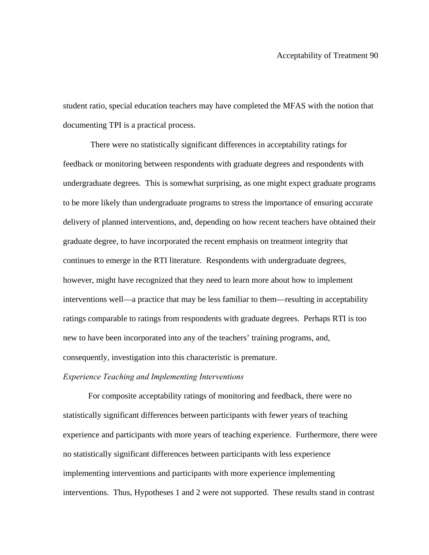student ratio, special education teachers may have completed the MFAS with the notion that documenting TPI is a practical process.

 There were no statistically significant differences in acceptability ratings for feedback or monitoring between respondents with graduate degrees and respondents with undergraduate degrees. This is somewhat surprising, as one might expect graduate programs to be more likely than undergraduate programs to stress the importance of ensuring accurate delivery of planned interventions, and, depending on how recent teachers have obtained their graduate degree, to have incorporated the recent emphasis on treatment integrity that continues to emerge in the RTI literature. Respondents with undergraduate degrees, however, might have recognized that they need to learn more about how to implement interventions well—a practice that may be less familiar to them—resulting in acceptability ratings comparable to ratings from respondents with graduate degrees. Perhaps RTI is too new to have been incorporated into any of the teachers' training programs, and, consequently, investigation into this characteristic is premature.

## *Experience Teaching and Implementing Interventions*

For composite acceptability ratings of monitoring and feedback, there were no statistically significant differences between participants with fewer years of teaching experience and participants with more years of teaching experience. Furthermore, there were no statistically significant differences between participants with less experience implementing interventions and participants with more experience implementing interventions. Thus, Hypotheses 1 and 2 were not supported. These results stand in contrast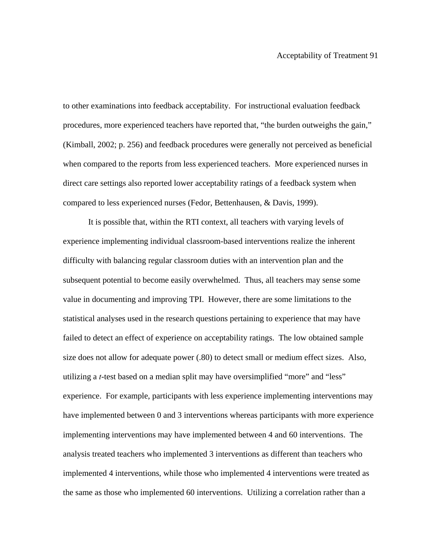to other examinations into feedback acceptability. For instructional evaluation feedback procedures, more experienced teachers have reported that, "the burden outweighs the gain," (Kimball, 2002; p. 256) and feedback procedures were generally not perceived as beneficial when compared to the reports from less experienced teachers. More experienced nurses in direct care settings also reported lower acceptability ratings of a feedback system when compared to less experienced nurses (Fedor, Bettenhausen, & Davis, 1999).

It is possible that, within the RTI context, all teachers with varying levels of experience implementing individual classroom-based interventions realize the inherent difficulty with balancing regular classroom duties with an intervention plan and the subsequent potential to become easily overwhelmed. Thus, all teachers may sense some value in documenting and improving TPI. However, there are some limitations to the statistical analyses used in the research questions pertaining to experience that may have failed to detect an effect of experience on acceptability ratings. The low obtained sample size does not allow for adequate power (.80) to detect small or medium effect sizes. Also, utilizing a *t*-test based on a median split may have oversimplified "more" and "less" experience. For example, participants with less experience implementing interventions may have implemented between 0 and 3 interventions whereas participants with more experience implementing interventions may have implemented between 4 and 60 interventions. The analysis treated teachers who implemented 3 interventions as different than teachers who implemented 4 interventions, while those who implemented 4 interventions were treated as the same as those who implemented 60 interventions. Utilizing a correlation rather than a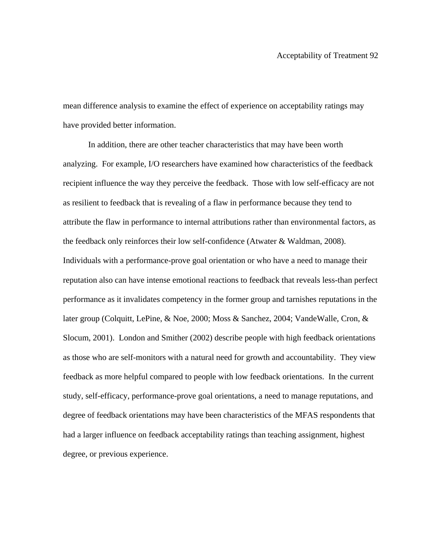mean difference analysis to examine the effect of experience on acceptability ratings may have provided better information.

 In addition, there are other teacher characteristics that may have been worth analyzing. For example, I/O researchers have examined how characteristics of the feedback recipient influence the way they perceive the feedback. Those with low self-efficacy are not as resilient to feedback that is revealing of a flaw in performance because they tend to attribute the flaw in performance to internal attributions rather than environmental factors, as the feedback only reinforces their low self-confidence (Atwater & Waldman, 2008). Individuals with a performance-prove goal orientation or who have a need to manage their reputation also can have intense emotional reactions to feedback that reveals less-than perfect performance as it invalidates competency in the former group and tarnishes reputations in the later group (Colquitt, LePine, & Noe, 2000; Moss & Sanchez, 2004; VandeWalle, Cron, & Slocum, 2001). London and Smither (2002) describe people with high feedback orientations as those who are self-monitors with a natural need for growth and accountability. They view feedback as more helpful compared to people with low feedback orientations. In the current study, self-efficacy, performance-prove goal orientations, a need to manage reputations, and degree of feedback orientations may have been characteristics of the MFAS respondents that had a larger influence on feedback acceptability ratings than teaching assignment, highest degree, or previous experience.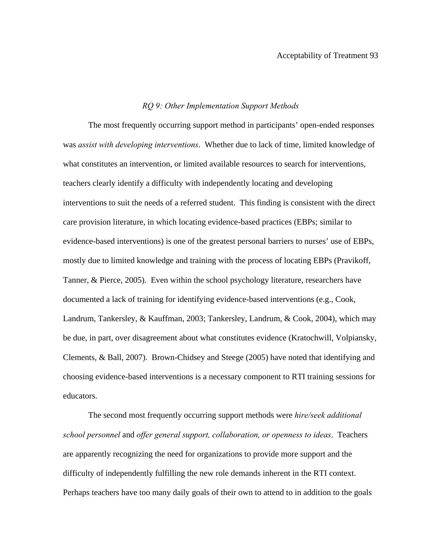## *RQ 9: Other Implementation Support Methods*

The most frequently occurring support method in participants' open-ended responses was *assist with developing interventions*. Whether due to lack of time, limited knowledge of what constitutes an intervention, or limited available resources to search for interventions, teachers clearly identify a difficulty with independently locating and developing interventions to suit the needs of a referred student. This finding is consistent with the direct care provision literature, in which locating evidence-based practices (EBPs; similar to evidence-based interventions) is one of the greatest personal barriers to nurses' use of EBPs, mostly due to limited knowledge and training with the process of locating EBPs (Pravikoff, Tanner, & Pierce, 2005). Even within the school psychology literature, researchers have documented a lack of training for identifying evidence-based interventions (e.g., Cook, Landrum, Tankersley, & Kauffman, 2003; Tankersley, Landrum, & Cook, 2004), which may be due, in part, over disagreement about what constitutes evidence (Kratochwill, Volpiansky, Clements, & Ball, 2007). Brown-Chidsey and Steege (2005) have noted that identifying and choosing evidence-based interventions is a necessary component to RTI training sessions for educators.

 The second most frequently occurring support methods were *hire/seek additional school personnel* and *offer general support, collaboration, or openness to ideas*. Teachers are apparently recognizing the need for organizations to provide more support and the difficulty of independently fulfilling the new role demands inherent in the RTI context. Perhaps teachers have too many daily goals of their own to attend to in addition to the goals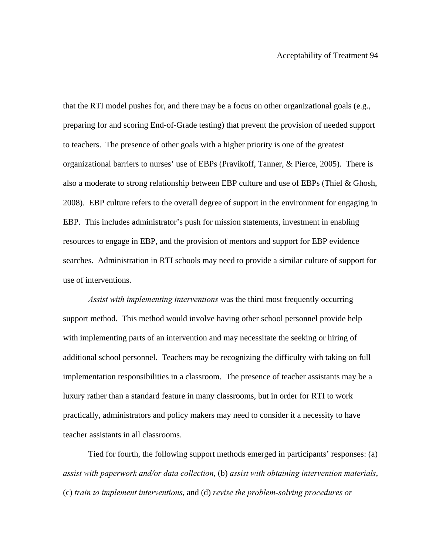that the RTI model pushes for, and there may be a focus on other organizational goals (e.g., preparing for and scoring End-of-Grade testing) that prevent the provision of needed support to teachers. The presence of other goals with a higher priority is one of the greatest organizational barriers to nurses' use of EBPs (Pravikoff, Tanner, & Pierce, 2005). There is also a moderate to strong relationship between EBP culture and use of EBPs (Thiel & Ghosh, 2008). EBP culture refers to the overall degree of support in the environment for engaging in EBP. This includes administrator's push for mission statements, investment in enabling resources to engage in EBP, and the provision of mentors and support for EBP evidence searches. Administration in RTI schools may need to provide a similar culture of support for use of interventions.

*Assist with implementing interventions* was the third most frequently occurring support method. This method would involve having other school personnel provide help with implementing parts of an intervention and may necessitate the seeking or hiring of additional school personnel. Teachers may be recognizing the difficulty with taking on full implementation responsibilities in a classroom. The presence of teacher assistants may be a luxury rather than a standard feature in many classrooms, but in order for RTI to work practically, administrators and policy makers may need to consider it a necessity to have teacher assistants in all classrooms.

 Tied for fourth, the following support methods emerged in participants' responses: (a) *assist with paperwork and/or data collection*, (b) *assist with obtaining intervention materials*, (c) *train to implement interventions*, and (d) *revise the problem-solving procedures or*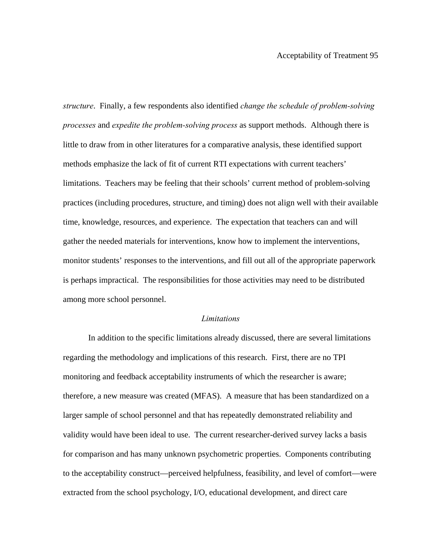*structure*. Finally, a few respondents also identified *change the schedule of problem-solving processes* and *expedite the problem-solving process* as support methods. Although there is little to draw from in other literatures for a comparative analysis, these identified support methods emphasize the lack of fit of current RTI expectations with current teachers' limitations. Teachers may be feeling that their schools' current method of problem-solving practices (including procedures, structure, and timing) does not align well with their available time, knowledge, resources, and experience. The expectation that teachers can and will gather the needed materials for interventions, know how to implement the interventions, monitor students' responses to the interventions, and fill out all of the appropriate paperwork is perhaps impractical. The responsibilities for those activities may need to be distributed among more school personnel.

#### *Limitations*

In addition to the specific limitations already discussed, there are several limitations regarding the methodology and implications of this research. First, there are no TPI monitoring and feedback acceptability instruments of which the researcher is aware; therefore, a new measure was created (MFAS). A measure that has been standardized on a larger sample of school personnel and that has repeatedly demonstrated reliability and validity would have been ideal to use. The current researcher-derived survey lacks a basis for comparison and has many unknown psychometric properties. Components contributing to the acceptability construct—perceived helpfulness, feasibility, and level of comfort—were extracted from the school psychology, I/O, educational development, and direct care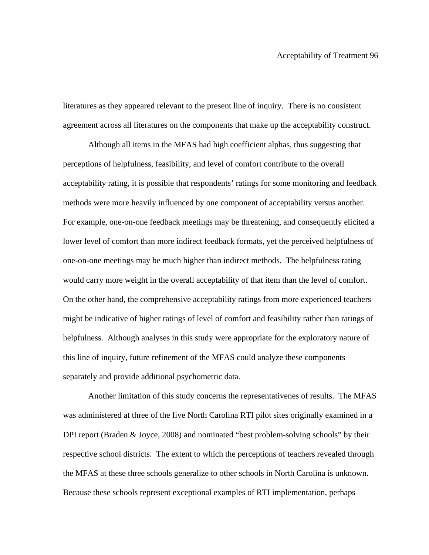literatures as they appeared relevant to the present line of inquiry. There is no consistent agreement across all literatures on the components that make up the acceptability construct.

Although all items in the MFAS had high coefficient alphas, thus suggesting that perceptions of helpfulness, feasibility, and level of comfort contribute to the overall acceptability rating, it is possible that respondents' ratings for some monitoring and feedback methods were more heavily influenced by one component of acceptability versus another. For example, one-on-one feedback meetings may be threatening, and consequently elicited a lower level of comfort than more indirect feedback formats, yet the perceived helpfulness of one-on-one meetings may be much higher than indirect methods. The helpfulness rating would carry more weight in the overall acceptability of that item than the level of comfort. On the other hand, the comprehensive acceptability ratings from more experienced teachers might be indicative of higher ratings of level of comfort and feasibility rather than ratings of helpfulness. Although analyses in this study were appropriate for the exploratory nature of this line of inquiry, future refinement of the MFAS could analyze these components separately and provide additional psychometric data.

Another limitation of this study concerns the representativenes of results. The MFAS was administered at three of the five North Carolina RTI pilot sites originally examined in a DPI report (Braden & Joyce, 2008) and nominated "best problem-solving schools" by their respective school districts. The extent to which the perceptions of teachers revealed through the MFAS at these three schools generalize to other schools in North Carolina is unknown. Because these schools represent exceptional examples of RTI implementation, perhaps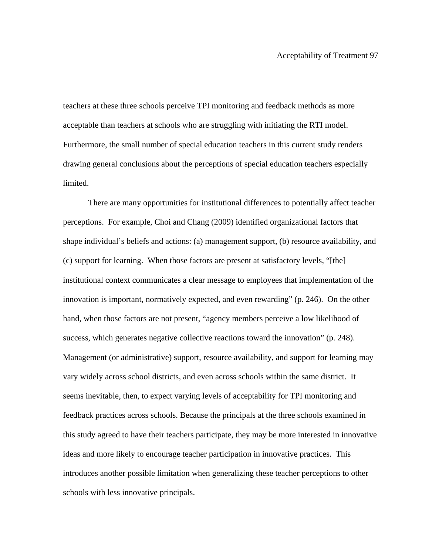teachers at these three schools perceive TPI monitoring and feedback methods as more acceptable than teachers at schools who are struggling with initiating the RTI model. Furthermore, the small number of special education teachers in this current study renders drawing general conclusions about the perceptions of special education teachers especially limited.

There are many opportunities for institutional differences to potentially affect teacher perceptions. For example, Choi and Chang (2009) identified organizational factors that shape individual's beliefs and actions: (a) management support, (b) resource availability, and (c) support for learning. When those factors are present at satisfactory levels, "[the] institutional context communicates a clear message to employees that implementation of the innovation is important, normatively expected, and even rewarding" (p. 246). On the other hand, when those factors are not present, "agency members perceive a low likelihood of success, which generates negative collective reactions toward the innovation" (p. 248). Management (or administrative) support, resource availability, and support for learning may vary widely across school districts, and even across schools within the same district. It seems inevitable, then, to expect varying levels of acceptability for TPI monitoring and feedback practices across schools. Because the principals at the three schools examined in this study agreed to have their teachers participate, they may be more interested in innovative ideas and more likely to encourage teacher participation in innovative practices. This introduces another possible limitation when generalizing these teacher perceptions to other schools with less innovative principals.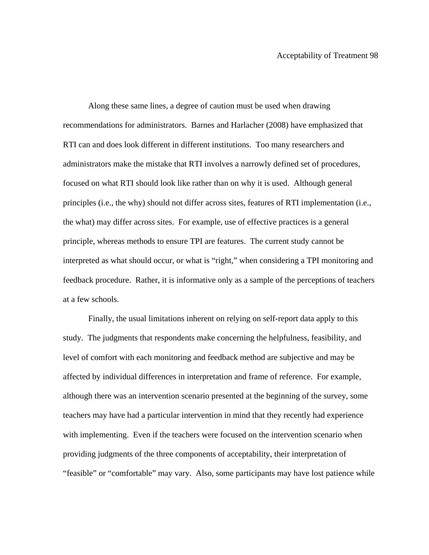Along these same lines, a degree of caution must be used when drawing recommendations for administrators. Barnes and Harlacher (2008) have emphasized that RTI can and does look different in different institutions. Too many researchers and administrators make the mistake that RTI involves a narrowly defined set of procedures, focused on what RTI should look like rather than on why it is used. Although general principles (i.e., the why) should not differ across sites, features of RTI implementation (i.e., the what) may differ across sites. For example, use of effective practices is a general principle, whereas methods to ensure TPI are features. The current study cannot be interpreted as what should occur, or what is "right," when considering a TPI monitoring and feedback procedure. Rather, it is informative only as a sample of the perceptions of teachers at a few schools.

Finally, the usual limitations inherent on relying on self-report data apply to this study. The judgments that respondents make concerning the helpfulness, feasibility, and level of comfort with each monitoring and feedback method are subjective and may be affected by individual differences in interpretation and frame of reference. For example, although there was an intervention scenario presented at the beginning of the survey, some teachers may have had a particular intervention in mind that they recently had experience with implementing. Even if the teachers were focused on the intervention scenario when providing judgments of the three components of acceptability, their interpretation of "feasible" or "comfortable" may vary. Also, some participants may have lost patience while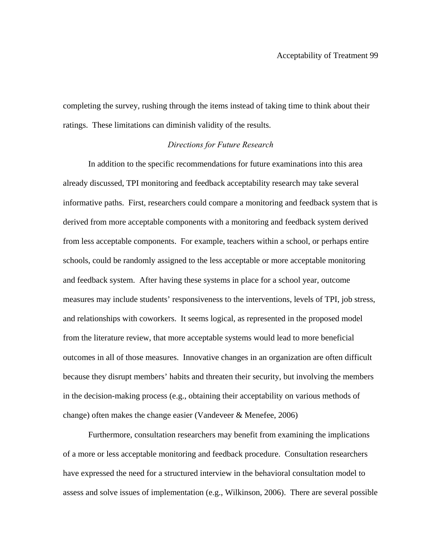completing the survey, rushing through the items instead of taking time to think about their ratings. These limitations can diminish validity of the results.

### *Directions for Future Research*

 In addition to the specific recommendations for future examinations into this area already discussed, TPI monitoring and feedback acceptability research may take several informative paths. First, researchers could compare a monitoring and feedback system that is derived from more acceptable components with a monitoring and feedback system derived from less acceptable components. For example, teachers within a school, or perhaps entire schools, could be randomly assigned to the less acceptable or more acceptable monitoring and feedback system. After having these systems in place for a school year, outcome measures may include students' responsiveness to the interventions, levels of TPI, job stress, and relationships with coworkers. It seems logical, as represented in the proposed model from the literature review, that more acceptable systems would lead to more beneficial outcomes in all of those measures. Innovative changes in an organization are often difficult because they disrupt members' habits and threaten their security, but involving the members in the decision-making process (e.g., obtaining their acceptability on various methods of change) often makes the change easier (Vandeveer & Menefee, 2006)

 Furthermore, consultation researchers may benefit from examining the implications of a more or less acceptable monitoring and feedback procedure. Consultation researchers have expressed the need for a structured interview in the behavioral consultation model to assess and solve issues of implementation (e.g., Wilkinson, 2006). There are several possible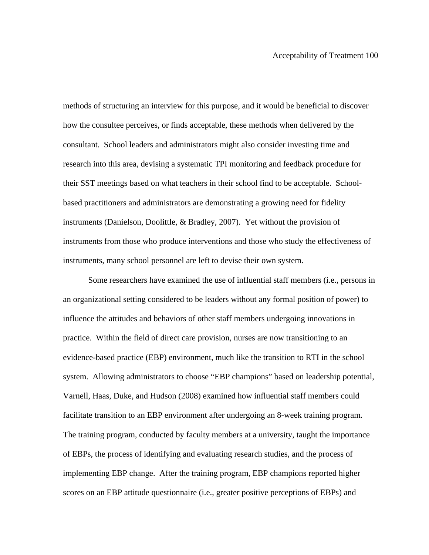methods of structuring an interview for this purpose, and it would be beneficial to discover how the consultee perceives, or finds acceptable, these methods when delivered by the consultant. School leaders and administrators might also consider investing time and research into this area, devising a systematic TPI monitoring and feedback procedure for their SST meetings based on what teachers in their school find to be acceptable. Schoolbased practitioners and administrators are demonstrating a growing need for fidelity instruments (Danielson, Doolittle, & Bradley, 2007). Yet without the provision of instruments from those who produce interventions and those who study the effectiveness of instruments, many school personnel are left to devise their own system.

 Some researchers have examined the use of influential staff members (i.e., persons in an organizational setting considered to be leaders without any formal position of power) to influence the attitudes and behaviors of other staff members undergoing innovations in practice. Within the field of direct care provision, nurses are now transitioning to an evidence-based practice (EBP) environment, much like the transition to RTI in the school system. Allowing administrators to choose "EBP champions" based on leadership potential, Varnell, Haas, Duke, and Hudson (2008) examined how influential staff members could facilitate transition to an EBP environment after undergoing an 8-week training program. The training program, conducted by faculty members at a university, taught the importance of EBPs, the process of identifying and evaluating research studies, and the process of implementing EBP change. After the training program, EBP champions reported higher scores on an EBP attitude questionnaire (i.e., greater positive perceptions of EBPs) and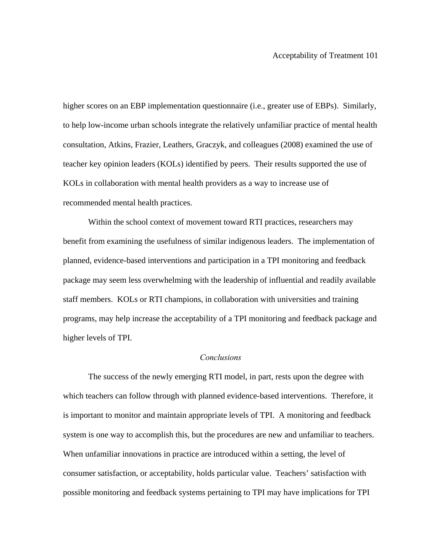higher scores on an EBP implementation questionnaire (i.e., greater use of EBPs). Similarly, to help low-income urban schools integrate the relatively unfamiliar practice of mental health consultation, Atkins, Frazier, Leathers, Graczyk, and colleagues (2008) examined the use of teacher key opinion leaders (KOLs) identified by peers. Their results supported the use of KOLs in collaboration with mental health providers as a way to increase use of recommended mental health practices.

 Within the school context of movement toward RTI practices, researchers may benefit from examining the usefulness of similar indigenous leaders. The implementation of planned, evidence-based interventions and participation in a TPI monitoring and feedback package may seem less overwhelming with the leadership of influential and readily available staff members. KOLs or RTI champions, in collaboration with universities and training programs, may help increase the acceptability of a TPI monitoring and feedback package and higher levels of TPI.

# *Conclusions*

The success of the newly emerging RTI model, in part, rests upon the degree with which teachers can follow through with planned evidence-based interventions. Therefore, it is important to monitor and maintain appropriate levels of TPI. A monitoring and feedback system is one way to accomplish this, but the procedures are new and unfamiliar to teachers. When unfamiliar innovations in practice are introduced within a setting, the level of consumer satisfaction, or acceptability, holds particular value. Teachers' satisfaction with possible monitoring and feedback systems pertaining to TPI may have implications for TPI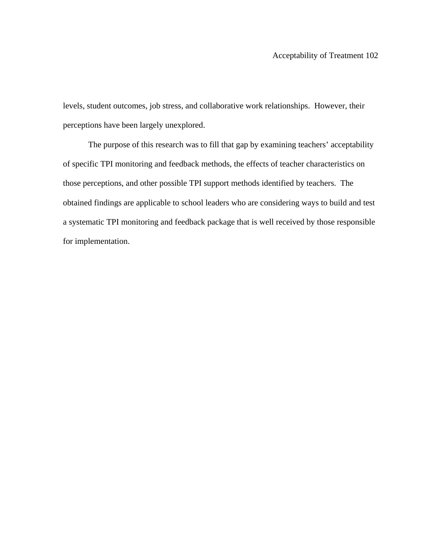levels, student outcomes, job stress, and collaborative work relationships. However, their perceptions have been largely unexplored.

The purpose of this research was to fill that gap by examining teachers' acceptability of specific TPI monitoring and feedback methods, the effects of teacher characteristics on those perceptions, and other possible TPI support methods identified by teachers. The obtained findings are applicable to school leaders who are considering ways to build and test a systematic TPI monitoring and feedback package that is well received by those responsible for implementation.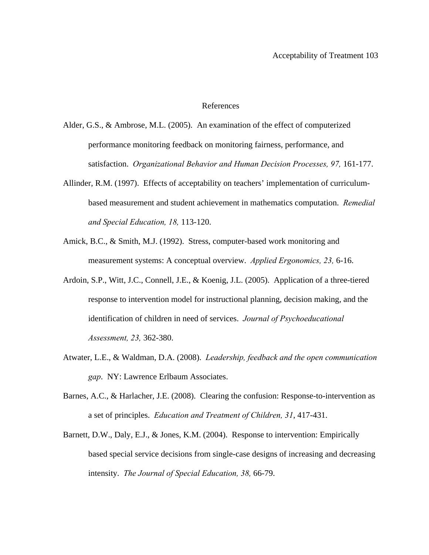## References

- Alder, G.S., & Ambrose, M.L. (2005). An examination of the effect of computerized performance monitoring feedback on monitoring fairness, performance, and satisfaction. *Organizational Behavior and Human Decision Processes*, 97, 161-177.
- Allinder, R.M. (1997). Effects of acceptability on teachers' implementation of curriculumbased measurement and student achievement in mathematics computation. *Remedial and Special Education, 18,* 113-120.
- Amick, B.C., & Smith, M.J. (1992). Stress, computer-based work monitoring and measurement systems: A conceptual overview. *Applied Ergonomics, 23,* 6-16.
- Ardoin, S.P., Witt, J.C., Connell, J.E., & Koenig, J.L. (2005). Application of a three-tiered response to intervention model for instructional planning, decision making, and the identification of children in need of services. *Journal of Psychoeducational Assessment, 23,* 362-380.
- Atwater, L.E., & Waldman, D.A. (2008). *Leadership, feedback and the open communication gap*. NY: Lawrence Erlbaum Associates.
- Barnes, A.C., & Harlacher, J.E. (2008). Clearing the confusion: Response-to-intervention as a set of principles. *Education and Treatment of Children, 31*, 417-431.
- Barnett, D.W., Daly, E.J., & Jones, K.M. (2004). Response to intervention: Empirically based special service decisions from single-case designs of increasing and decreasing intensity. *The Journal of Special Education, 38,* 66-79.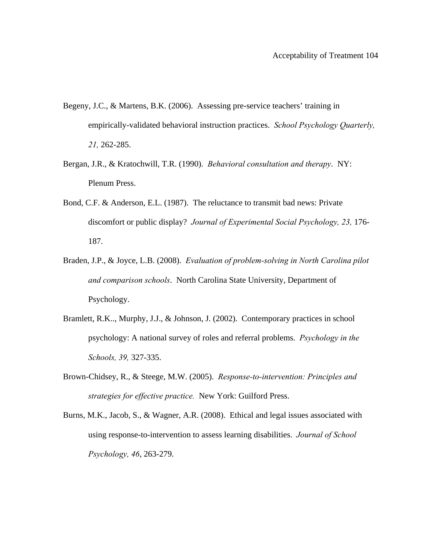- Begeny, J.C., & Martens, B.K. (2006). Assessing pre-service teachers' training in empirically-validated behavioral instruction practices. *School Psychology Quarterly, 21,* 262-285.
- Bergan, J.R., & Kratochwill, T.R. (1990). *Behavioral consultation and therapy*. NY: Plenum Press.
- Bond, C.F. & Anderson, E.L. (1987). The reluctance to transmit bad news: Private discomfort or public display? *Journal of Experimental Social Psychology, 23,* 176- 187.
- Braden, J.P., & Joyce, L.B. (2008). *Evaluation of problem-solving in North Carolina pilot and comparison schools*. North Carolina State University, Department of Psychology.
- Bramlett, R.K.., Murphy, J.J., & Johnson, J. (2002). Contemporary practices in school psychology: A national survey of roles and referral problems. *Psychology in the Schools, 39,* 327-335.
- Brown-Chidsey, R., & Steege, M.W. (2005). *Response-to-intervention: Principles and strategies for effective practice.* New York: Guilford Press.
- Burns, M.K., Jacob, S., & Wagner, A.R. (2008). Ethical and legal issues associated with using response-to-intervention to assess learning disabilities. *Journal of School Psychology, 46*, 263-279.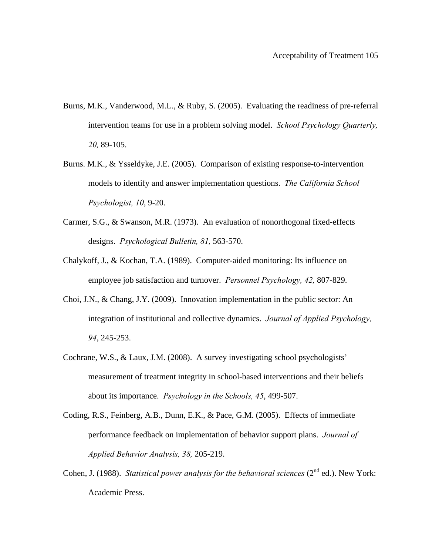- Burns, M.K., Vanderwood, M.L., & Ruby, S. (2005). Evaluating the readiness of pre-referral intervention teams for use in a problem solving model. *School Psychology Quarterly, 20,* 89-105.
- Burns. M.K., & Ysseldyke, J.E. (2005). Comparison of existing response-to-intervention models to identify and answer implementation questions. *The California School Psychologist, 10*, 9-20.
- Carmer, S.G., & Swanson, M.R. (1973). An evaluation of nonorthogonal fixed-effects designs. *Psychological Bulletin, 81,* 563-570.
- Chalykoff, J., & Kochan, T.A. (1989). Computer-aided monitoring: Its influence on employee job satisfaction and turnover. *Personnel Psychology, 42,* 807-829.
- Choi, J.N., & Chang, J.Y. (2009). Innovation implementation in the public sector: An integration of institutional and collective dynamics. *Journal of Applied Psychology, 94*, 245-253.
- Cochrane, W.S., & Laux, J.M. (2008). A survey investigating school psychologists' measurement of treatment integrity in school-based interventions and their beliefs about its importance. *Psychology in the Schools, 45*, 499-507.
- Coding, R.S., Feinberg, A.B., Dunn, E.K., & Pace, G.M. (2005). Effects of immediate performance feedback on implementation of behavior support plans. *Journal of Applied Behavior Analysis, 38,* 205-219.
- Cohen, J. (1988). *Statistical power analysis for the behavioral sciences* (2<sup>nd</sup> ed.). New York: Academic Press.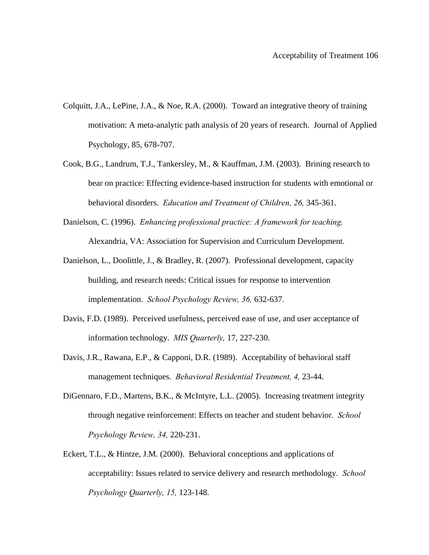- Colquitt, J.A., LePine, J.A., & Noe, R.A. (2000). Toward an integrative theory of training motivation: A meta-analytic path analysis of 20 years of research. Journal of Applied Psychology, 85, 678-707.
- Cook, B.G., Landrum, T.J., Tankersley, M., & Kauffman, J.M. (2003). Brining research to bear on practice: Effecting evidence-based instruction for students with emotional or behavioral disorders. *Education and Treatment of Children, 26,* 345-361.
- Danielson, C. (1996). *Enhancing professional practice: A framework for teaching.*  Alexandria, VA: Association for Supervision and Curriculum Development.
- Danielson, L., Doolittle, J., & Bradley, R. (2007). Professional development, capacity building, and research needs: Critical issues for response to intervention implementation. *School Psychology Review, 36,* 632-637.
- Davis, F.D. (1989). Perceived usefulness, perceived ease of use, and user acceptance of information technology. *MIS Quarterly,* 17, 227-230.
- Davis, J.R., Rawana, E.P., & Capponi, D.R. (1989). Acceptability of behavioral staff management techniques. *Behavioral Residential Treatment, 4,* 23-44.
- DiGennaro, F.D., Martens, B.K., & McIntyre, L.L. (2005). Increasing treatment integrity through negative reinforcement: Effects on teacher and student behavior. *School Psychology Review, 34,* 220-231.
- Eckert, T.L., & Hintze, J.M. (2000). Behavioral conceptions and applications of acceptability: Issues related to service delivery and research methodology. *School Psychology Quarterly, 15,* 123-148.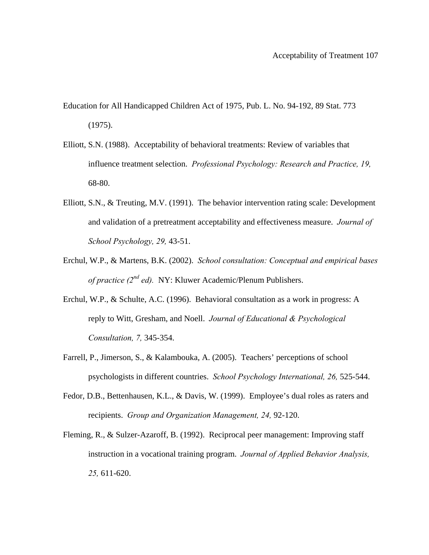- Education for All Handicapped Children Act of 1975, Pub. L. No. 94-192, 89 Stat. 773 (1975).
- Elliott, S.N. (1988). Acceptability of behavioral treatments: Review of variables that influence treatment selection. *Professional Psychology: Research and Practice, 19,*  68-80.
- Elliott, S.N., & Treuting, M.V. (1991). The behavior intervention rating scale: Development and validation of a pretreatment acceptability and effectiveness measure. *Journal of School Psychology, 29,* 43-51.
- Erchul, W.P., & Martens, B.K. (2002). *School consultation: Conceptual and empirical bases of practice (2<sup>nd</sup> ed).* NY: Kluwer Academic/Plenum Publishers.
- Erchul, W.P., & Schulte, A.C. (1996). Behavioral consultation as a work in progress: A reply to Witt, Gresham, and Noell. *Journal of Educational & Psychological Consultation, 7,* 345-354.
- Farrell, P., Jimerson, S., & Kalambouka, A. (2005). Teachers' perceptions of school psychologists in different countries. *School Psychology International, 26,* 525-544.
- Fedor, D.B., Bettenhausen, K.L., & Davis, W. (1999). Employee's dual roles as raters and recipients. *Group and Organization Management, 24,* 92-120.
- Fleming, R., & Sulzer-Azaroff, B. (1992). Reciprocal peer management: Improving staff instruction in a vocational training program. *Journal of Applied Behavior Analysis, 25,* 611-620.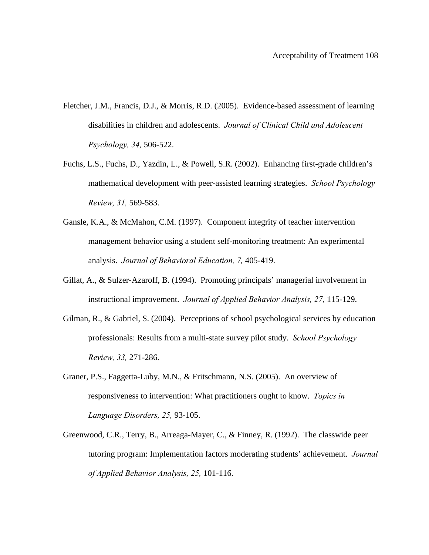- Fletcher, J.M., Francis, D.J., & Morris, R.D. (2005). Evidence-based assessment of learning disabilities in children and adolescents. *Journal of Clinical Child and Adolescent Psychology, 34,* 506-522.
- Fuchs, L.S., Fuchs, D., Yazdin, L., & Powell, S.R. (2002). Enhancing first-grade children's mathematical development with peer-assisted learning strategies. *School Psychology Review, 31,* 569-583.
- Gansle, K.A., & McMahon, C.M. (1997). Component integrity of teacher intervention management behavior using a student self-monitoring treatment: An experimental analysis. *Journal of Behavioral Education, 7,* 405-419.
- Gillat, A., & Sulzer-Azaroff, B. (1994). Promoting principals' managerial involvement in instructional improvement. *Journal of Applied Behavior Analysis, 27,* 115-129.
- Gilman, R., & Gabriel, S. (2004). Perceptions of school psychological services by education professionals: Results from a multi-state survey pilot study. *School Psychology Review, 33,* 271-286.
- Graner, P.S., Faggetta-Luby, M.N., & Fritschmann, N.S. (2005). An overview of responsiveness to intervention: What practitioners ought to know. *Topics in Language Disorders, 25,* 93-105.
- Greenwood, C.R., Terry, B., Arreaga-Mayer, C., & Finney, R. (1992). The classwide peer tutoring program: Implementation factors moderating students' achievement. *Journal of Applied Behavior Analysis, 25,* 101-116.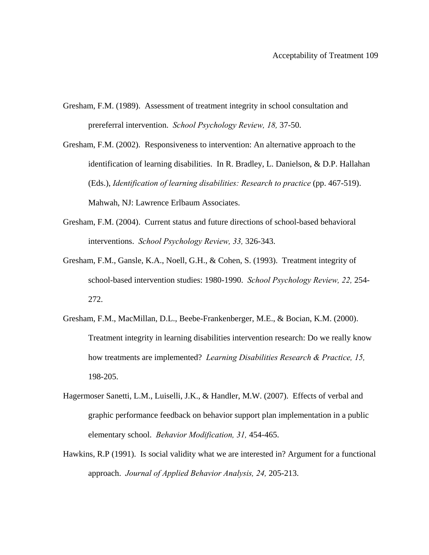- Gresham, F.M. (1989). Assessment of treatment integrity in school consultation and prereferral intervention. *School Psychology Review, 18,* 37-50.
- Gresham, F.M. (2002). Responsiveness to intervention: An alternative approach to the identification of learning disabilities. In R. Bradley, L. Danielson, & D.P. Hallahan (Eds.), *Identification of learning disabilities: Research to practice* (pp. 467-519). Mahwah, NJ: Lawrence Erlbaum Associates.
- Gresham, F.M. (2004). Current status and future directions of school-based behavioral interventions. *School Psychology Review, 33,* 326-343.
- Gresham, F.M., Gansle, K.A., Noell, G.H., & Cohen, S. (1993). Treatment integrity of school-based intervention studies: 1980-1990. *School Psychology Review, 22,* 254- 272.
- Gresham, F.M., MacMillan, D.L., Beebe-Frankenberger, M.E., & Bocian, K.M. (2000). Treatment integrity in learning disabilities intervention research: Do we really know how treatments are implemented? *Learning Disabilities Research & Practice, 15,*  198-205.
- Hagermoser Sanetti, L.M., Luiselli, J.K., & Handler, M.W. (2007). Effects of verbal and graphic performance feedback on behavior support plan implementation in a public elementary school. *Behavior Modification, 31,* 454-465.
- Hawkins, R.P (1991). Is social validity what we are interested in? Argument for a functional approach. *Journal of Applied Behavior Analysis, 24,* 205-213.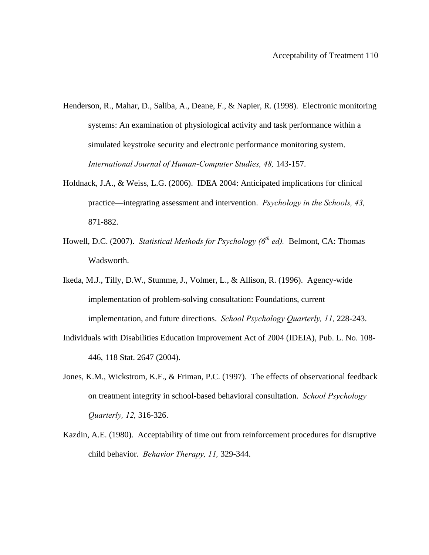- Henderson, R., Mahar, D., Saliba, A., Deane, F., & Napier, R. (1998). Electronic monitoring systems: An examination of physiological activity and task performance within a simulated keystroke security and electronic performance monitoring system. *International Journal of Human-Computer Studies, 48,* 143-157.
- Holdnack, J.A., & Weiss, L.G. (2006). IDEA 2004: Anticipated implications for clinical practice—integrating assessment and intervention. *Psychology in the Schools, 43,*  871-882.
- Howell, D.C. (2007). *Statistical Methods for Psychology (6<sup>th</sup> ed)*. Belmont, CA: Thomas Wadsworth.
- Ikeda, M.J., Tilly, D.W., Stumme, J., Volmer, L., & Allison, R. (1996). Agency-wide implementation of problem-solving consultation: Foundations, current implementation, and future directions. *School Psychology Quarterly, 11,* 228-243.
- Individuals with Disabilities Education Improvement Act of 2004 (IDEIA), Pub. L. No. 108- 446, 118 Stat. 2647 (2004).
- Jones, K.M., Wickstrom, K.F., & Friman, P.C. (1997). The effects of observational feedback on treatment integrity in school-based behavioral consultation. *School Psychology Quarterly, 12,* 316-326.
- Kazdin, A.E. (1980). Acceptability of time out from reinforcement procedures for disruptive child behavior. *Behavior Therapy, 11,* 329-344.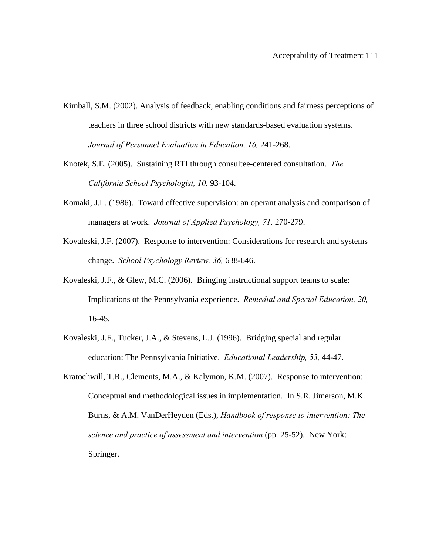- Kimball, S.M. (2002). Analysis of feedback, enabling conditions and fairness perceptions of teachers in three school districts with new standards-based evaluation systems. *Journal of Personnel Evaluation in Education, 16,* 241-268.
- Knotek, S.E. (2005). Sustaining RTI through consultee-centered consultation. *The California School Psychologist, 10,* 93-104.
- Komaki, J.L. (1986). Toward effective supervision: an operant analysis and comparison of managers at work. *Journal of Applied Psychology, 71,* 270-279.
- Kovaleski, J.F. (2007). Response to intervention: Considerations for research and systems change. *School Psychology Review, 36,* 638-646.
- Kovaleski, J.F., & Glew, M.C. (2006). Bringing instructional support teams to scale: Implications of the Pennsylvania experience. *Remedial and Special Education, 20,*  16-45.
- Kovaleski, J.F., Tucker, J.A., & Stevens, L.J. (1996). Bridging special and regular education: The Pennsylvania Initiative. *Educational Leadership, 53,* 44-47.
- Kratochwill, T.R., Clements, M.A., & Kalymon, K.M. (2007). Response to intervention: Conceptual and methodological issues in implementation. In S.R. Jimerson, M.K. Burns, & A.M. VanDerHeyden (Eds.), *Handbook of response to intervention: The science and practice of assessment and intervention* (pp. 25-52).New York: Springer.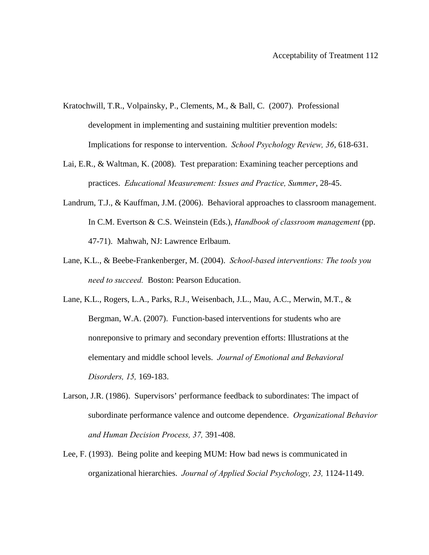- Kratochwill, T.R., Volpainsky, P., Clements, M., & Ball, C. (2007). Professional development in implementing and sustaining multitier prevention models: Implications for response to intervention. *School Psychology Review, 36*, 618-631.
- Lai, E.R., & Waltman, K. (2008). Test preparation: Examining teacher perceptions and practices. *Educational Measurement: Issues and Practice, Summer*, 28-45.
- Landrum, T.J., & Kauffman, J.M. (2006). Behavioral approaches to classroom management. In C.M. Evertson & C.S. Weinstein (Eds.), *Handbook of classroom management* (pp. 47-71). Mahwah, NJ: Lawrence Erlbaum.
- Lane, K.L., & Beebe-Frankenberger, M. (2004). *School-based interventions: The tools you need to succeed.* Boston: Pearson Education.
- Lane, K.L., Rogers, L.A., Parks, R.J., Weisenbach, J.L., Mau, A.C., Merwin, M.T., & Bergman, W.A. (2007). Function-based interventions for students who are nonreponsive to primary and secondary prevention efforts: Illustrations at the elementary and middle school levels. *Journal of Emotional and Behavioral Disorders, 15,* 169-183.
- Larson, J.R. (1986). Supervisors' performance feedback to subordinates: The impact of subordinate performance valence and outcome dependence. *Organizational Behavior and Human Decision Process, 37,* 391-408.
- Lee, F. (1993). Being polite and keeping MUM: How bad news is communicated in organizational hierarchies. *Journal of Applied Social Psychology, 23,* 1124-1149.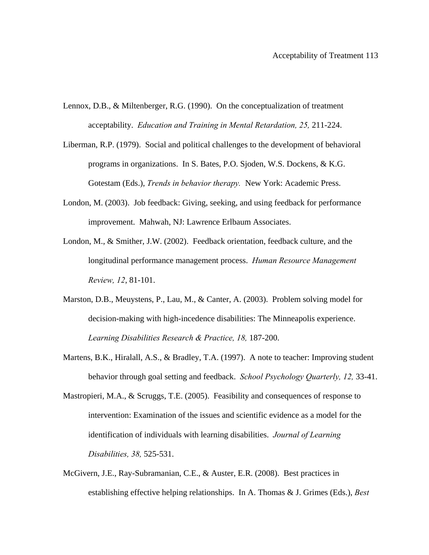- Lennox, D.B., & Miltenberger, R.G. (1990). On the conceptualization of treatment acceptability. *Education and Training in Mental Retardation, 25,* 211-224.
- Liberman, R.P. (1979). Social and political challenges to the development of behavioral programs in organizations. In S. Bates, P.O. Sjoden, W.S. Dockens, & K.G. Gotestam (Eds.), *Trends in behavior therapy.* New York: Academic Press.
- London, M. (2003). Job feedback: Giving, seeking, and using feedback for performance improvement. Mahwah, NJ: Lawrence Erlbaum Associates.
- London, M., & Smither, J.W. (2002). Feedback orientation, feedback culture, and the longitudinal performance management process. *Human Resource Management Review, 12*, 81-101.
- Marston, D.B., Meuystens, P., Lau, M., & Canter, A. (2003). Problem solving model for decision-making with high-incedence disabilities: The Minneapolis experience. *Learning Disabilities Research & Practice, 18,* 187-200.
- Martens, B.K., Hiralall, A.S., & Bradley, T.A. (1997). A note to teacher: Improving student behavior through goal setting and feedback. *School Psychology Quarterly, 12,* 33-41.
- Mastropieri, M.A., & Scruggs, T.E. (2005). Feasibility and consequences of response to intervention: Examination of the issues and scientific evidence as a model for the identification of individuals with learning disabilities. *Journal of Learning Disabilities, 38,* 525-531.
- McGivern, J.E., Ray-Subramanian, C.E., & Auster, E.R. (2008). Best practices in establishing effective helping relationships. In A. Thomas & J. Grimes (Eds.), *Best*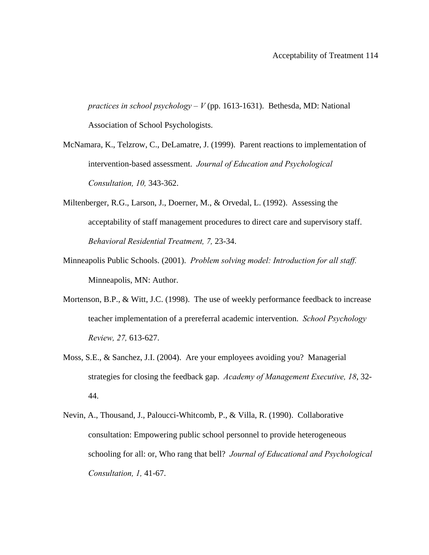*practices in school psychology – V* (pp. 1613-1631). Bethesda, MD: National Association of School Psychologists.

- McNamara, K., Telzrow, C., DeLamatre, J. (1999). Parent reactions to implementation of intervention-based assessment. *Journal of Education and Psychological Consultation, 10,* 343-362.
- Miltenberger, R.G., Larson, J., Doerner, M., & Orvedal, L. (1992). Assessing the acceptability of staff management procedures to direct care and supervisory staff. *Behavioral Residential Treatment, 7,* 23-34.
- Minneapolis Public Schools. (2001). *Problem solving model: Introduction for all staff.*  Minneapolis, MN: Author.
- Mortenson, B.P., & Witt, J.C. (1998). The use of weekly performance feedback to increase teacher implementation of a prereferral academic intervention. *School Psychology Review, 27,* 613-627.
- Moss, S.E., & Sanchez, J.I. (2004). Are your employees avoiding you? Managerial strategies for closing the feedback gap. *Academy of Management Executive, 18*, 32- 44.
- Nevin, A., Thousand, J., Paloucci-Whitcomb, P., & Villa, R. (1990). Collaborative consultation: Empowering public school personnel to provide heterogeneous schooling for all: or, Who rang that bell? *Journal of Educational and Psychological Consultation, 1,* 41-67.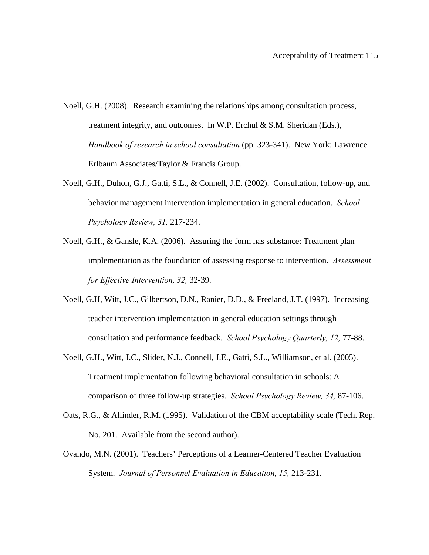- Noell, G.H. (2008). Research examining the relationships among consultation process, treatment integrity, and outcomes. In W.P. Erchul & S.M. Sheridan (Eds.), *Handbook of research in school consultation* (pp. 323-341). New York: Lawrence Erlbaum Associates/Taylor & Francis Group.
- Noell, G.H., Duhon, G.J., Gatti, S.L., & Connell, J.E. (2002). Consultation, follow-up, and behavior management intervention implementation in general education. *School Psychology Review, 31,* 217-234.
- Noell, G.H., & Gansle, K.A. (2006). Assuring the form has substance: Treatment plan implementation as the foundation of assessing response to intervention. *Assessment for Effective Intervention, 32,* 32-39.
- Noell, G.H, Witt, J.C., Gilbertson, D.N., Ranier, D.D., & Freeland, J.T. (1997). Increasing teacher intervention implementation in general education settings through consultation and performance feedback. *School Psychology Quarterly, 12,* 77-88.
- Noell, G.H., Witt, J.C., Slider, N.J., Connell, J.E., Gatti, S.L., Williamson, et al. (2005). Treatment implementation following behavioral consultation in schools: A comparison of three follow-up strategies. *School Psychology Review, 34,* 87-106.
- Oats, R.G., & Allinder, R.M. (1995). Validation of the CBM acceptability scale (Tech. Rep. No. 201. Available from the second author).
- Ovando, M.N. (2001). Teachers' Perceptions of a Learner-Centered Teacher Evaluation System. *Journal of Personnel Evaluation in Education, 15,* 213-231.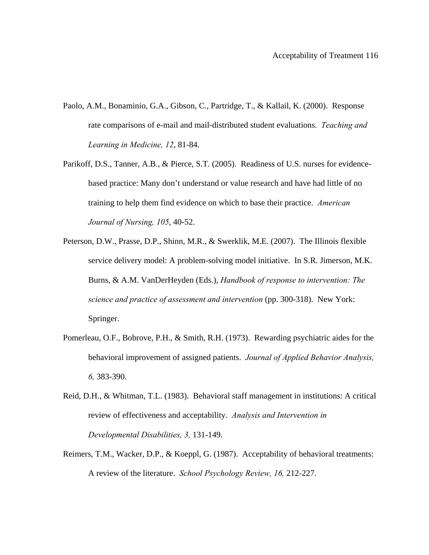- Paolo, A.M., Bonaminio, G.A., Gibson, C., Partridge, T., & Kallail, K. (2000). Response rate comparisons of e-mail and mail-distributed student evaluations. *Teaching and Learning in Medicine, 12*, 81-84.
- Parikoff, D.S., Tanner, A.B., & Pierce, S.T. (2005). Readiness of U.S. nurses for evidencebased practice: Many don't understand or value research and have had little of no training to help them find evidence on which to base their practice. *American Journal of Nursing, 105*, 40-52.
- Peterson, D.W., Prasse, D.P., Shinn, M.R., & Swerklik, M.E. (2007). The Illinois flexible service delivery model: A problem-solving model initiative. In S.R. Jimerson, M.K. Burns, & A.M. VanDerHeyden (Eds.), *Handbook of response to intervention: The science and practice of assessment and intervention* (pp. 300-318). New York: Springer.
- Pomerleau, O.F., Bobrove, P.H., & Smith, R.H. (1973). Rewarding psychiatric aides for the behavioral improvement of assigned patients. *Journal of Applied Behavior Analysis, 6,* 383-390.
- Reid, D.H., & Whitman, T.L. (1983). Behavioral staff management in institutions: A critical review of effectiveness and acceptability. *Analysis and Intervention in Developmental Disabilities, 3,* 131-149.
- Reimers, T.M., Wacker, D.P., & Koeppl, G. (1987). Acceptability of behavioral treatments: A review of the literature. *School Psychology Review, 16,* 212-227.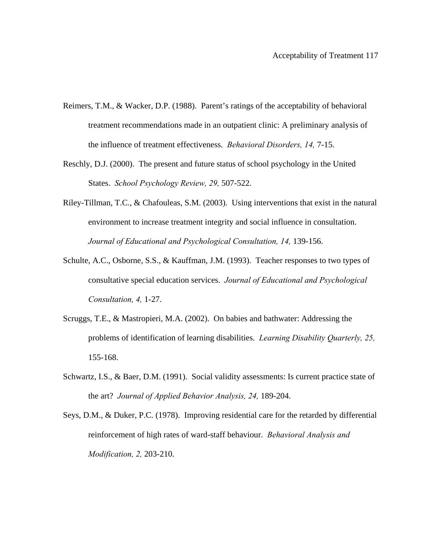- Reimers, T.M., & Wacker, D.P. (1988). Parent's ratings of the acceptability of behavioral treatment recommendations made in an outpatient clinic: A preliminary analysis of the influence of treatment effectiveness. *Behavioral Disorders, 14,* 7-15.
- Reschly, D.J. (2000). The present and future status of school psychology in the United States. *School Psychology Review, 29,* 507-522.
- Riley-Tillman, T.C., & Chafouleas, S.M. (2003). Using interventions that exist in the natural environment to increase treatment integrity and social influence in consultation. Journal of Educational and Psychological Consultation, 14, 139-156.
- Schulte, A.C., Osborne, S.S., & Kauffman, J.M. (1993). Teacher responses to two types of consultative special education services. *Journal of Educational and Psychological Consultation, 4,* 1-27.
- Scruggs, T.E., & Mastropieri, M.A. (2002). On babies and bathwater: Addressing the problems of identification of learning disabilities. *Learning Disability Quarterly, 25,*  155-168.
- Schwartz, I.S., & Baer, D.M. (1991). Social validity assessments: Is current practice state of the art? *Journal of Applied Behavior Analysis, 24,* 189-204.
- Seys, D.M., & Duker, P.C. (1978). Improving residential care for the retarded by differential reinforcement of high rates of ward-staff behaviour. *Behavioral Analysis and Modification, 2,* 203-210.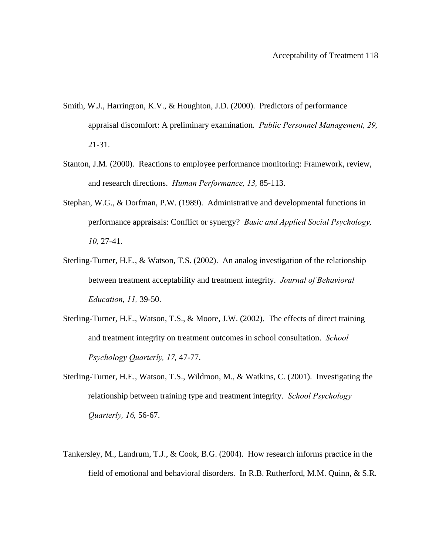- Smith, W.J., Harrington, K.V., & Houghton, J.D. (2000). Predictors of performance appraisal discomfort: A preliminary examination. *Public Personnel Management, 29,*  21-31.
- Stanton, J.M. (2000). Reactions to employee performance monitoring: Framework, review, and research directions. *Human Performance, 13,* 85-113.
- Stephan, W.G., & Dorfman, P.W. (1989). Administrative and developmental functions in performance appraisals: Conflict or synergy? *Basic and Applied Social Psychology, 10,* 27-41.
- Sterling-Turner, H.E., & Watson, T.S. (2002). An analog investigation of the relationship between treatment acceptability and treatment integrity. *Journal of Behavioral Education, 11,* 39-50.
- Sterling-Turner, H.E., Watson, T.S., & Moore, J.W. (2002). The effects of direct training and treatment integrity on treatment outcomes in school consultation. *School Psychology Quarterly, 17,* 47-77.
- Sterling-Turner, H.E., Watson, T.S., Wildmon, M., & Watkins, C. (2001). Investigating the relationship between training type and treatment integrity. *School Psychology Quarterly, 16,* 56-67.
- Tankersley, M., Landrum, T.J., & Cook, B.G. (2004). How research informs practice in the field of emotional and behavioral disorders. In R.B. Rutherford, M.M. Quinn, & S.R.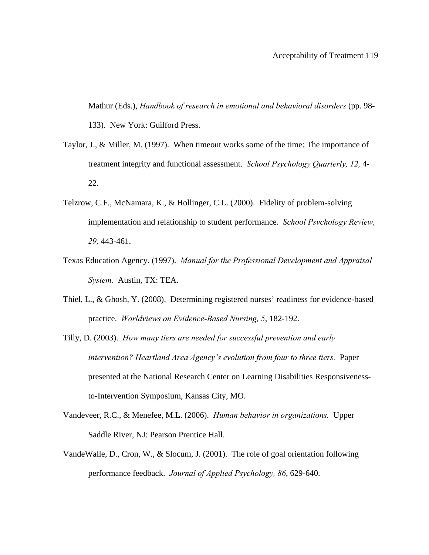Mathur (Eds.), *Handbook of research in emotional and behavioral disorders* (pp. 98- 133). New York: Guilford Press.

- Taylor, J., & Miller, M. (1997). When timeout works some of the time: The importance of treatment integrity and functional assessment. *School Psychology Quarterly, 12,* 4- 22.
- Telzrow, C.F., McNamara, K., & Hollinger, C.L. (2000). Fidelity of problem-solving implementation and relationship to student performance. *School Psychology Review, 29,* 443-461.
- Texas Education Agency. (1997). *Manual for the Professional Development and Appraisal System.* Austin, TX: TEA.
- Thiel, L., & Ghosh, Y. (2008). Determining registered nurses' readiness for evidence-based practice. *Worldviews on Evidence-Based Nursing, 5*, 182-192.
- Tilly, D. (2003). *How many tiers are needed for successful prevention and early intervention? Heartland Area Agency's evolution from four to three tiers.* Paper presented at the National Research Center on Learning Disabilities Responsivenessto-Intervention Symposium, Kansas City, MO.
- Vandeveer, R.C., & Menefee, M.L. (2006). *Human behavior in organizations.* Upper Saddle River, NJ: Pearson Prentice Hall.
- VandeWalle, D., Cron, W., & Slocum, J. (2001). The role of goal orientation following performance feedback. *Journal of Applied Psychology, 86*, 629-640.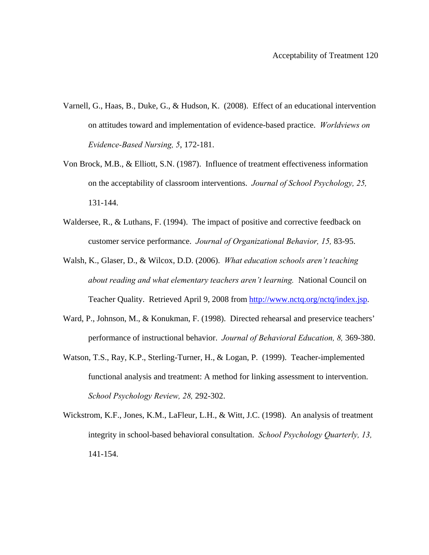- Varnell, G., Haas, B., Duke, G., & Hudson, K. (2008). Effect of an educational intervention on attitudes toward and implementation of evidence-based practice. *Worldviews on Evidence-Based Nursing, 5*, 172-181.
- Von Brock, M.B., & Elliott, S.N. (1987). Influence of treatment effectiveness information on the acceptability of classroom interventions. *Journal of School Psychology, 25,*  131-144.
- Waldersee, R., & Luthans, F. (1994). The impact of positive and corrective feedback on customer service performance. *Journal of Organizational Behavior, 15,* 83-95.
- Walsh, K., Glaser, D., & Wilcox, D.D. (2006). *What education schools aren't teaching about reading and what elementary teachers aren't learning.* National Council on Teacher Quality. Retrieved April 9, 2008 from http://www.nctq.org/nctq/index.jsp.
- Ward, P., Johnson, M., & Konukman, F. (1998). Directed rehearsal and preservice teachers' performance of instructional behavior. *Journal of Behavioral Education, 8,* 369-380.
- Watson, T.S., Ray, K.P., Sterling-Turner, H., & Logan, P. (1999). Teacher-implemented functional analysis and treatment: A method for linking assessment to intervention. *School Psychology Review, 28,* 292-302.
- Wickstrom, K.F., Jones, K.M., LaFleur, L.H., & Witt, J.C. (1998). An analysis of treatment integrity in school-based behavioral consultation. *School Psychology Quarterly, 13,*  141-154.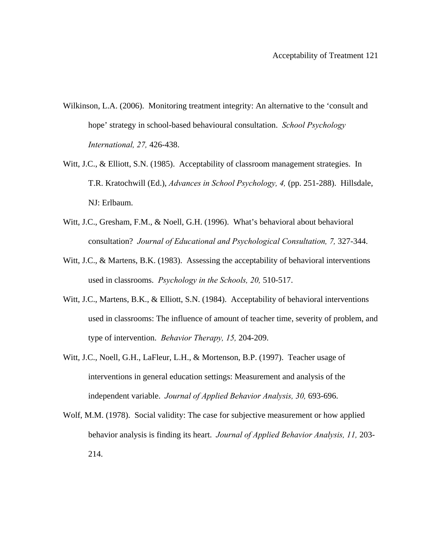- Wilkinson, L.A. (2006). Monitoring treatment integrity: An alternative to the 'consult and hope' strategy in school-based behavioural consultation. *School Psychology International, 27,* 426-438.
- Witt, J.C., & Elliott, S.N. (1985). Acceptability of classroom management strategies. In T.R. Kratochwill (Ed.), *Advances in School Psychology, 4,* (pp. 251-288). Hillsdale, NJ: Erlbaum.
- Witt, J.C., Gresham, F.M., & Noell, G.H. (1996). What's behavioral about behavioral consultation? *Journal of Educational and Psychological Consultation, 7,* 327-344.
- Witt, J.C., & Martens, B.K. (1983). Assessing the acceptability of behavioral interventions used in classrooms. *Psychology in the Schools, 20,* 510-517.
- Witt, J.C., Martens, B.K., & Elliott, S.N. (1984). Acceptability of behavioral interventions used in classrooms: The influence of amount of teacher time, severity of problem, and type of intervention. *Behavior Therapy, 15,* 204-209.
- Witt, J.C., Noell, G.H., LaFleur, L.H., & Mortenson, B.P. (1997). Teacher usage of interventions in general education settings: Measurement and analysis of the independent variable. *Journal of Applied Behavior Analysis, 30,* 693-696.
- Wolf, M.M. (1978). Social validity: The case for subjective measurement or how applied behavior analysis is finding its heart. *Journal of Applied Behavior Analysis, 11,* 203- 214.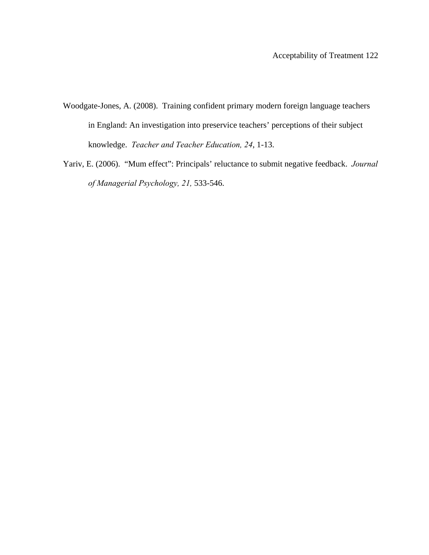- Woodgate-Jones, A. (2008). Training confident primary modern foreign language teachers in England: An investigation into preservice teachers' perceptions of their subject knowledge. *Teacher and Teacher Education, 24*, 1-13.
- Yariv, E. (2006). "Mum effect": Principals' reluctance to submit negative feedback. *Journal of Managerial Psychology, 21,* 533-546.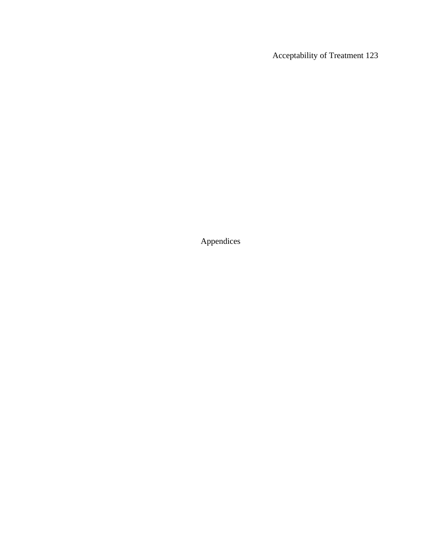Appendices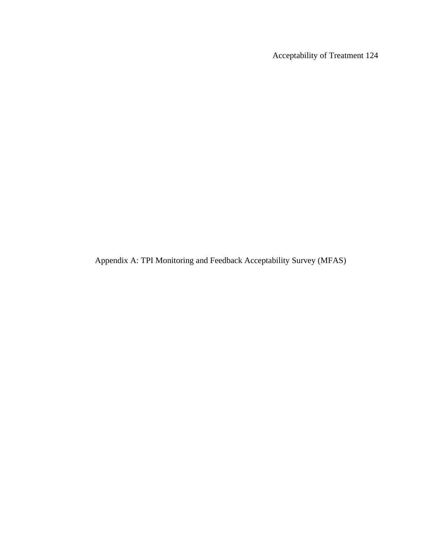Appendix A: TPI Monitoring and Feedback Acceptability Survey (MFAS)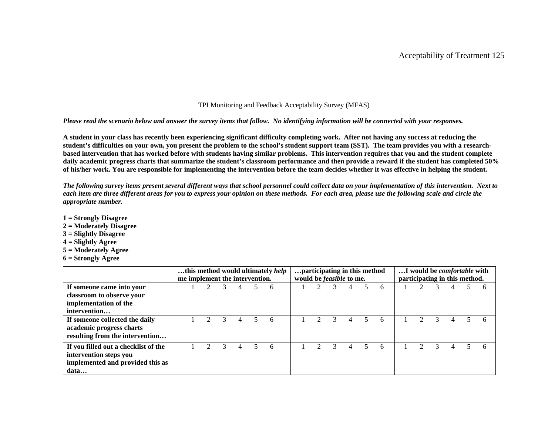### TPI Monitoring and Feedback Acceptability Survey (MFAS)

#### *Please read the scenario below and answer the survey items that follow. No identifying information will be connected with your responses.*

**A student in your class has recently been experiencing significant difficulty completing work. After not having any success at reducing the student's difficulties on your own, you present the problem to the school's student support team (SST). The team provides you with a researchbased intervention that has worked before with students having similar problems. This intervention requires that you and the student complete daily academic progress charts that summarize the student's classroom performance and then provide a reward if the student has completed 50% of his/her work. You are responsible for implementing the intervention before the team decides whether it was effective in helping the student.** 

*The following survey items present several different ways that school personnel could collect data on your implementation of this intervention. Next to each item are three different areas for you to express your opinion on these methods. For each area, please use the following scale and circle the appropriate number.* 

- **1 = Strongly Disagree**
- **2 = Moderately Disagree**
- **3 = Slightly Disagree**
- **4 = Slightly Agree**
- **5 = Moderately Agree**
- **6 = Strongly Agree**

|                                                                                                            | me implement the intervention. |  |        | this method would ultimately help | participating in this method<br>would be <i>feasible</i> to me. |  |  | I would be <i>comfortable</i> with<br>participating in this method. |  |  |  |  |   |  |
|------------------------------------------------------------------------------------------------------------|--------------------------------|--|--------|-----------------------------------|-----------------------------------------------------------------|--|--|---------------------------------------------------------------------|--|--|--|--|---|--|
| If someone came into your<br>classroom to observe your<br>implementation of the<br>intervention            |                                |  | 6      |                                   |                                                                 |  |  |                                                                     |  |  |  |  | 6 |  |
| If someone collected the daily<br>academic progress charts<br>resulting from the intervention              |                                |  | 5<br>6 |                                   |                                                                 |  |  |                                                                     |  |  |  |  |   |  |
| If you filled out a checklist of the<br>intervention steps you<br>implemented and provided this as<br>data |                                |  | 6      |                                   |                                                                 |  |  |                                                                     |  |  |  |  |   |  |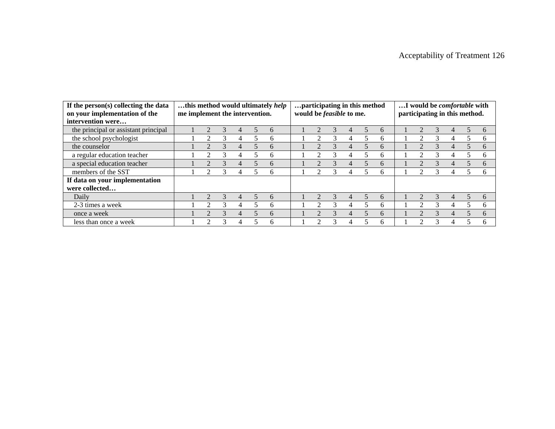| If the person(s) collecting the data<br>on your implementation of the | me implement the intervention. |   |   |   |                | this method would ultimately help | participating in this method<br>would be <i>feasible</i> to me. |                             |   |   |                          |               | I would be <i>comfortable</i> with<br>participating in this method. |  |               |   |  |              |  |  |
|-----------------------------------------------------------------------|--------------------------------|---|---|---|----------------|-----------------------------------|-----------------------------------------------------------------|-----------------------------|---|---|--------------------------|---------------|---------------------------------------------------------------------|--|---------------|---|--|--------------|--|--|
| intervention were                                                     |                                |   |   |   |                |                                   |                                                                 |                             |   |   |                          |               |                                                                     |  |               |   |  |              |  |  |
| the principal or assistant principal                                  |                                |   |   | 4 |                | 6                                 |                                                                 |                             |   | 4 |                          | $\mathfrak h$ |                                                                     |  | 3             | 4 |  | 6            |  |  |
| the school psychologist                                               |                                |   |   | 4 |                | 6                                 |                                                                 |                             |   | 4 |                          | 6             |                                                                     |  | 3             | 4 |  | h            |  |  |
| the counselor                                                         |                                |   |   | 4 |                | 6                                 |                                                                 |                             |   |   |                          | 6             |                                                                     |  | 3             | 4 |  | 6            |  |  |
| a regular education teacher                                           |                                | റ |   | 4 |                | 6                                 |                                                                 | ာ                           | 3 |   |                          | 6             |                                                                     |  | 3             | 4 |  | h            |  |  |
| a special education teacher                                           |                                |   |   | 4 |                | 6                                 |                                                                 |                             |   |   |                          | <sub>6</sub>  |                                                                     |  | 3             | 4 |  | 6            |  |  |
| members of the SST                                                    |                                | 2 |   | 4 |                | 6                                 |                                                                 | $\mathcal{D}$               |   |   |                          | 6             |                                                                     |  | 3             | 4 |  | <sub>6</sub> |  |  |
| If data on your implementation                                        |                                |   |   |   |                |                                   |                                                                 |                             |   |   |                          |               |                                                                     |  |               |   |  |              |  |  |
| were collected                                                        |                                |   |   |   |                |                                   |                                                                 |                             |   |   |                          |               |                                                                     |  |               |   |  |              |  |  |
| Daily                                                                 |                                |   |   | 4 | $\overline{5}$ | 6                                 |                                                                 |                             |   | 4 | $\overline{\phantom{0}}$ | <sub>6</sub>  |                                                                     |  | $\mathcal{R}$ | 4 |  | $\mathsf{f}$ |  |  |
| 2-3 times a week                                                      |                                | ↑ | 3 | 4 | 5              | 6                                 |                                                                 | $\mathcal{D}_{\mathcal{L}}$ | 3 | 4 | 5                        | 6             |                                                                     |  | 3             | 4 |  | 6            |  |  |
| once a week                                                           |                                |   |   | 4 |                | 6                                 |                                                                 |                             |   | 4 |                          | 6             |                                                                     |  | $\mathcal{R}$ | 4 |  | 6            |  |  |
| less than once a week                                                 |                                |   | 3 |   |                | 6                                 |                                                                 | ◠                           | 3 |   |                          | h             |                                                                     |  | 3             |   |  |              |  |  |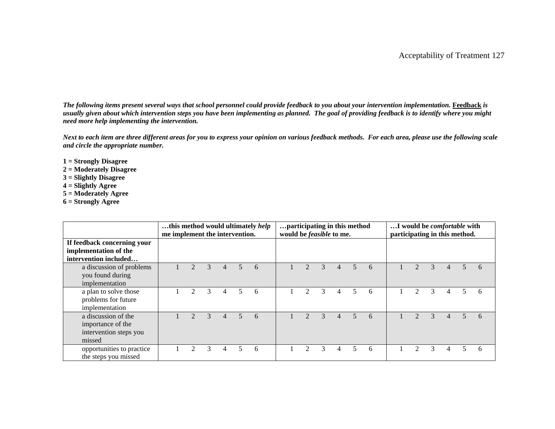*The following items present several ways that school personnel could provide feedback to you about your intervention implementation. Feedback is usually given about which intervention steps you have been implementing as planned. The goal of providing feedback is to identify where you might need more help implementing the intervention.* 

*Next to each item are three different areas for you to express your opinion on various feedback methods. For each area, please use the following scale and circle the appropriate number.* 

- **1 = Strongly Disagree**
- **2 = Moderately Disagree**
- **3 = Slightly Disagree**
- **4 = Slightly Agree**
- **5 = Moderately Agree**
- **6 = Strongly Agree**

|                                                                               | me implement the intervention. |                             |               |   |    | this method would ultimately help | participating in this method<br>would be <i>feasible</i> to me. |                             |   |   |                          |   | I would be <i>comfortable</i> with<br>participating in this method. |               |   |  |  |   |  |
|-------------------------------------------------------------------------------|--------------------------------|-----------------------------|---------------|---|----|-----------------------------------|-----------------------------------------------------------------|-----------------------------|---|---|--------------------------|---|---------------------------------------------------------------------|---------------|---|--|--|---|--|
| If feedback concerning your<br>implementation of the<br>intervention included |                                |                             |               |   |    |                                   |                                                                 |                             |   |   |                          |   |                                                                     |               |   |  |  |   |  |
| a discussion of problems<br>you found during<br>implementation                |                                |                             | $\mathcal{R}$ | 4 | 5. | 6                                 |                                                                 |                             | 3 |   | $\overline{\phantom{0}}$ | 6 |                                                                     |               |   |  |  | h |  |
| a plan to solve those<br>problems for future<br>implementation                |                                | $\mathcal{D}_{\mathcal{L}}$ | 3             | 4 | 5  | 6                                 |                                                                 | $\mathcal{D}_{\mathcal{L}}$ | 3 | 4 | 5                        | 6 |                                                                     | $\mathcal{D}$ | 3 |  |  | h |  |
| a discussion of the<br>importance of the<br>intervention steps you<br>missed  |                                |                             | $\mathbf{R}$  | 4 | 5  | 6                                 |                                                                 |                             |   |   | $\overline{\mathcal{L}}$ | 6 |                                                                     |               |   |  |  | h |  |
| opportunities to practice<br>the steps you missed                             |                                |                             | 3             | 4 | 5  | 6                                 |                                                                 | $\mathfrak{D}$              | 3 | 4 | 5                        | 6 |                                                                     |               | 3 |  |  |   |  |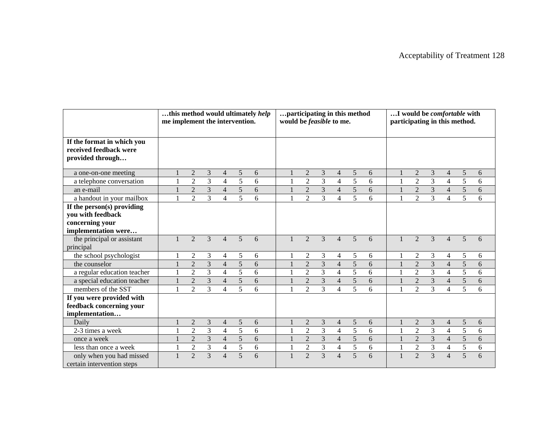|                                                                                           | this method would ultimately help<br>me implement the intervention. |                |                |                         |                 |   | participating in this method<br>would be <i>feasible</i> to me. |                  |                |                          |                | I would be comfortable with<br>participating in this method. |              |                |                         |                |                |            |  |  |
|-------------------------------------------------------------------------------------------|---------------------------------------------------------------------|----------------|----------------|-------------------------|-----------------|---|-----------------------------------------------------------------|------------------|----------------|--------------------------|----------------|--------------------------------------------------------------|--------------|----------------|-------------------------|----------------|----------------|------------|--|--|
| If the format in which you<br>received feedback were<br>provided through                  |                                                                     |                |                |                         |                 |   |                                                                 |                  |                |                          |                |                                                              |              |                |                         |                |                |            |  |  |
| a one-on-one meeting                                                                      |                                                                     | $\overline{2}$ | 3              | $\overline{4}$          | $\mathfrak{S}$  | 6 |                                                                 | $\boldsymbol{2}$ | 3              | $\overline{4}$           | $\sqrt{5}$     | 6                                                            |              | $\overline{2}$ | 3                       | $\overline{4}$ | $\sqrt{5}$     | $\sqrt{6}$ |  |  |
| a telephone conversation                                                                  |                                                                     | $\overline{2}$ | $\overline{3}$ | $\overline{\mathbf{4}}$ | 5               | 6 |                                                                 | $\overline{2}$   | 3              | $\overline{4}$           | 5              | 6                                                            |              | $\overline{2}$ | 3                       | $\overline{4}$ | 5              | 6          |  |  |
| an e-mail                                                                                 |                                                                     | $\overline{2}$ | 3              | $\overline{4}$          | $5\overline{)}$ | 6 |                                                                 | $\overline{2}$   | 3              | $\overline{4}$           | $\overline{5}$ | 6                                                            |              | $\overline{2}$ | 3                       | $\overline{4}$ | 5              | 6          |  |  |
| a handout in your mailbox                                                                 |                                                                     | $\overline{2}$ | 3              | 4                       | 5               | 6 |                                                                 | $\overline{2}$   | 3              | $\overline{4}$           | 5              | 6                                                            |              | $\overline{2}$ | 3                       | $\overline{4}$ | 5              | 6          |  |  |
| If the person(s) providing<br>you with feedback<br>concerning your<br>implementation were |                                                                     |                |                |                         |                 |   |                                                                 |                  |                |                          |                |                                                              |              |                |                         |                |                |            |  |  |
| the principal or assistant<br>principal                                                   |                                                                     | $\overline{2}$ | 3              | $\overline{4}$          | 5               | 6 |                                                                 | $\overline{2}$   | 3              | $\overline{4}$           | 5              | 6                                                            |              | $\overline{2}$ | 3                       | $\overline{4}$ | 5              | 6          |  |  |
| the school psychologist                                                                   |                                                                     | $\overline{c}$ | 3              | 4                       | 5               | 6 |                                                                 | $\overline{2}$   | 3              | 4                        | 5              | 6                                                            |              | $\overline{2}$ | 3                       | 4              | 5              | 6          |  |  |
| the counselor                                                                             |                                                                     | $\overline{2}$ | $\overline{3}$ | $\overline{4}$          | $\overline{5}$  | 6 |                                                                 | $\overline{2}$   | $\overline{3}$ | $\overline{4}$           | $\overline{5}$ | 6                                                            | $\mathbf{1}$ | $\overline{2}$ | $\overline{3}$          | $\overline{4}$ | 5              | 6          |  |  |
| a regular education teacher                                                               |                                                                     | $\mathfrak{2}$ | 3              | $\overline{4}$          | 5               | 6 |                                                                 | $\mathbf{2}$     | 3              | $\overline{4}$           | 5              | 6                                                            | 1            | $\overline{2}$ | $\overline{3}$          | $\overline{4}$ | 5              | 6          |  |  |
| a special education teacher                                                               |                                                                     | $\overline{2}$ | 3              | $\overline{4}$          | 5               | 6 |                                                                 | $\overline{2}$   | 3              | $\overline{4}$           | 5              | 6                                                            |              | $\overline{2}$ | 3                       | $\overline{4}$ | 5              | 6          |  |  |
| members of the SST                                                                        |                                                                     | $\overline{2}$ | 3              | 4                       | $\overline{5}$  | 6 |                                                                 | 2                | 3              | $\overline{4}$           | 5              | 6                                                            | $\mathbf{1}$ | $\overline{2}$ | $\overline{3}$          | $\overline{4}$ | 5              | 6          |  |  |
| If you were provided with<br>feedback concerning your<br>implementation                   |                                                                     |                |                |                         |                 |   |                                                                 |                  |                |                          |                |                                                              |              |                |                         |                |                |            |  |  |
| Daily                                                                                     |                                                                     | $\overline{2}$ | 3              | 4                       | 5               | 6 |                                                                 | $\overline{2}$   | 3              | 4                        | 5              | 6                                                            |              | $\overline{2}$ | 3                       | $\overline{4}$ | 5              | 6          |  |  |
| 2-3 times a week                                                                          |                                                                     | $\sqrt{2}$     | 3              | $\overline{4}$          | 5               | 6 |                                                                 | $\mathbf{2}$     | 3              | $\overline{\mathcal{A}}$ | $\overline{5}$ | 6                                                            |              | $\overline{2}$ | 3                       | $\overline{4}$ | 5              | 6          |  |  |
| once a week                                                                               |                                                                     | $\overline{2}$ | $\mathfrak{Z}$ | $\overline{4}$          | 5               | 6 |                                                                 | $\overline{2}$   | $\overline{3}$ | $\overline{4}$           | 5              | 6                                                            | $\mathbf{1}$ | $\overline{2}$ | $\overline{\mathbf{3}}$ | $\overline{4}$ | 5              | 6          |  |  |
| less than once a week                                                                     |                                                                     | $\overline{2}$ | $\overline{3}$ | $\overline{4}$          | $\overline{5}$  | 6 |                                                                 | $\overline{2}$   | $\overline{3}$ | $\overline{4}$           | $\overline{5}$ | 6                                                            | $\mathbf{1}$ | $\overline{2}$ | $\overline{3}$          | $\overline{4}$ | $\overline{5}$ | 6          |  |  |
| only when you had missed<br>certain intervention steps                                    |                                                                     | $\overline{2}$ | 3              | $\overline{4}$          | 5               | 6 |                                                                 | $\overline{2}$   | 3              | $\overline{4}$           | 5              | 6                                                            |              | $\overline{2}$ | $\overline{3}$          | $\overline{4}$ | 5              | 6          |  |  |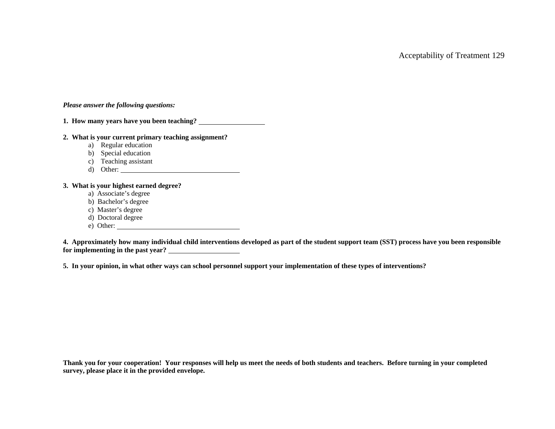### *Please answer the following questions:*

**1. How many years have you been teaching?** 

## **2. What is your current primary teaching assignment?**

- a) Regular education
- b) Special education
- c) Teaching assistant
- d) Other:

### **3. What is your highest earned degree?**

- a) Associate's degree
- b) Bachelor's degree
- c) Master's degree
- d) Doctoral degree
- e) Other:

**4. Approximately how many individual child interventions developed as part of the student support team (SST) process have you been responsible for implementing in the past year?** 

**5. In your opinion, in what other ways can school personnel support your implementation of these types of interventions?** 

**Thank you for your cooperation! Your responses will help us meet the needs of both students and teachers. Before turning in your completed survey, please place it in the provided envelope.**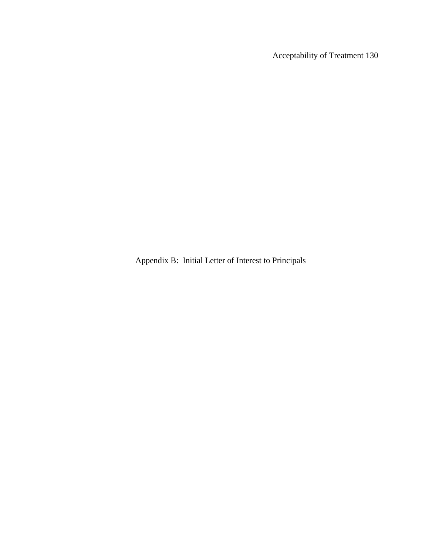Appendix B: Initial Letter of Interest to Principals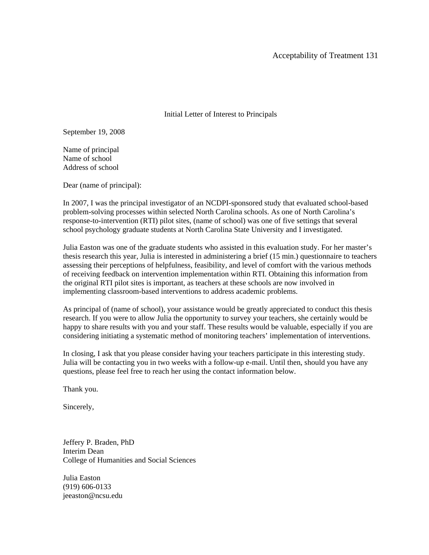Initial Letter of Interest to Principals

September 19, 2008

Name of principal Name of school Address of school

Dear (name of principal):

In 2007, I was the principal investigator of an NCDPI-sponsored study that evaluated school-based problem-solving processes within selected North Carolina schools. As one of North Carolina's response-to-intervention (RTI) pilot sites, (name of school) was one of five settings that several school psychology graduate students at North Carolina State University and I investigated.

Julia Easton was one of the graduate students who assisted in this evaluation study. For her master's thesis research this year, Julia is interested in administering a brief (15 min.) questionnaire to teachers assessing their perceptions of helpfulness, feasibility, and level of comfort with the various methods of receiving feedback on intervention implementation within RTI. Obtaining this information from the original RTI pilot sites is important, as teachers at these schools are now involved in implementing classroom-based interventions to address academic problems.

As principal of (name of school), your assistance would be greatly appreciated to conduct this thesis research. If you were to allow Julia the opportunity to survey your teachers, she certainly would be happy to share results with you and your staff. These results would be valuable, especially if you are considering initiating a systematic method of monitoring teachers' implementation of interventions.

In closing, I ask that you please consider having your teachers participate in this interesting study. Julia will be contacting you in two weeks with a follow-up e-mail. Until then, should you have any questions, please feel free to reach her using the contact information below.

Thank you.

Sincerely,

Jeffery P. Braden, PhD Interim Dean College of Humanities and Social Sciences

Julia Easton (919) 606-0133 jeeaston@ncsu.edu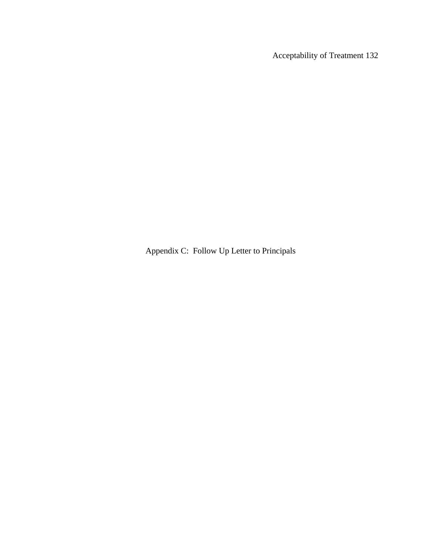Appendix C: Follow Up Letter to Principals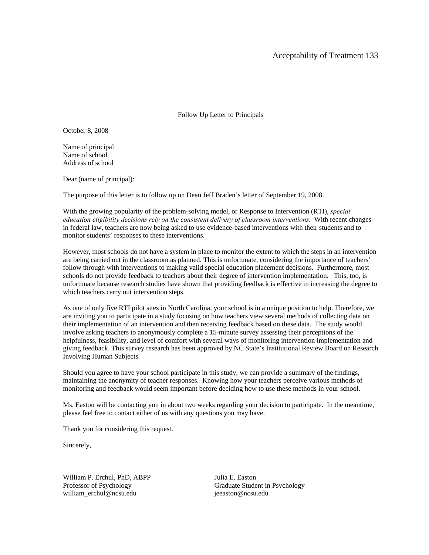Follow Up Letter to Principals

October 8, 2008

Name of principal Name of school Address of school

Dear (name of principal):

The purpose of this letter is to follow up on Dean Jeff Braden's letter of September 19, 2008.

With the growing popularity of the problem-solving model, or Response to Intervention (RTI), *special education eligibility decisions rely on the consistent delivery of classroom interventions*. With recent changes in federal law, teachers are now being asked to use evidence-based interventions with their students and to monitor students' responses to these interventions.

However, most schools do not have a system in place to monitor the extent to which the steps in an intervention are being carried out in the classroom as planned. This is unfortunate, considering the importance of teachers' follow through with interventions to making valid special education placement decisions. Furthermore, most schools do not provide feedback to teachers about their degree of intervention implementation. This, too, is unfortunate because research studies have shown that providing feedback is effective in increasing the degree to which teachers carry out intervention steps.

As one of only five RTI pilot sites in North Carolina, your school is in a unique position to help. Therefore, we are inviting you to participate in a study focusing on how teachers view several methods of collecting data on their implementation of an intervention and then receiving feedback based on these data. The study would involve asking teachers to anonymously complete a 15-minute survey assessing their perceptions of the helpfulness, feasibility, and level of comfort with several ways of monitoring intervention implementation and giving feedback. This survey research has been approved by NC State's Institutional Review Board on Research Involving Human Subjects.

Should you agree to have your school participate in this study, we can provide a summary of the findings, maintaining the anonymity of teacher responses. Knowing how your teachers perceive various methods of monitoring and feedback would seem important before deciding how to use these methods in your school.

Ms. Easton will be contacting you in about two weeks regarding your decision to participate. In the meantime, please feel free to contact either of us with any questions you may have.

Thank you for considering this request.

Sincerely,

William P. Erchul, PhD, ABPP Julia E. Easton william\_erchul@ncsu.edu ieeaston@ncsu.edu

Professor of Psychology Graduate Student in Psychology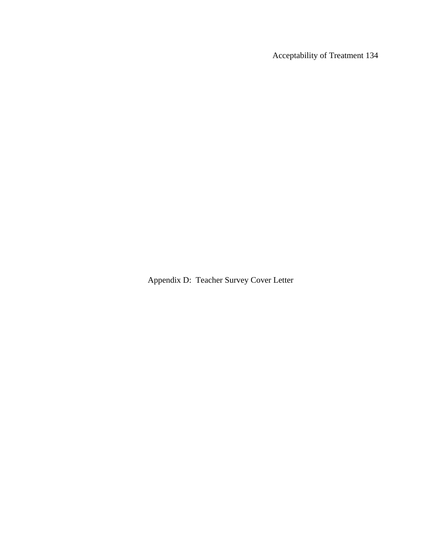Acceptability of Treatment 134

Appendix D: Teacher Survey Cover Letter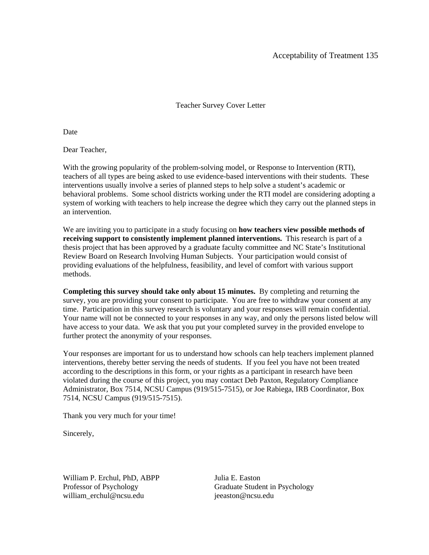## Teacher Survey Cover Letter

Date

Dear Teacher,

With the growing popularity of the problem-solving model, or Response to Intervention (RTI), teachers of all types are being asked to use evidence-based interventions with their students. These interventions usually involve a series of planned steps to help solve a student's academic or behavioral problems. Some school districts working under the RTI model are considering adopting a system of working with teachers to help increase the degree which they carry out the planned steps in an intervention.

We are inviting you to participate in a study focusing on **how teachers view possible methods of receiving support to consistently implement planned interventions.** This research is part of a thesis project that has been approved by a graduate faculty committee and NC State's Institutional Review Board on Research Involving Human Subjects. Your participation would consist of providing evaluations of the helpfulness, feasibility, and level of comfort with various support methods.

**Completing this survey should take only about 15 minutes.** By completing and returning the survey, you are providing your consent to participate. You are free to withdraw your consent at any time. Participation in this survey research is voluntary and your responses will remain confidential. Your name will not be connected to your responses in any way, and only the persons listed below will have access to your data. We ask that you put your completed survey in the provided envelope to further protect the anonymity of your responses.

Your responses are important for us to understand how schools can help teachers implement planned interventions, thereby better serving the needs of students. If you feel you have not been treated according to the descriptions in this form, or your rights as a participant in research have been violated during the course of this project, you may contact Deb Paxton, Regulatory Compliance Administrator, Box 7514, NCSU Campus (919/515-7515), or Joe Rabiega, IRB Coordinator, Box 7514, NCSU Campus (919/515-7515).

Thank you very much for your time!

Sincerely,

William P. Erchul, PhD, ABPP Julia E. Easton william\_erchul@ncsu.edu ieeaston@ncsu.edu

Professor of Psychology Graduate Student in Psychology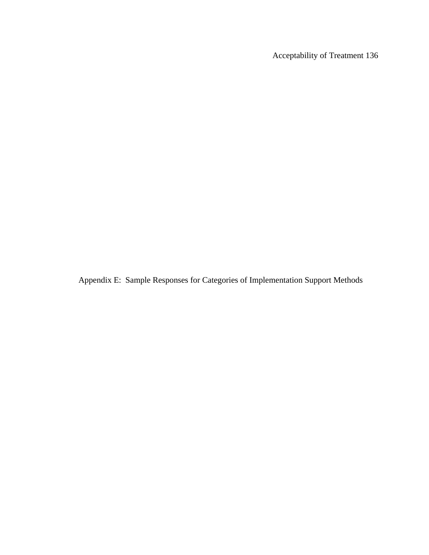Acceptability of Treatment 136

Appendix E: Sample Responses for Categories of Implementation Support Methods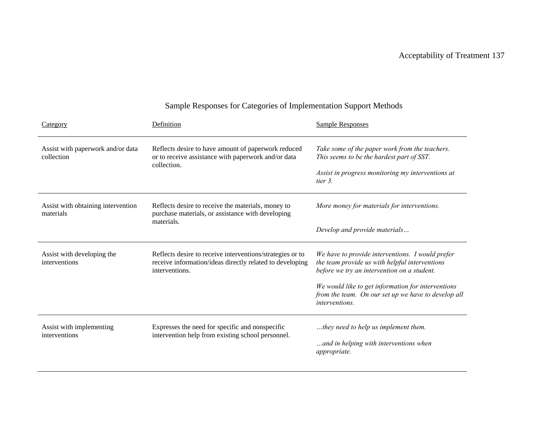| Category                                        | Definition                                                                                                                              | <b>Sample Responses</b>                                                                                                                                                                                                                                                          |
|-------------------------------------------------|-----------------------------------------------------------------------------------------------------------------------------------------|----------------------------------------------------------------------------------------------------------------------------------------------------------------------------------------------------------------------------------------------------------------------------------|
| Assist with paperwork and/or data<br>collection | Reflects desire to have amount of paperwork reduced<br>or to receive assistance with paperwork and/or data<br>collection.               | Take some of the paper work from the teachers.<br>This seems to be the hardest part of SST.<br>Assist in progress monitoring my interventions at<br>tier 3.                                                                                                                      |
| Assist with obtaining intervention<br>materials | Reflects desire to receive the materials, money to<br>purchase materials, or assistance with developing<br>materials.                   | More money for materials for interventions.<br>Develop and provide materials                                                                                                                                                                                                     |
| Assist with developing the<br>interventions     | Reflects desire to receive interventions/strategies or to<br>receive information/ideas directly related to developing<br>interventions. | We have to provide interventions. I would prefer<br>the team provide us with helpful interventions<br>before we try an intervention on a student.<br>We would like to get information for interventions<br>from the team. On our set up we have to develop all<br>interventions. |
| Assist with implementing<br>interventions       | Expresses the need for specific and nonspecific<br>intervention help from existing school personnel.                                    | they need to help us implement them.<br>and in helping with interventions when<br>appropriate.                                                                                                                                                                                   |

## Sample Responses for Categories of Implementation Support Methods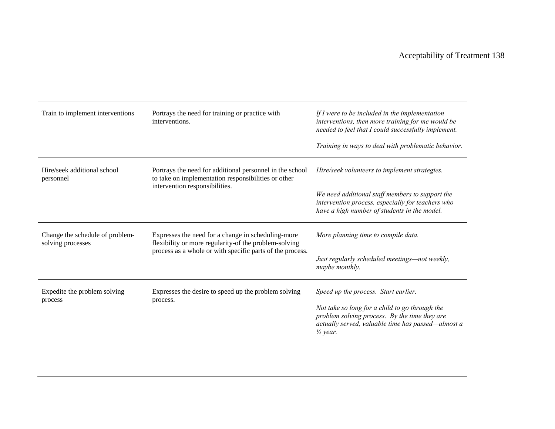| Train to implement interventions                     | Portrays the need for training or practice with<br>interventions.                                                                                                        | If $I$ were to be included in the implementation<br>interventions, then more training for me would be<br>needed to feel that I could successfully implement.<br>Training in ways to deal with problematic behavior. |
|------------------------------------------------------|--------------------------------------------------------------------------------------------------------------------------------------------------------------------------|---------------------------------------------------------------------------------------------------------------------------------------------------------------------------------------------------------------------|
| Hire/seek additional school<br>personnel             | Portrays the need for additional personnel in the school<br>to take on implementation responsibilities or other<br>intervention responsibilities.                        | Hire/seek volunteers to implement strategies.<br>We need additional staff members to support the                                                                                                                    |
|                                                      |                                                                                                                                                                          | intervention process, especially for teachers who<br>have a high number of students in the model.                                                                                                                   |
| Change the schedule of problem-<br>solving processes | Expresses the need for a change in scheduling-more<br>flexibility or more regularity-of the problem-solving<br>process as a whole or with specific parts of the process. | More planning time to compile data.                                                                                                                                                                                 |
|                                                      |                                                                                                                                                                          | Just regularly scheduled meetings-not weekly,<br>maybe monthly.                                                                                                                                                     |
| Expedite the problem solving<br>process              | Expresses the desire to speed up the problem solving<br>process.                                                                                                         | Speed up the process. Start earlier.                                                                                                                                                                                |
|                                                      |                                                                                                                                                                          | Not take so long for a child to go through the<br>problem solving process. By the time they are<br>actually served, valuable time has passed—almost a<br>$\frac{1}{2}$ year.                                        |